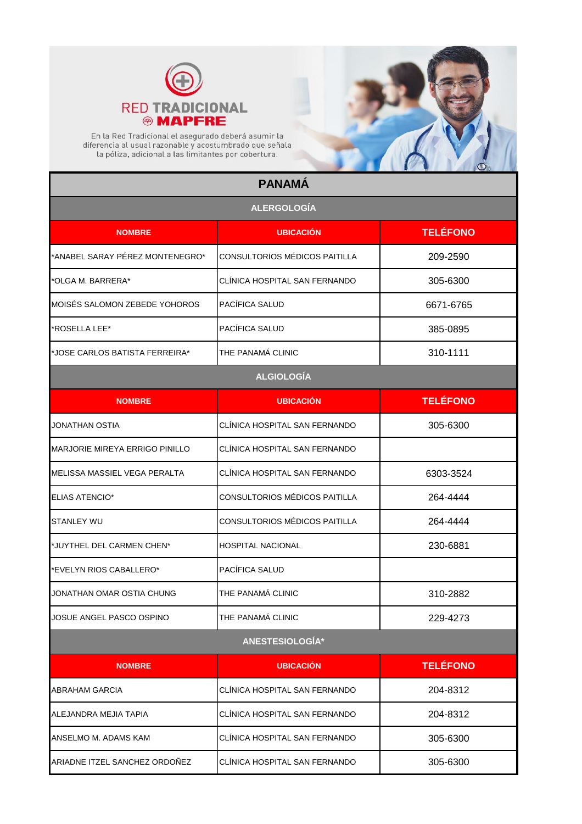



En la Red Tradicional el asegurado deberá asumir la<br>diferencia al usual razonable y acostumbrado que señala<br>la póliza, adicional a las limitantes por cobertura.

## **PANAMÁ**

| <b>ALERGOLOGÍA</b>              |                               |                 |
|---------------------------------|-------------------------------|-----------------|
| <b>NOMBRE</b>                   | <b>UBICACIÓN</b>              | <b>TELÉFONO</b> |
| *ANABEL SARAY PÉREZ MONTENEGRO* | CONSULTORIOS MÉDICOS PAITILLA | 209-2590        |
| *OLGA M. BARRERA*               | CLINICA HOSPITAL SAN FERNANDO | 305-6300        |
| MOISÉS SALOMON ZEBEDE YOHOROS   | PACÍFICA SALUD                | 6671-6765       |
| 'ROSELLA LEE*                   | PACÍFICA SALUD                | 385-0895        |
| *JOSE CARLOS BATISTA FERREIRA*  | THE PANAMÁ CLINIC             | 310-1111        |
|                                 | <b>ALGIOLOGÍA</b>             |                 |
| <b>NOMBRE</b>                   | <b>UBICACIÓN</b>              | <b>TELÉFONO</b> |
| JONATHAN OSTIA                  | CLÍNICA HOSPITAL SAN FERNANDO | 305-6300        |
| MARJORIE MIREYA ERRIGO PINILLO  | CLÍNICA HOSPITAL SAN FERNANDO |                 |
| MELISSA MASSIEL VEGA PERALTA    | CLÍNICA HOSPITAL SAN FERNANDO | 6303-3524       |
| <b>ELIAS ATENCIO*</b>           | CONSULTORIOS MÉDICOS PAITILLA | 264-4444        |
| STANLEY WU                      | CONSULTORIOS MÉDICOS PAITILLA | 264-4444        |
| *JUYTHEL DEL CARMEN CHEN*       | <b>HOSPITAL NACIONAL</b>      | 230-6881        |
| *EVELYN RIOS CABALLERO*         | PACÍFICA SALUD                |                 |
| JONATHAN OMAR OSTIA CHUNG       | THE PANAMÁ CLINIC             | 310-2882        |
| JOSUE ANGEL PASCO OSPINO        | THE PANAMÁ CLINIC             | 229-4273        |
|                                 | ANESTESIOLOGÍA*               |                 |
| <b>NOMBRE</b>                   | <b>UBICACIÓN</b>              | <b>TELÉFONO</b> |
| <b>ABRAHAM GARCIA</b>           | CLÍNICA HOSPITAL SAN FERNANDO | 204-8312        |
| ALEJANDRA MEJIA TAPIA           | CLÍNICA HOSPITAL SAN FERNANDO | 204-8312        |
| ANSELMO M. ADAMS KAM            | CLÍNICA HOSPITAL SAN FERNANDO | 305-6300        |
| ARIADNE ITZEL SANCHEZ ORDOÑEZ   | CLÍNICA HOSPITAL SAN FERNANDO | 305-6300        |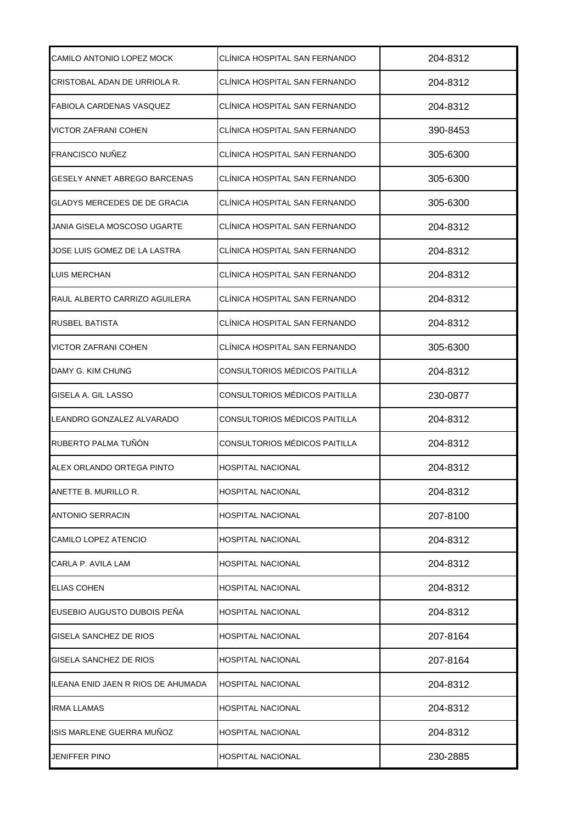| CAMILO ANTONIO LOPEZ MOCK           | CLINICA HOSPITAL SAN FERNANDO | 204-8312 |
|-------------------------------------|-------------------------------|----------|
| CRISTOBAL ADAN DE URRIOLA R.        | CLÍNICA HOSPITAL SAN FERNANDO | 204-8312 |
| FABIOLA CARDENAS VASQUEZ            | CLÍNICA HOSPITAL SAN FERNANDO | 204-8312 |
| VICTOR ZAFRANI COHEN                | CLÍNICA HOSPITAL SAN FERNANDO | 390-8453 |
| FRANCISCO NUÑEZ                     | CLÍNICA HOSPITAL SAN FERNANDO | 305-6300 |
| GESELY ANNET ABREGO BARCENAS        | CLÍNICA HOSPITAL SAN FERNANDO | 305-6300 |
| GLADYS MERCEDES DE DE GRACIA        | CLÍNICA HOSPITAL SAN FERNANDO | 305-6300 |
| JANIA GISELA MOSCOSO UGARTE         | CLÍNICA HOSPITAL SAN FERNANDO | 204-8312 |
| JOSE LUIS GOMEZ DE LA LASTRA        | CLÍNICA HOSPITAL SAN FERNANDO | 204-8312 |
| LUIS MERCHAN                        | CLINICA HOSPITAL SAN FERNANDO | 204-8312 |
| RAUL ALBERTO CARRIZO AGUILERA       | CLÍNICA HOSPITAL SAN FERNANDO | 204-8312 |
| RUSBEL BATISTA                      | CLÍNICA HOSPITAL SAN FERNANDO | 204-8312 |
| VICTOR ZAFRANI COHEN                | CLÍNICA HOSPITAL SAN FERNANDO | 305-6300 |
| DAMY G. KIM CHUNG                   | CONSULTORIOS MÉDICOS PAITILLA | 204-8312 |
| GISELA A. GIL LASSO                 | CONSULTORIOS MÉDICOS PAITILLA | 230-0877 |
| LEANDRO GONZALEZ ALVARADO           | CONSULTORIOS MÉDICOS PAITILLA | 204-8312 |
| RUBERTO PALMA TUÑÓN                 | CONSULTORIOS MÉDICOS PAITILLA | 204-8312 |
| ALEX ORLANDO ORTEGA PINTO           | <b>HOSPITAL NACIONAL</b>      | 204-8312 |
| ANETTE B. MURILLO R.                | <b>HOSPITAL NACIONAL</b>      | 204-8312 |
| <b>ANTONIO SERRACIN</b>             | <b>HOSPITAL NACIONAL</b>      | 207-8100 |
| CAMILO LOPEZ ATENCIO                | <b>HOSPITAL NACIONAL</b>      | 204-8312 |
| CARLA P. AVILA LAM                  | <b>HOSPITAL NACIONAL</b>      | 204-8312 |
| <b>ELIAS COHEN</b>                  | <b>HOSPITAL NACIONAL</b>      | 204-8312 |
| EUSEBIO AUGUSTO DUBOIS PEÑA         | <b>HOSPITAL NACIONAL</b>      | 204-8312 |
| GISELA SANCHEZ DE RIOS              | HOSPITAL NACIONAL             | 207-8164 |
| GISELA SANCHEZ DE RIOS              | HOSPITAL NACIONAL             | 207-8164 |
| IILEANA ENID JAEN R RIOS DE AHUMADA | <b>HOSPITAL NACIONAL</b>      | 204-8312 |
| <b>IRMA LLAMAS</b>                  | <b>HOSPITAL NACIONAL</b>      | 204-8312 |
| ISIS MARLENE GUERRA MUÑOZ           | HOSPITAL NACIONAL             | 204-8312 |
| JENIFFER PINO                       | <b>HOSPITAL NACIONAL</b>      | 230-2885 |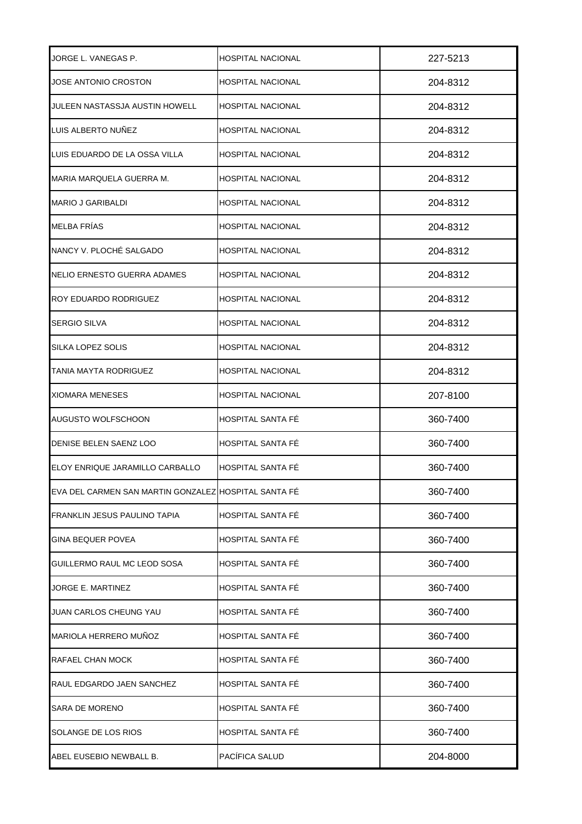| JORGE L. VANEGAS P.                                  | <b>HOSPITAL NACIONAL</b> | 227-5213 |
|------------------------------------------------------|--------------------------|----------|
| JOSE ANTONIO CROSTON                                 | <b>HOSPITAL NACIONAL</b> | 204-8312 |
| JULEEN NASTASSJA AUSTIN HOWELL                       | <b>HOSPITAL NACIONAL</b> | 204-8312 |
| LUIS ALBERTO NUÑEZ                                   | <b>HOSPITAL NACIONAL</b> | 204-8312 |
| LUIS EDUARDO DE LA OSSA VILLA                        | <b>HOSPITAL NACIONAL</b> | 204-8312 |
| MARIA MARQUELA GUERRA M.                             | <b>HOSPITAL NACIONAL</b> | 204-8312 |
| <b>MARIO J GARIBALDI</b>                             | <b>HOSPITAL NACIONAL</b> | 204-8312 |
| MELBA FRÍAS                                          | <b>HOSPITAL NACIONAL</b> | 204-8312 |
| NANCY V. PLOCHÉ SALGADO                              | <b>HOSPITAL NACIONAL</b> | 204-8312 |
| NELIO ERNESTO GUERRA ADAMES                          | <b>HOSPITAL NACIONAL</b> | 204-8312 |
| ROY EDUARDO RODRIGUEZ                                | <b>HOSPITAL NACIONAL</b> | 204-8312 |
| <b>SERGIO SILVA</b>                                  | HOSPITAL NACIONAL        | 204-8312 |
| SILKA LOPEZ SOLIS                                    | <b>HOSPITAL NACIONAL</b> | 204-8312 |
| TANIA MAYTA RODRIGUEZ                                | <b>HOSPITAL NACIONAL</b> | 204-8312 |
| <b>XIOMARA MENESES</b>                               | <b>HOSPITAL NACIONAL</b> | 207-8100 |
| AUGUSTO WOLFSCHOON                                   | HOSPITAL SANTA FÉ        | 360-7400 |
| DENISE BELEN SAENZ LOO                               | <b>HOSPITAL SANTA FE</b> | 360-7400 |
| ELOY ENRIQUE JARAMILLO CARBALLO                      | HOSPITAL SANTA FÉ        | 360-7400 |
| EVA DEL CARMEN SAN MARTIN GONZALEZ HOSPITAL SANTA FÉ |                          | 360-7400 |
| FRANKLIN JESUS PAULINO TAPIA                         | <b>HOSPITAL SANTA FÉ</b> | 360-7400 |
| <b>GINA BEQUER POVEA</b>                             | HOSPITAL SANTA FÉ        | 360-7400 |
| GUILLERMO RAUL MC LEOD SOSA                          | <b>HOSPITAL SANTA FÉ</b> | 360-7400 |
| JORGE E. MARTINEZ                                    | HOSPITAL SANTA FÉ        | 360-7400 |
| JUAN CARLOS CHEUNG YAU                               | HOSPITAL SANTA FÉ        | 360-7400 |
| MARIOLA HERRERO MUÑOZ                                | HOSPITAL SANTA FÉ        | 360-7400 |
| RAFAEL CHAN MOCK                                     | HOSPITAL SANTA FÉ        | 360-7400 |
| RAUL EDGARDO JAEN SANCHEZ                            | HOSPITAL SANTA FÉ        | 360-7400 |
| <b>SARA DE MORENO</b>                                | HOSPITAL SANTA FÉ        | 360-7400 |
| SOLANGE DE LOS RIOS                                  | HOSPITAL SANTA FÉ        | 360-7400 |
| ABEL EUSEBIO NEWBALL B.                              | PACÍFICA SALUD           | 204-8000 |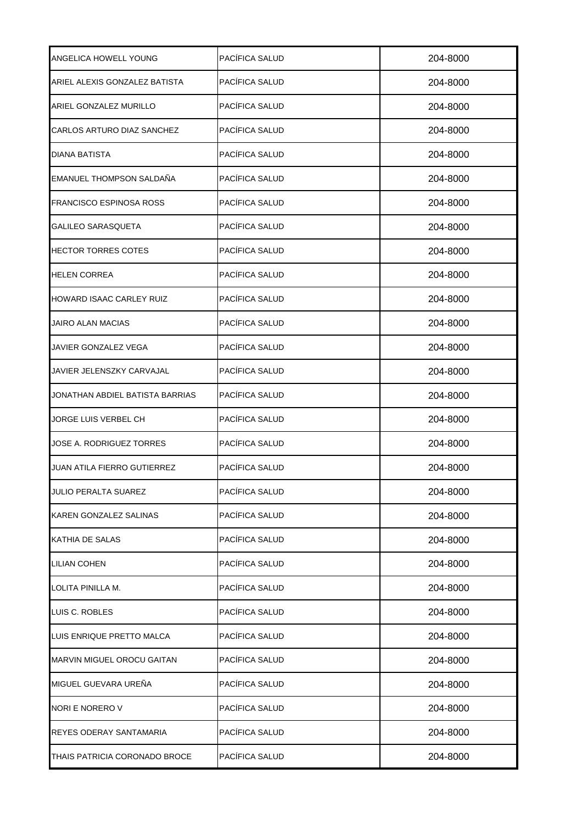| ANGELICA HOWELL YOUNG           | PACÍFICA SALUD | 204-8000 |
|---------------------------------|----------------|----------|
| ARIEL ALEXIS GONZALEZ BATISTA   | PACÍFICA SALUD | 204-8000 |
| ARIEL GONZALEZ MURILLO          | PACÍFICA SALUD | 204-8000 |
| CARLOS ARTURO DIAZ SANCHEZ      | PACÍFICA SALUD | 204-8000 |
| <b>DIANA BATISTA</b>            | PACÍFICA SALUD | 204-8000 |
| EMANUEL THOMPSON SALDAÑA        | PACÍFICA SALUD | 204-8000 |
| <b>FRANCISCO ESPINOSA ROSS</b>  | PACÍFICA SALUD | 204-8000 |
| <b>GALILEO SARASQUETA</b>       | PACÍFICA SALUD | 204-8000 |
| <b>HECTOR TORRES COTES</b>      | PACÍFICA SALUD | 204-8000 |
| <b>HELEN CORREA</b>             | PACÍFICA SALUD | 204-8000 |
| HOWARD ISAAC CARLEY RUIZ        | PACÍFICA SALUD | 204-8000 |
| JAIRO ALAN MACIAS               | PACÍFICA SALUD | 204-8000 |
| JAVIER GONZALEZ VEGA            | PACÍFICA SALUD | 204-8000 |
| JAVIER JELENSZKY CARVAJAL       | PACÍFICA SALUD | 204-8000 |
| JONATHAN ABDIEL BATISTA BARRIAS | PACÍFICA SALUD | 204-8000 |
| JORGE LUIS VERBEL CH            | PACÍFICA SALUD | 204-8000 |
| JOSE A. RODRIGUEZ TORRES        | PACÍFICA SALUD | 204-8000 |
| JUAN ATILA FIERRO GUTIERREZ     | PACÍFICA SALUD | 204-8000 |
| JULIO PERALTA SUAREZ            | PACÍFICA SALUD | 204-8000 |
| KAREN GONZALEZ SALINAS          | PACÍFICA SALUD | 204-8000 |
| KATHIA DE SALAS                 | PACÍFICA SALUD | 204-8000 |
| <b>LILIAN COHEN</b>             | PACÍFICA SALUD | 204-8000 |
| LOLITA PINILLA M.               | PACÍFICA SALUD | 204-8000 |
| LUIS C. ROBLES                  | PACÍFICA SALUD | 204-8000 |
| LUIS ENRIQUE PRETTO MALCA       | PACÍFICA SALUD | 204-8000 |
| MARVIN MIGUEL OROCU GAITAN      | PACÍFICA SALUD | 204-8000 |
| MIGUEL GUEVARA UREÑA            | PACÍFICA SALUD | 204-8000 |
| NORI E NORERO V                 | PACÍFICA SALUD | 204-8000 |
| REYES ODERAY SANTAMARIA         | PACÍFICA SALUD | 204-8000 |
| THAIS PATRICIA CORONADO BROCE   | PACÍFICA SALUD | 204-8000 |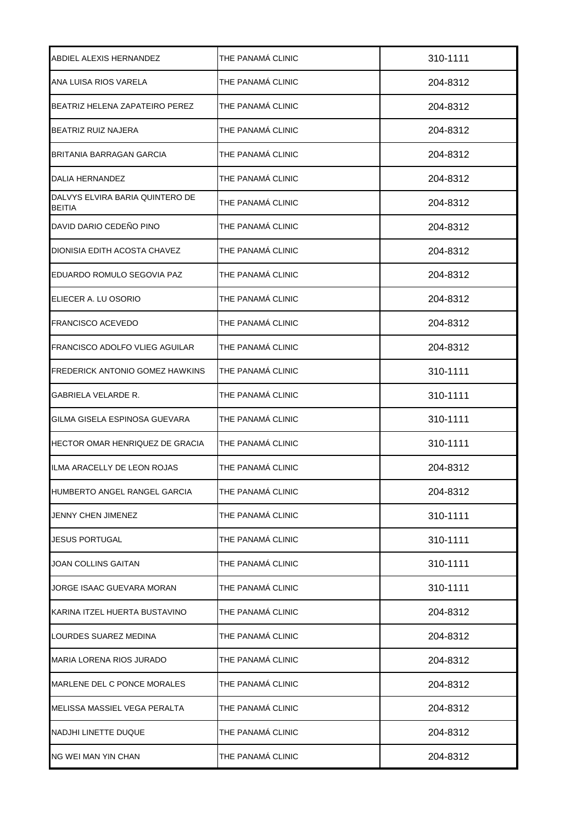| ABDIEL ALEXIS HERNANDEZ                          | THE PANAMA CLINIC | 310-1111 |
|--------------------------------------------------|-------------------|----------|
| ANA LUISA RIOS VARELA                            | THE PANAMÁ CLINIC | 204-8312 |
| BEATRIZ HELENA ZAPATEIRO PEREZ                   | THE PANAMÁ CLINIC | 204-8312 |
| BEATRIZ RUIZ NAJERA                              | THE PANAMÁ CLINIC | 204-8312 |
| BRITANIA BARRAGAN GARCIA                         | THE PANAMÁ CLINIC | 204-8312 |
| DALIA HERNANDEZ                                  | THE PANAMÁ CLINIC | 204-8312 |
| DALVYS ELVIRA BARIA QUINTERO DE<br><b>BEITIA</b> | THE PANAMÁ CLINIC | 204-8312 |
| DAVID DARIO CEDEÑO PINO                          | THE PANAMÁ CLINIC | 204-8312 |
| DIONISIA EDITH ACOSTA CHAVEZ                     | THE PANAMÁ CLINIC | 204-8312 |
| IEDUARDO ROMULO SEGOVIA PAZ                      | THE PANAMÁ CLINIC | 204-8312 |
| ELIECER A. LU OSORIO                             | THE PANAMÁ CLINIC | 204-8312 |
| <b>FRANCISCO ACEVEDO</b>                         | THE PANAMÁ CLINIC | 204-8312 |
| FRANCISCO ADOLFO VLIEG AGUILAR                   | THE PANAMÁ CLINIC | 204-8312 |
| <b>FREDERICK ANTONIO GOMEZ HAWKINS</b>           | THE PANAMÁ CLINIC | 310-1111 |
| GABRIELA VELARDE R.                              | THE PANAMÁ CLINIC | 310-1111 |
| GILMA GISELA ESPINOSA GUEVARA                    | THE PANAMÁ CLINIC | 310-1111 |
| HECTOR OMAR HENRIQUEZ DE GRACIA                  | THE PANAMÁ CLINIC | 310-1111 |
| ILMA ARACELLY DE LEON ROJAS                      | THE PANAMÁ CLINIC | 204-8312 |
| HUMBERTO ANGEL RANGEL GARCIA                     | THE PANAMÁ CLINIC | 204-8312 |
| JENNY CHEN JIMENEZ                               | THE PANAMÁ CLINIC | 310-1111 |
| <b>JESUS PORTUGAL</b>                            | THE PANAMÁ CLINIC | 310-1111 |
| JOAN COLLINS GAITAN                              | THE PANAMÁ CLINIC | 310-1111 |
| JORGE ISAAC GUEVARA MORAN                        | THE PANAMÁ CLINIC | 310-1111 |
| KARINA ITZEL HUERTA BUSTAVINO                    | THE PANAMÁ CLINIC | 204-8312 |
| LOURDES SUAREZ MEDINA                            | THE PANAMÁ CLINIC | 204-8312 |
| <b>MARIA LORENA RIOS JURADO</b>                  | THE PANAMÁ CLINIC | 204-8312 |
| MARLENE DEL C PONCE MORALES                      | THE PANAMÁ CLINIC | 204-8312 |
| MELISSA MASSIEL VEGA PERALTA                     | THE PANAMÁ CLINIC | 204-8312 |
| NADJHI LINETTE DUQUE                             | THE PANAMÁ CLINIC | 204-8312 |
| <b>NG WEI MAN YIN CHAN</b>                       | THE PANAMÁ CLINIC | 204-8312 |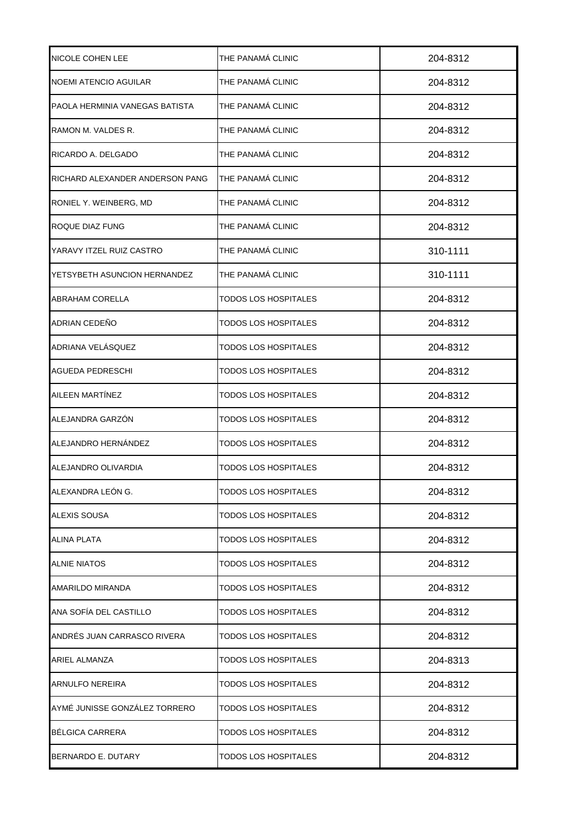| <b>NICOLE COHEN LEE</b>         | THE PANAMÁ CLINIC           | 204-8312 |
|---------------------------------|-----------------------------|----------|
| NOEMI ATENCIO AGUILAR           | THE PANAMÁ CLINIC           | 204-8312 |
| PAOLA HERMINIA VANEGAS BATISTA  | THE PANAMÁ CLINIC           | 204-8312 |
| RAMON M. VALDES R.              | THE PANAMÁ CLINIC           | 204-8312 |
| RICARDO A. DELGADO              | THE PANAMÁ CLINIC           | 204-8312 |
| RICHARD ALEXANDER ANDERSON PANG | THE PANAMÁ CLINIC           | 204-8312 |
| RONIEL Y. WEINBERG, MD          | THE PANAMÁ CLINIC           | 204-8312 |
| ROQUE DIAZ FUNG                 | THE PANAMÁ CLINIC           | 204-8312 |
| YARAVY ITZEL RUIZ CASTRO        | THE PANAMÁ CLINIC           | 310-1111 |
| YETSYBETH ASUNCION HERNANDEZ    | THE PANAMÁ CLINIC           | 310-1111 |
| <b>ABRAHAM CORELLA</b>          | TODOS LOS HOSPITALES        | 204-8312 |
| ADRIAN CEDEÑO                   | TODOS LOS HOSPITALES        | 204-8312 |
| ADRIANA VELÁSQUEZ               | TODOS LOS HOSPITALES        | 204-8312 |
| AGUEDA PEDRESCHI                | TODOS LOS HOSPITALES        | 204-8312 |
| AILEEN MARTÍNEZ                 | TODOS LOS HOSPITALES        | 204-8312 |
| ALEJANDRA GARZÓN                | <b>TODOS LOS HOSPITALES</b> | 204-8312 |
| ALEJANDRO HERNÁNDEZ             | TODOS LOS HOSPITALES        | 204-8312 |
| ALEJANDRO OLIVARDIA             | <b>TODOS LOS HOSPITALES</b> | 204-8312 |
| ALEXANDRA LEÓN G.               | <b>TODOS LOS HOSPITALES</b> | 204-8312 |
| ALEXIS SOUSA                    | <b>TODOS LOS HOSPITALES</b> | 204-8312 |
| <b>ALINA PLATA</b>              | <b>TODOS LOS HOSPITALES</b> | 204-8312 |
| <b>ALNIE NIATOS</b>             | TODOS LOS HOSPITALES        | 204-8312 |
| AMARILDO MIRANDA                | TODOS LOS HOSPITALES        | 204-8312 |
| ANA SOFÍA DEL CASTILLO          | <b>TODOS LOS HOSPITALES</b> | 204-8312 |
| ANDRÉS JUAN CARRASCO RIVERA     | TODOS LOS HOSPITALES        | 204-8312 |
| ARIEL ALMANZA                   | TODOS LOS HOSPITALES        | 204-8313 |
| ARNULFO NEREIRA                 | TODOS LOS HOSPITALES        | 204-8312 |
| AYMÉ JUNISSE GONZÁLEZ TORRERO   | TODOS LOS HOSPITALES        | 204-8312 |
| <b>BELGICA CARRERA</b>          | TODOS LOS HOSPITALES        | 204-8312 |
| BERNARDO E. DUTARY              | TODOS LOS HOSPITALES        | 204-8312 |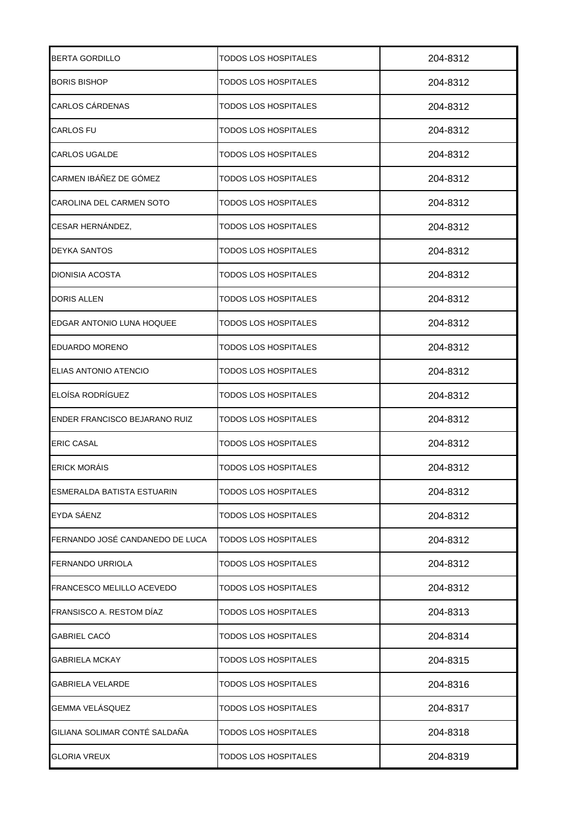| <b>BERTA GORDILLO</b>             | TODOS LOS HOSPITALES        | 204-8312 |
|-----------------------------------|-----------------------------|----------|
| <b>BORIS BISHOP</b>               | TODOS LOS HOSPITALES        | 204-8312 |
| <b>CARLOS CÁRDENAS</b>            | TODOS LOS HOSPITALES        | 204-8312 |
| CARLOS FU                         | TODOS LOS HOSPITALES        | 204-8312 |
| <b>CARLOS UGALDE</b>              | TODOS LOS HOSPITALES        | 204-8312 |
| CARMEN IBÁÑEZ DE GÓMEZ            | TODOS LOS HOSPITALES        | 204-8312 |
| CAROLINA DEL CARMEN SOTO          | TODOS LOS HOSPITALES        | 204-8312 |
| CESAR HERNÁNDEZ,                  | TODOS LOS HOSPITALES        | 204-8312 |
| <b>DEYKA SANTOS</b>               | TODOS LOS HOSPITALES        | 204-8312 |
| DIONISIA ACOSTA                   | TODOS LOS HOSPITALES        | 204-8312 |
| <b>DORIS ALLEN</b>                | TODOS LOS HOSPITALES        | 204-8312 |
| EDGAR ANTONIO LUNA HOQUEE         | TODOS LOS HOSPITALES        | 204-8312 |
| EDUARDO MORENO                    | TODOS LOS HOSPITALES        | 204-8312 |
| ELIAS ANTONIO ATENCIO             | TODOS LOS HOSPITALES        | 204-8312 |
| ELOÍSA RODRÍGUEZ                  | TODOS LOS HOSPITALES        | 204-8312 |
| ENDER FRANCISCO BEJARANO RUIZ     | TODOS LOS HOSPITALES        | 204-8312 |
| <b>ERIC CASAL</b>                 | TODOS LOS HOSPITALES        | 204-8312 |
| <b>ERICK MORAIS</b>               | <b>TODOS LOS HOSPITALES</b> | 204-8312 |
| <b>ESMERALDA BATISTA ESTUARIN</b> | <b>TODOS LOS HOSPITALES</b> | 204-8312 |
| EYDA SÁENZ                        | <b>TODOS LOS HOSPITALES</b> | 204-8312 |
| FERNANDO JOSÉ CANDANEDO DE LUCA   | <b>TODOS LOS HOSPITALES</b> | 204-8312 |
| <b>FERNANDO URRIOLA</b>           | <b>TODOS LOS HOSPITALES</b> | 204-8312 |
| FRANCESCO MELILLO ACEVEDO         | TODOS LOS HOSPITALES        | 204-8312 |
| FRANSISCO A. RESTOM DÍAZ          | TODOS LOS HOSPITALES        | 204-8313 |
| <b>GABRIEL CACO</b>               | TODOS LOS HOSPITALES        | 204-8314 |
| <b>GABRIELA MCKAY</b>             | TODOS LOS HOSPITALES        | 204-8315 |
| <b>GABRIELA VELARDE</b>           | TODOS LOS HOSPITALES        | 204-8316 |
| GEMMA VELÁSQUEZ                   | TODOS LOS HOSPITALES        | 204-8317 |
| GILIANA SOLIMAR CONTÉ SALDAÑA     | <b>TODOS LOS HOSPITALES</b> | 204-8318 |
| <b>GLORIA VREUX</b>               | TODOS LOS HOSPITALES        | 204-8319 |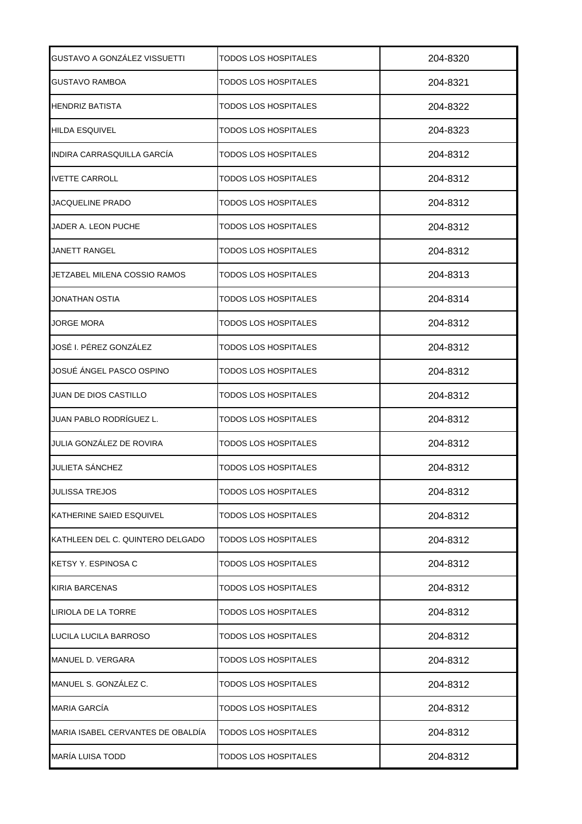| GUSTAVO A GONZÁLEZ VISSUETTI      | TODOS LOS HOSPITALES        | 204-8320 |
|-----------------------------------|-----------------------------|----------|
| <b>GUSTAVO RAMBOA</b>             | TODOS LOS HOSPITALES        | 204-8321 |
| HENDRIZ BATISTA                   | TODOS LOS HOSPITALES        | 204-8322 |
| <b>HILDA ESQUIVEL</b>             | TODOS LOS HOSPITALES        | 204-8323 |
| INDIRA CARRASQUILLA GARCÍA        | TODOS LOS HOSPITALES        | 204-8312 |
| <b>IVETTE CARROLL</b>             | TODOS LOS HOSPITALES        | 204-8312 |
| JACQUELINE PRADO                  | TODOS LOS HOSPITALES        | 204-8312 |
| JADER A. LEON PUCHE               | TODOS LOS HOSPITALES        | 204-8312 |
| JANETT RANGEL                     | TODOS LOS HOSPITALES        | 204-8312 |
| JETZABEL MILENA COSSIO RAMOS      | TODOS LOS HOSPITALES        | 204-8313 |
| JONATHAN OSTIA                    | TODOS LOS HOSPITALES        | 204-8314 |
| JORGE MORA                        | TODOS LOS HOSPITALES        | 204-8312 |
| JOSÉ I. PÉREZ GONZÁLEZ            | TODOS LOS HOSPITALES        | 204-8312 |
| JOSUÉ ÁNGEL PASCO OSPINO          | TODOS LOS HOSPITALES        | 204-8312 |
| JUAN DE DIOS CASTILLO             | TODOS LOS HOSPITALES        | 204-8312 |
| JUAN PABLO RODRÍGUEZ L.           | TODOS LOS HOSPITALES        | 204-8312 |
| JULIA GONZÁLEZ DE ROVIRA          | TODOS LOS HOSPITALES        | 204-8312 |
| <b>JULIETA SÁNCHEZ</b>            | <b>TODOS LOS HOSPITALES</b> | 204-8312 |
| <b>JULISSA TREJOS</b>             | <b>TODOS LOS HOSPITALES</b> | 204-8312 |
| KATHERINE SAIED ESQUIVEL          | <b>TODOS LOS HOSPITALES</b> | 204-8312 |
| KATHLEEN DEL C. QUINTERO DELGADO  | <b>TODOS LOS HOSPITALES</b> | 204-8312 |
| <b>KETSY Y. ESPINOSA C</b>        | <b>TODOS LOS HOSPITALES</b> | 204-8312 |
| <b>KIRIA BARCENAS</b>             | TODOS LOS HOSPITALES        | 204-8312 |
| LIRIOLA DE LA TORRE               | TODOS LOS HOSPITALES        | 204-8312 |
| LUCILA LUCILA BARROSO             | TODOS LOS HOSPITALES        | 204-8312 |
| MANUEL D. VERGARA                 | TODOS LOS HOSPITALES        | 204-8312 |
| MANUEL S. GONZÁLEZ C.             | TODOS LOS HOSPITALES        | 204-8312 |
| <b>MARIA GARCÍA</b>               | TODOS LOS HOSPITALES        | 204-8312 |
| MARIA ISABEL CERVANTES DE OBALDÍA | <b>TODOS LOS HOSPITALES</b> | 204-8312 |
| MARÍA LUISA TODD                  | TODOS LOS HOSPITALES        | 204-8312 |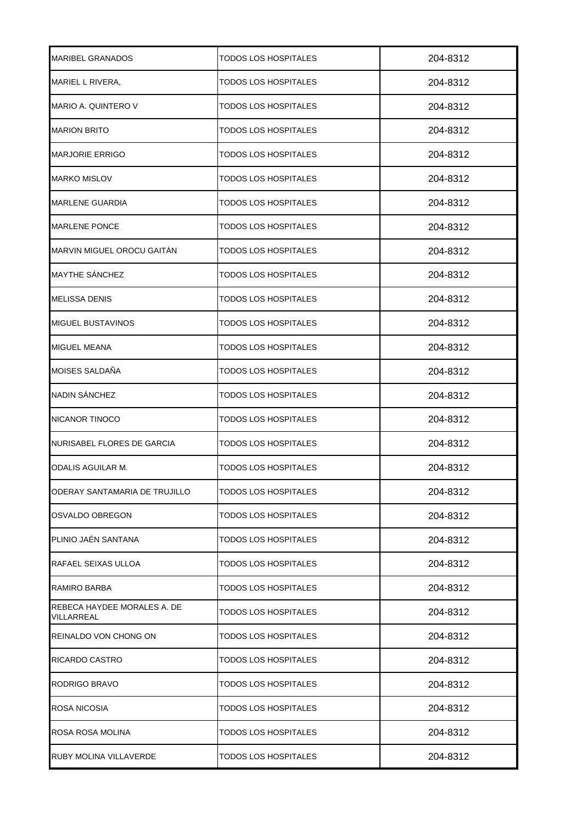| <b>MARIBEL GRANADOS</b>                   | TODOS LOS HOSPITALES        | 204-8312 |
|-------------------------------------------|-----------------------------|----------|
| MARIEL L RIVERA,                          | TODOS LOS HOSPITALES        | 204-8312 |
| MARIO A. QUINTERO V                       | TODOS LOS HOSPITALES        | 204-8312 |
| <b>MARION BRITO</b>                       | TODOS LOS HOSPITALES        | 204-8312 |
| <b>MARJORIE ERRIGO</b>                    | TODOS LOS HOSPITALES        | 204-8312 |
| <b>MARKO MISLOV</b>                       | TODOS LOS HOSPITALES        | 204-8312 |
| <b>MARLENE GUARDIA</b>                    | TODOS LOS HOSPITALES        | 204-8312 |
| <b>MARLENE PONCE</b>                      | TODOS LOS HOSPITALES        | 204-8312 |
| MARVIN MIGUEL OROCU GAITAN                | TODOS LOS HOSPITALES        | 204-8312 |
| MAYTHE SÁNCHEZ                            | TODOS LOS HOSPITALES        | 204-8312 |
| <b>MELISSA DENIS</b>                      | TODOS LOS HOSPITALES        | 204-8312 |
| <b>MIGUEL BUSTAVINOS</b>                  | TODOS LOS HOSPITALES        | 204-8312 |
| <b>MIGUEL MEANA</b>                       | TODOS LOS HOSPITALES        | 204-8312 |
| MOISES SALDAÑA                            | TODOS LOS HOSPITALES        | 204-8312 |
| NADIN SÁNCHEZ                             | TODOS LOS HOSPITALES        | 204-8312 |
| NICANOR TINOCO                            | TODOS LOS HOSPITALES        | 204-8312 |
| NURISABEL FLORES DE GARCIA                | TODOS LOS HOSPITALES        | 204-8312 |
| ODALIS AGUILAR M.                         | TODOS LOS HOSPITALES        | 204-8312 |
| ODERAY SANTAMARIA DE TRUJILLO             | <b>TODOS LOS HOSPITALES</b> | 204-8312 |
| OSVALDO OBREGON                           | TODOS LOS HOSPITALES        | 204-8312 |
| PLINIO JAÉN SANTANA                       | TODOS LOS HOSPITALES        | 204-8312 |
| RAFAEL SEIXAS ULLOA                       | TODOS LOS HOSPITALES        | 204-8312 |
| RAMIRO BARBA                              | TODOS LOS HOSPITALES        | 204-8312 |
| REBECA HAYDEE MORALES A. DE<br>VILLARREAL | TODOS LOS HOSPITALES        | 204-8312 |
| REINALDO VON CHONG ON                     | TODOS LOS HOSPITALES        | 204-8312 |
| RICARDO CASTRO                            | TODOS LOS HOSPITALES        | 204-8312 |
| RODRIGO BRAVO                             | TODOS LOS HOSPITALES        | 204-8312 |
| ROSA NICOSIA                              | TODOS LOS HOSPITALES        | 204-8312 |
| ROSA ROSA MOLINA                          | TODOS LOS HOSPITALES        | 204-8312 |
| RUBY MOLINA VILLAVERDE                    | TODOS LOS HOSPITALES        | 204-8312 |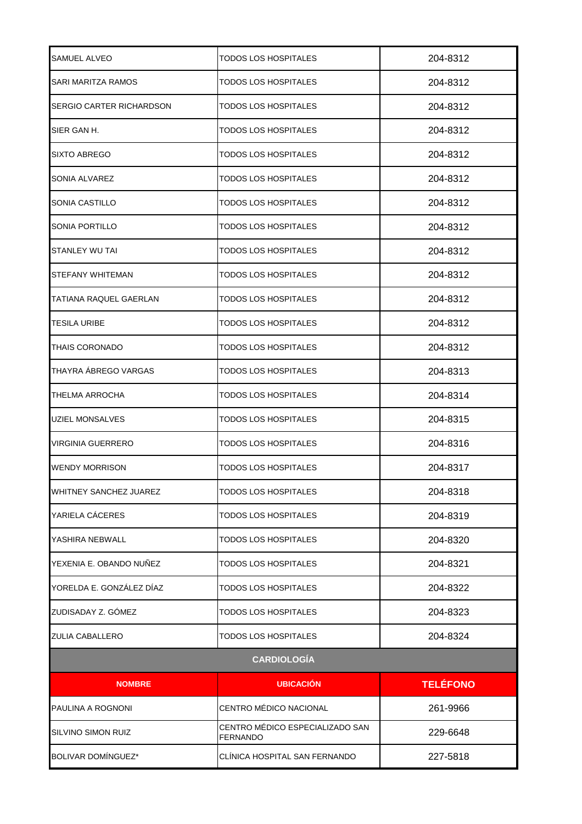| SAMUEL ALVEO                  | TODOS LOS HOSPITALES                               | 204-8312        |  |
|-------------------------------|----------------------------------------------------|-----------------|--|
| SARI MARITZA RAMOS            | TODOS LOS HOSPITALES                               | 204-8312        |  |
| ISERGIO CARTER RICHARDSON     | TODOS LOS HOSPITALES                               | 204-8312        |  |
| SIER GAN H.                   | TODOS LOS HOSPITALES                               | 204-8312        |  |
| SIXTO ABREGO                  | TODOS LOS HOSPITALES                               | 204-8312        |  |
| SONIA ALVAREZ                 | TODOS LOS HOSPITALES                               | 204-8312        |  |
| SONIA CASTILLO                | TODOS LOS HOSPITALES                               | 204-8312        |  |
| SONIA PORTILLO                | TODOS LOS HOSPITALES                               | 204-8312        |  |
| <b>STANLEY WU TAI</b>         | <b>TODOS LOS HOSPITALES</b>                        | 204-8312        |  |
| STEFANY WHITEMAN              | TODOS LOS HOSPITALES                               | 204-8312        |  |
| TATIANA RAQUEL GAERLAN        | TODOS LOS HOSPITALES                               | 204-8312        |  |
| <b>TESILA URIBE</b>           | TODOS LOS HOSPITALES                               | 204-8312        |  |
| <b>THAIS CORONADO</b>         | TODOS LOS HOSPITALES                               | 204-8312        |  |
| THAYRA ÁBREGO VARGAS          | TODOS LOS HOSPITALES                               | 204-8313        |  |
| <b>THELMA ARROCHA</b>         | TODOS LOS HOSPITALES                               | 204-8314        |  |
| <b>UZIEL MONSALVES</b>        | TODOS LOS HOSPITALES                               | 204-8315        |  |
| <b>VIRGINIA GUERRERO</b>      | TODOS LOS HOSPITALES                               | 204-8316        |  |
| <b>WENDY MORRISON</b>         | TODOS LOS HOSPITALES                               | 204-8317        |  |
| <b>WHITNEY SANCHEZ JUAREZ</b> | <b>TODOS LOS HOSPITALES</b>                        | 204-8318        |  |
| YARIELA CÁCERES               | <b>TODOS LOS HOSPITALES</b>                        | 204-8319        |  |
| YASHIRA NEBWALL               | <b>TODOS LOS HOSPITALES</b>                        | 204-8320        |  |
| YEXENIA E. OBANDO NUÑEZ       | TODOS LOS HOSPITALES                               | 204-8321        |  |
| YORELDA E. GONZÁLEZ DÍAZ      | TODOS LOS HOSPITALES                               | 204-8322        |  |
| ZUDISADAY Z. GÓMEZ            | TODOS LOS HOSPITALES                               | 204-8323        |  |
| ZULIA CABALLERO               | TODOS LOS HOSPITALES                               | 204-8324        |  |
|                               | <b>CARDIOLOGÍA</b>                                 |                 |  |
| <b>NOMBRE</b>                 | <b>UBICACIÓN</b>                                   | <b>TELÉFONO</b> |  |
| PAULINA A ROGNONI             | CENTRO MÉDICO NACIONAL                             | 261-9966        |  |
| SILVINO SIMON RUIZ            | CENTRO MÉDICO ESPECIALIZADO SAN<br><b>FERNANDO</b> | 229-6648        |  |
| BOLIVAR DOMÍNGUEZ*            | CLÍNICA HOSPITAL SAN FERNANDO                      | 227-5818        |  |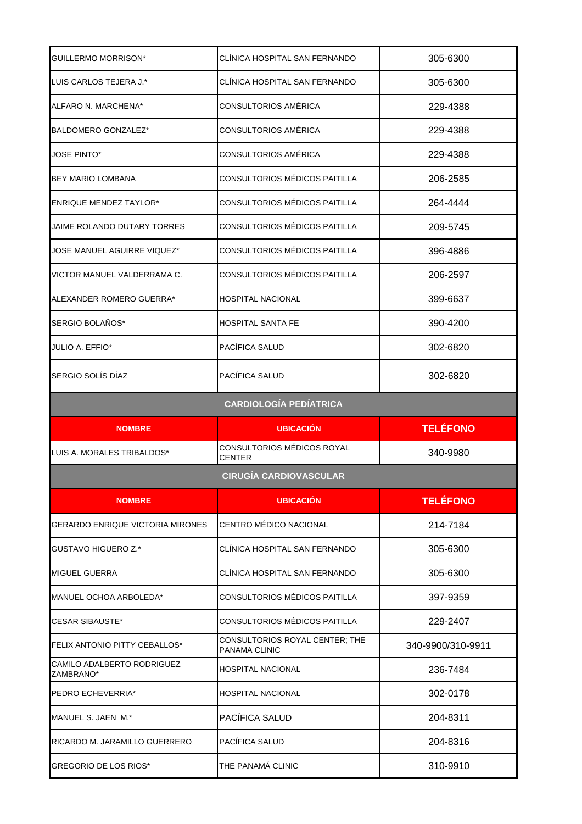| GUILLERMO MORRISON*                     | CLÍNICA HOSPITAL SAN FERNANDO                   | 305-6300          |
|-----------------------------------------|-------------------------------------------------|-------------------|
| LUIS CARLOS TEJERA J.*                  | CLÍNICA HOSPITAL SAN FERNANDO                   | 305-6300          |
| ALFARO N. MARCHENA*                     | CONSULTORIOS AMÉRICA                            | 229-4388          |
| BALDOMERO GONZALEZ*                     | CONSULTORIOS AMÉRICA                            | 229-4388          |
| <b>JOSE PINTO*</b>                      | CONSULTORIOS AMÉRICA                            | 229-4388          |
| <b>BEY MARIO LOMBANA</b>                | CONSULTORIOS MÉDICOS PAITILLA                   | 206-2585          |
| <b>ENRIQUE MENDEZ TAYLOR*</b>           | CONSULTORIOS MÉDICOS PAITILLA                   | 264-4444          |
| JAIME ROLANDO DUTARY TORRES             | CONSULTORIOS MÉDICOS PAITILLA                   | 209-5745          |
| JOSE MANUEL AGUIRRE VIQUEZ*             | CONSULTORIOS MÉDICOS PAITILLA                   | 396-4886          |
| VICTOR MANUEL VALDERRAMA C.             | CONSULTORIOS MÉDICOS PAITILLA                   | 206-2597          |
| ALEXANDER ROMERO GUERRA*                | <b>HOSPITAL NACIONAL</b>                        | 399-6637          |
| SERGIO BOLAÑOS*                         | HOSPITAL SANTA FE                               | 390-4200          |
| JULIO A. EFFIO*                         | PACÍFICA SALUD                                  | 302-6820          |
| SERGIO SOLÍS DÍAZ                       | PACÍFICA SALUD                                  | 302-6820          |
|                                         | <b>CARDIOLOGÍA PEDÍATRICA</b>                   |                   |
|                                         |                                                 |                   |
| <b>NOMBRE</b>                           | <b>UBICACIÓN</b>                                | <b>TELÉFONO</b>   |
| LUIS A. MORALES TRIBALDOS*              | CONSULTORIOS MÉDICOS ROYAL<br>CENTER            | 340-9980          |
|                                         | <b>CIRUGÍA CARDIOVASCULAR</b>                   |                   |
| <b>NOMBRE</b>                           | <b>UBICACIÓN</b>                                | <b>TELÉFONO</b>   |
| GERARDO ENRIQUE VICTORIA MIRONES        | CENTRO MÉDICO NACIONAL                          | 214-7184          |
| GUSTAVO HIGUERO Z.*                     | CLÍNICA HOSPITAL SAN FERNANDO                   | 305-6300          |
| <b>MIGUEL GUERRA</b>                    | CLÍNICA HOSPITAL SAN FERNANDO                   | 305-6300          |
| MANUEL OCHOA ARBOLEDA*                  | CONSULTORIOS MÉDICOS PAITILLA                   | 397-9359          |
| <b>CESAR SIBAUSTE*</b>                  | CONSULTORIOS MÉDICOS PAITILLA                   | 229-2407          |
| FELIX ANTONIO PITTY CEBALLOS*           | CONSULTORIOS ROYAL CENTER; THE<br>PANAMA CLINIC | 340-9900/310-9911 |
| CAMILO ADALBERTO RODRIGUEZ<br>ZAMBRANO* | <b>HOSPITAL NACIONAL</b>                        | 236-7484          |
| PEDRO ECHEVERRIA*                       | HOSPITAL NACIONAL                               | 302-0178          |
| MANUEL S. JAEN M.*                      | PACÍFICA SALUD                                  | 204-8311          |
| RICARDO M. JARAMILLO GUERRERO           | PACÍFICA SALUD                                  | 204-8316          |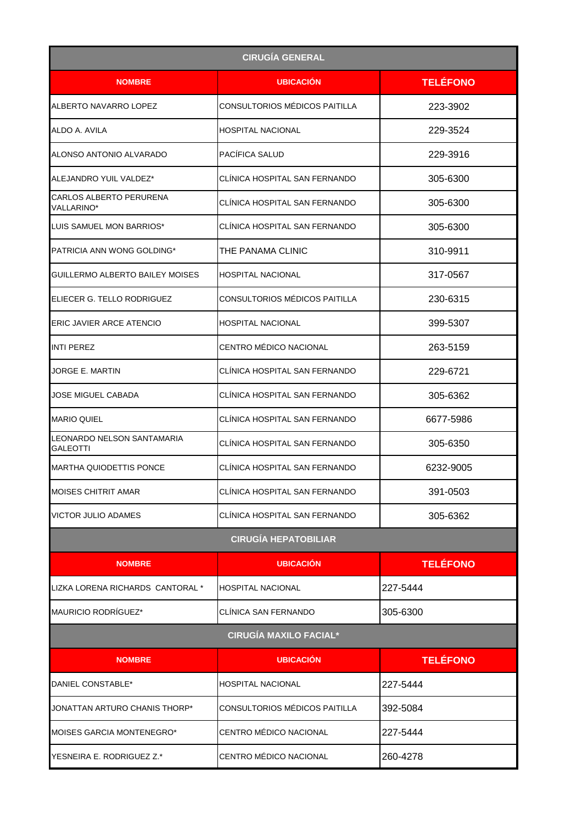| <b>CIRUGÍA GENERAL</b>                       |                               |                 |
|----------------------------------------------|-------------------------------|-----------------|
| <b>NOMBRE</b>                                | <b>UBICACIÓN</b>              | <b>TELÉFONO</b> |
| ALBERTO NAVARRO LOPEZ                        | CONSULTORIOS MÉDICOS PAITILLA | 223-3902        |
| ALDO A. AVILA                                | HOSPITAL NACIONAL             | 229-3524        |
| ALONSO ANTONIO ALVARADO                      | PACÍFICA SALUD                | 229-3916        |
| ALEJANDRO YUIL VALDEZ*                       | CLÍNICA HOSPITAL SAN FERNANDO | 305-6300        |
| <b>CARLOS ALBERTO PERURENA</b><br>VALLARINO* | CLÍNICA HOSPITAL SAN FERNANDO | 305-6300        |
| LUIS SAMUEL MON BARRIOS*                     | CLÍNICA HOSPITAL SAN FERNANDO | 305-6300        |
| PATRICIA ANN WONG GOLDING*                   | THE PANAMA CLINIC             | 310-9911        |
| GUILLERMO ALBERTO BAILEY MOISES              | HOSPITAL NACIONAL             | 317-0567        |
| IELIECER G. TELLO RODRIGUEZ                  | CONSULTORIOS MÉDICOS PAITILLA | 230-6315        |
| <b>ERIC JAVIER ARCE ATENCIO</b>              | HOSPITAL NACIONAL             | 399-5307        |
| <b>INTI PEREZ</b>                            | CENTRO MÉDICO NACIONAL        | 263-5159        |
| JORGE E. MARTIN                              | CLÍNICA HOSPITAL SAN FERNANDO | 229-6721        |
| JOSE MIGUEL CABADA                           | CLÍNICA HOSPITAL SAN FERNANDO | 305-6362        |
| <b>MARIO QUIEL</b>                           | CLÍNICA HOSPITAL SAN FERNANDO | 6677-5986       |
| LEONARDO NELSON SANTAMARIA<br>GALEOTTI       | CLÍNICA HOSPITAL SAN FERNANDO | 305-6350        |
| <b>MARTHA QUIODETTIS PONCE</b>               | CLÍNICA HOSPITAL SAN FERNANDO | 6232-9005       |
| <b>MOISES CHITRIT AMAR</b>                   | CLÍNICA HOSPITAL SAN FERNANDO | 391-0503        |
| <b>VICTOR JULIO ADAMES</b>                   | CLÍNICA HOSPITAL SAN FERNANDO | 305-6362        |
|                                              | <b>CIRUGÍA HEPATOBILIAR</b>   |                 |
| <b>NOMBRE</b>                                | <b>UBICACIÓN</b>              | <b>TELÉFONO</b> |
| LIZKA LORENA RICHARDS CANTORAL *             | <b>HOSPITAL NACIONAL</b>      | 227-5444        |
| MAURICIO RODRÍGUEZ*                          | CLÍNICA SAN FERNANDO          | 305-6300        |
|                                              | <b>CIRUGÍA MAXILO FACIAL*</b> |                 |
| <b>NOMBRE</b>                                | <b>UBICACIÓN</b>              | <b>TELÉFONO</b> |
| DANIEL CONSTABLE*                            | HOSPITAL NACIONAL             | 227-5444        |
| JONATTAN ARTURO CHANIS THORP*                | CONSULTORIOS MÉDICOS PAITILLA | 392-5084        |
| <b>MOISES GARCIA MONTENEGRO*</b>             | CENTRO MÉDICO NACIONAL        | 227-5444        |
| YESNEIRA E. RODRIGUEZ Z.*                    | CENTRO MÉDICO NACIONAL        | 260-4278        |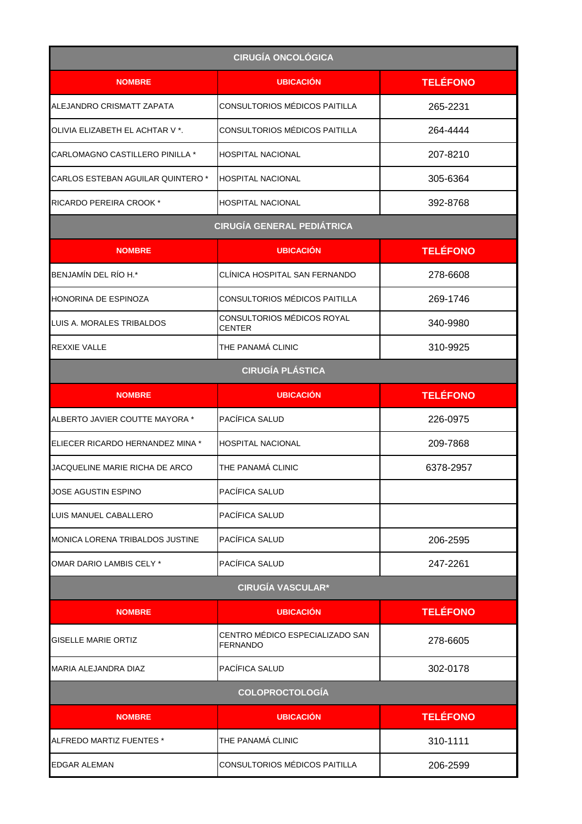| <b>CIRUGÍA ONCOLÓGICA</b>         |                                                    |                 |
|-----------------------------------|----------------------------------------------------|-----------------|
| <b>NOMBRE</b>                     | <b>UBICACIÓN</b>                                   | <b>TELÉFONO</b> |
| ALEJANDRO CRISMATT ZAPATA         | <b>CONSULTORIOS MÉDICOS PAITILLA</b>               | 265-2231        |
| OLIVIA ELIZABETH EL ACHTAR V *.   | CONSULTORIOS MÉDICOS PAITILLA                      | 264-4444        |
| CARLOMAGNO CASTILLERO PINILLA *   | <b>HOSPITAL NACIONAL</b>                           | 207-8210        |
| CARLOS ESTEBAN AGUILAR QUINTERO * | <b>HOSPITAL NACIONAL</b>                           | 305-6364        |
| RICARDO PEREIRA CROOK *           | <b>HOSPITAL NACIONAL</b>                           | 392-8768        |
|                                   | <b>CIRUGÍA GENERAL PEDIÁTRICA</b>                  |                 |
| <b>NOMBRE</b>                     | <b>UBICACIÓN</b>                                   | <b>TELÉFONO</b> |
| BENJAMÍN DEL RÍO H.*              | CLÍNICA HOSPITAL SAN FERNANDO                      | 278-6608        |
| HONORINA DE ESPINOZA              | CONSULTORIOS MÉDICOS PAITILLA                      | 269-1746        |
| LUIS A. MORALES TRIBALDOS         | CONSULTORIOS MÉDICOS ROYAL<br><b>CENTER</b>        | 340-9980        |
| REXXIE VALLE                      | THE PANAMÁ CLINIC                                  | 310-9925        |
|                                   | <b>CIRUGÍA PLÁSTICA</b>                            |                 |
| <b>NOMBRE</b>                     | <b>UBICACIÓN</b>                                   | <b>TELÉFONO</b> |
| ALBERTO JAVIER COUTTE MAYORA *    | PACÍFICA SALUD                                     | 226-0975        |
| ELIECER RICARDO HERNANDEZ MINA *  | <b>HOSPITAL NACIONAL</b>                           | 209-7868        |
| JACQUELINE MARIE RICHA DE ARCO    | THE PANAMÁ CLINIC                                  | 6378-2957       |
| JOSE AGUSTIN ESPINO               | PACÍFICA SALUD                                     |                 |
| LUIS MANUEL CABALLERO             | PACÍFICA SALUD                                     |                 |
| MONICA LORENA TRIBALDOS JUSTINE   | PACÍFICA SALUD                                     | 206-2595        |
| OMAR DARIO LAMBIS CELY *          | PACÍFICA SALUD                                     | 247-2261        |
|                                   | <b>CIRUGÍA VASCULAR*</b>                           |                 |
| <b>NOMBRE</b>                     | <b>UBICACIÓN</b>                                   | <b>TELÉFONO</b> |
| GISELLE MARIE ORTIZ               | CENTRO MÉDICO ESPECIALIZADO SAN<br><b>FERNANDO</b> | 278-6605        |
| MARIA ALEJANDRA DIAZ              | PACÍFICA SALUD                                     | 302-0178        |
| <b>COLOPROCTOLOGÍA</b>            |                                                    |                 |
| <b>NOMBRE</b>                     | <b>UBICACIÓN</b>                                   | <b>TELÉFONO</b> |
| ALFREDO MARTIZ FUENTES *          | THE PANAMÁ CLINIC                                  | 310-1111        |
| <b>EDGAR ALEMAN</b>               | CONSULTORIOS MÉDICOS PAITILLA                      | 206-2599        |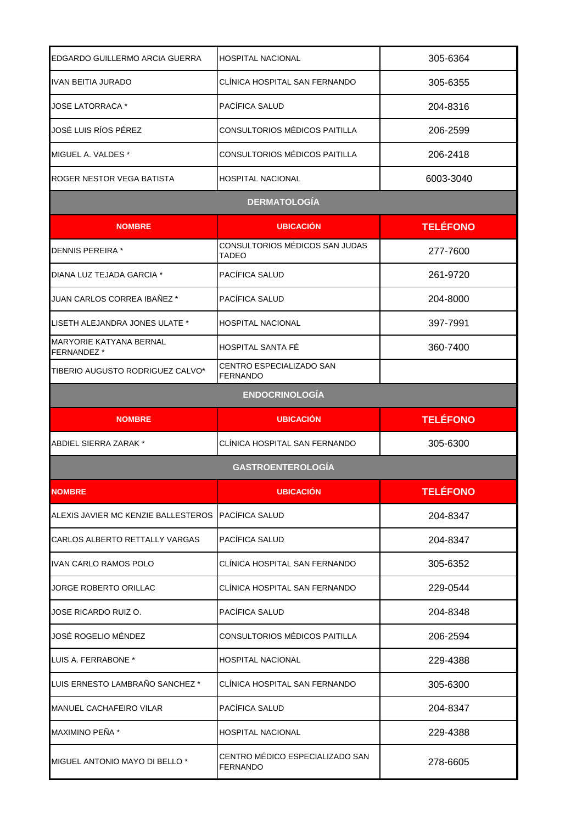| EDGARDO GUILLERMO ARCIA GUERRA                     | <b>HOSPITAL NACIONAL</b>                    | 305-6364        |
|----------------------------------------------------|---------------------------------------------|-----------------|
| IVAN BEITIA JURADO                                 | CLÍNICA HOSPITAL SAN FERNANDO               | 305-6355        |
| <b>JOSE LATORRACA *</b>                            | PACÍFICA SALUD                              | 204-8316        |
| JOSÉ LUIS RÍOS PÉREZ                               | CONSULTORIOS MÉDICOS PAITILLA               | 206-2599        |
| MIGUEL A. VALDES *                                 | CONSULTORIOS MÉDICOS PAITILLA               | 206-2418        |
| ROGER NESTOR VEGA BATISTA                          | <b>HOSPITAL NACIONAL</b>                    | 6003-3040       |
|                                                    | <b>DERMATOLOGÍA</b>                         |                 |
| <b>NOMBRE</b>                                      | <b>UBICACIÓN</b>                            | <b>TELÉFONO</b> |
| <b>DENNIS PEREIRA*</b>                             | CONSULTORIOS MÉDICOS SAN JUDAS<br>TADEO     | 277-7600        |
| DIANA LUZ TEJADA GARCIA *                          | PACÍFICA SALUD                              | 261-9720        |
| JUAN CARLOS CORREA IBAÑEZ *                        | PACÍFICA SALUD                              | 204-8000        |
| LISETH ALEJANDRA JONES ULATE *                     | <b>HOSPITAL NACIONAL</b>                    | 397-7991        |
| MARYORIE KATYANA BERNAL<br>FERNANDEZ *             | HOSPITAL SANTA FÉ                           | 360-7400        |
| TIBERIO AUGUSTO RODRIGUEZ CALVO*                   | CENTRO ESPECIALIZADO SAN<br><b>FERNANDO</b> |                 |
|                                                    | <b>ENDOCRINOLOGÍA</b>                       |                 |
| <b>NOMBRE</b>                                      | <b>UBICACION</b>                            | <b>TELÉFONO</b> |
|                                                    |                                             |                 |
| ABDIEL SIERRA ZARAK *                              | CLÍNICA HOSPITAL SAN FERNANDO               | 305-6300        |
|                                                    | <b>GASTROENTEROLOGÍA</b>                    |                 |
| <b>NOMBRE</b>                                      | <b>UBICACIÓN</b>                            | <b>TELÉFONO</b> |
| ALEXIS JAVIER MC KENZIE BALLESTEROS PACÍFICA SALUD |                                             | 204-8347        |
| CARLOS ALBERTO RETTALLY VARGAS                     | PACÍFICA SALUD                              | 204-8347        |
| IVAN CARLO RAMOS POLO                              | CLÍNICA HOSPITAL SAN FERNANDO               | 305-6352        |
| <b>JORGE ROBERTO ORILLAC</b>                       | CLÍNICA HOSPITAL SAN FERNANDO               | 229-0544        |
| JOSE RICARDO RUIZ O.                               | PACÍFICA SALUD                              | 204-8348        |
| JOSÉ ROGELIO MÉNDEZ                                | CONSULTORIOS MÉDICOS PAITILLA               | 206-2594        |
| LUIS A. FERRABONE *                                | <b>HOSPITAL NACIONAL</b>                    | 229-4388        |
| LUIS ERNESTO LAMBRAÑO SANCHEZ *                    | CLÍNICA HOSPITAL SAN FERNANDO               | 305-6300        |
| <b>MANUEL CACHAFEIRO VILAR</b>                     | PACIFICA SALUD                              | 204-8347        |
| MAXIMINO PEÑA *                                    | <b>HOSPITAL NACIONAL</b>                    | 229-4388        |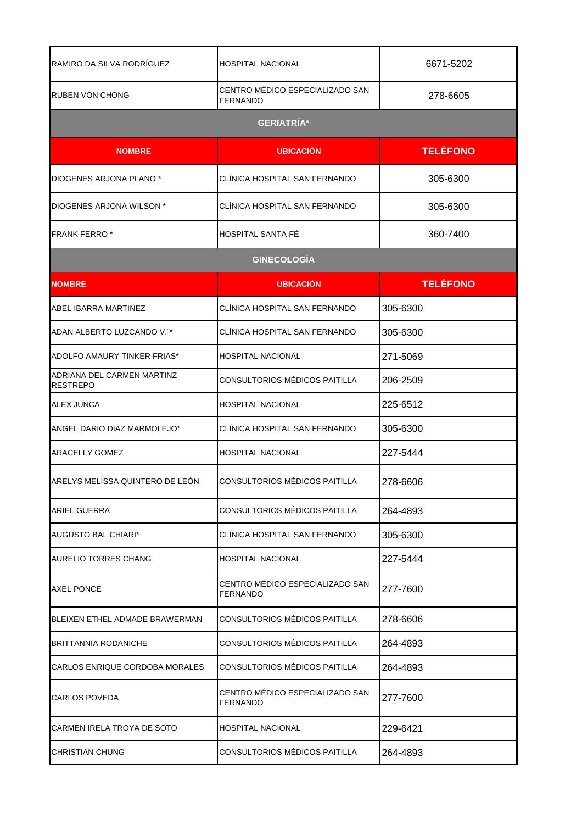| RAMIRO DA SILVA RODRÍGUEZ                     | <b>HOSPITAL NACIONAL</b>                           | 6671-5202       |
|-----------------------------------------------|----------------------------------------------------|-----------------|
| <b>RUBEN VON CHONG</b>                        | CENTRO MEDICO ESPECIALIZADO SAN<br><b>FERNANDO</b> | 278-6605        |
|                                               | <b>GERIATRÍA*</b>                                  |                 |
| <b>NOMBRE</b>                                 | <b>UBICACIÓN</b>                                   | <b>TELÉFONO</b> |
| DIOGENES ARJONA PLANO *                       | CLINICA HOSPITAL SAN FERNANDO                      | 305-6300        |
| DIOGENES ARJONA WILSON *                      | CLÍNICA HOSPITAL SAN FERNANDO                      | 305-6300        |
| <b>FRANK FERRO *</b>                          | <b>HOSPITAL SANTA FE</b>                           | 360-7400        |
|                                               | <b>GINECOLOGÍA</b>                                 |                 |
| <b>NOMBRE</b>                                 | <b>UBICACIÓN</b>                                   | <b>TELÉFONO</b> |
| ABEL IBARRA MARTINEZ                          | CLINICA HOSPITAL SAN FERNANDO                      | 305-6300        |
| ADAN ALBERTO LUZCANDO V."*                    | CLÍNICA HOSPITAL SAN FERNANDO                      | 305-6300        |
| ADOLFO AMAURY TINKER FRIAS*                   | <b>HOSPITAL NACIONAL</b>                           | 271-5069        |
| ADRIANA DEL CARMEN MARTINZ<br><b>RESTREPO</b> | CONSULTORIOS MÉDICOS PAITILLA                      | 206-2509        |
| <b>ALEX JUNCA</b>                             | <b>HOSPITAL NACIONAL</b>                           | 225-6512        |
| ANGEL DARIO DIAZ MARMOLEJO*                   | CLINICA HOSPITAL SAN FERNANDO                      | 305-6300        |
| <b>ARACELLY GOMEZ</b>                         | <b>HOSPITAL NACIONAL</b>                           | 227-5444        |
| ARELYS MELISSA QUINTERO DE LEÓN               | CONSULTORIOS MÉDICOS PAITILLA                      | 278-6606        |
| <b>ARIEL GUERRA</b>                           | CONSULTORIOS MÉDICOS PAITILLA                      | 264-4893        |
| <b>AUGUSTO BAL CHIARI*</b>                    | CLINICA HOSPITAL SAN FERNANDO                      | 305-6300        |
| <b>AURELIO TORRES CHANG</b>                   | <b>HOSPITAL NACIONAL</b>                           | 227-5444        |
| <b>AXEL PONCE</b>                             | CENTRO MÉDICO ESPECIALIZADO SAN<br><b>FERNANDO</b> | 277-7600        |
| BLEIXEN ETHEL ADMADE BRAWERMAN                | CONSULTORIOS MÉDICOS PAITILLA                      | 278-6606        |
| BRITTANNIA RODANICHE                          | CONSULTORIOS MÉDICOS PAITILLA                      | 264-4893        |
| CARLOS ENRIQUE CORDOBA MORALES                | CONSULTORIOS MÉDICOS PAITILLA                      | 264-4893        |
| <b>CARLOS POVEDA</b>                          | CENTRO MÉDICO ESPECIALIZADO SAN<br><b>FERNANDO</b> | 277-7600        |
| CARMEN IRELA TROYA DE SOTO                    | <b>HOSPITAL NACIONAL</b>                           | 229-6421        |
| <b>CHRISTIAN CHUNG</b>                        | CONSULTORIOS MÉDICOS PAITILLA                      | 264-4893        |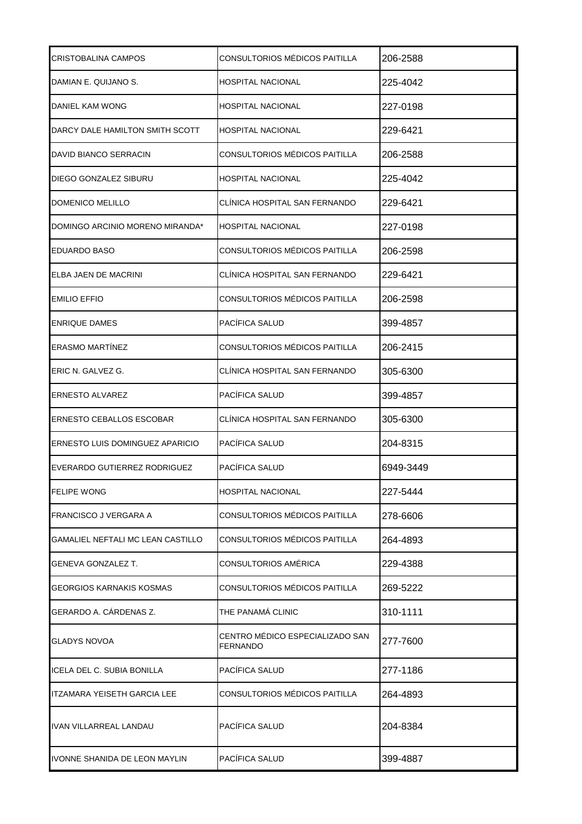| CRISTOBALINA CAMPOS               | CONSULTORIOS MÉDICOS PAITILLA               | 206-2588  |
|-----------------------------------|---------------------------------------------|-----------|
| DAMIAN E. QUIJANO S.              | HOSPITAL NACIONAL                           | 225-4042  |
| DANIEL KAM WONG                   | HOSPITAL NACIONAL                           | 227-0198  |
| DARCY DALE HAMILTON SMITH SCOTT   | HOSPITAL NACIONAL                           | 229-6421  |
| DAVID BIANCO SERRACIN             | CONSULTORIOS MÉDICOS PAITILLA               | 206-2588  |
| DIEGO GONZALEZ SIBURU             | HOSPITAL NACIONAL                           | 225-4042  |
| DOMENICO MELILLO                  | CLÍNICA HOSPITAL SAN FERNANDO               | 229-6421  |
| DOMINGO ARCINIO MORENO MIRANDA*   | <b>HOSPITAL NACIONAL</b>                    | 227-0198  |
| <b>EDUARDO BASO</b>               | CONSULTORIOS MÉDICOS PAITILLA               | 206-2598  |
| ELBA JAEN DE MACRINI              | CLÍNICA HOSPITAL SAN FERNANDO               | 229-6421  |
| <b>EMILIO EFFIO</b>               | CONSULTORIOS MÉDICOS PAITILLA               | 206-2598  |
| <b>ENRIQUE DAMES</b>              | PACÍFICA SALUD                              | 399-4857  |
| <b>ERASMO MARTINEZ</b>            | CONSULTORIOS MÉDICOS PAITILLA               | 206-2415  |
| ERIC N. GALVEZ G.                 | CLÍNICA HOSPITAL SAN FERNANDO               | 305-6300  |
| <b>ERNESTO ALVAREZ</b>            | PACÍFICA SALUD                              | 399-4857  |
| ERNESTO CEBALLOS ESCOBAR          | CLÍNICA HOSPITAL SAN FERNANDO               | 305-6300  |
| ERNESTO LUIS DOMINGUEZ APARICIO   | PACÍFICA SALUD                              | 204-8315  |
| EVERARDO GUTIERREZ RODRIGUEZ      | PACÍFICA SALUD                              | 6949-3449 |
| <b>FELIPE WONG</b>                | <b>HOSPITAL NACIONAL</b>                    | 227-5444  |
| FRANCISCO J VERGARA A             | CONSULTORIOS MÉDICOS PAITILLA               | 278-6606  |
| GAMALIEL NEFTALI MC LEAN CASTILLO | CONSULTORIOS MÉDICOS PAITILLA               | 264-4893  |
| <b>GENEVA GONZALEZ T.</b>         | CONSULTORIOS AMÉRICA                        | 229-4388  |
| <b>GEORGIOS KARNAKIS KOSMAS</b>   | CONSULTORIOS MÉDICOS PAITILLA               | 269-5222  |
| GERARDO A. CÁRDENAS Z.            | THE PANAMÁ CLINIC                           | 310-1111  |
| <b>GLADYS NOVOA</b>               | CENTRO MÉDICO ESPECIALIZADO SAN<br>FERNANDO | 277-7600  |
| ICELA DEL C. SUBIA BONILLA        | PACÍFICA SALUD                              | 277-1186  |
| ITZAMARA YEISETH GARCIA LEE       | CONSULTORIOS MÉDICOS PAITILLA               | 264-4893  |
| <b>IVAN VILLARREAL LANDAU</b>     | PACÍFICA SALUD                              | 204-8384  |
| IVONNE SHANIDA DE LEON MAYLIN     | PACÍFICA SALUD                              | 399-4887  |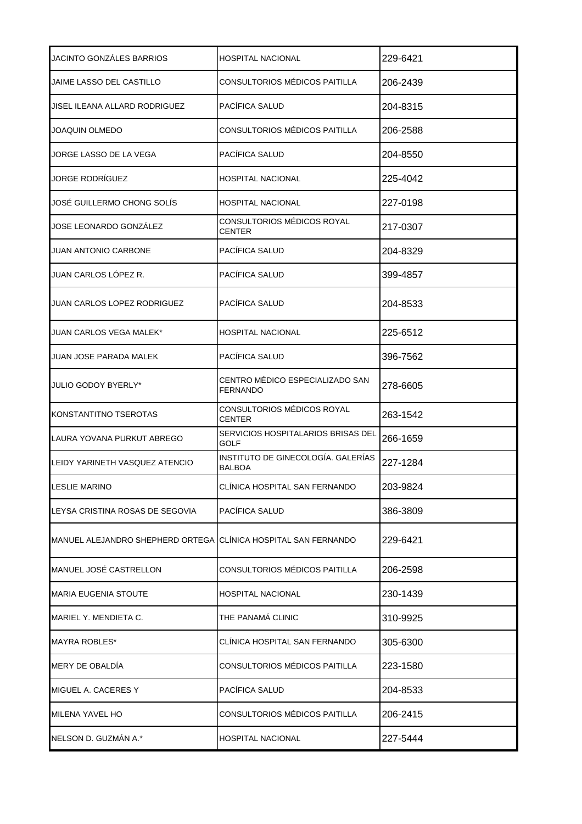| JACINTO GONZÁLES BARRIOS         | HOSPITAL NACIONAL                                   | 229-6421 |
|----------------------------------|-----------------------------------------------------|----------|
| JAIME LASSO DEL CASTILLO         | CONSULTORIOS MÉDICOS PAITILLA                       | 206-2439 |
| JISEL ILEANA ALLARD RODRIGUEZ    | PACÍFICA SALUD                                      | 204-8315 |
| JOAQUIN OLMEDO                   | CONSULTORIOS MÉDICOS PAITILLA                       | 206-2588 |
| JORGE LASSO DE LA VEGA           | PACÍFICA SALUD                                      | 204-8550 |
| JORGE RODRÍGUEZ                  | <b>HOSPITAL NACIONAL</b>                            | 225-4042 |
| JOSÉ GUILLERMO CHONG SOLÍS       | <b>HOSPITAL NACIONAL</b>                            | 227-0198 |
| JOSE LEONARDO GONZÁLEZ           | CONSULTORIOS MÉDICOS ROYAL<br>CENTER                | 217-0307 |
| JUAN ANTONIO CARBONE             | PACÍFICA SALUD                                      | 204-8329 |
| JUAN CARLOS LÓPEZ R.             | PACÍFICA SALUD                                      | 399-4857 |
| JUAN CARLOS LOPEZ RODRIGUEZ      | PACÍFICA SALUD                                      | 204-8533 |
| JUAN CARLOS VEGA MALEK*          | HOSPITAL NACIONAL                                   | 225-6512 |
| JUAN JOSE PARADA MALEK           | PACÍFICA SALUD                                      | 396-7562 |
| JULIO GODOY BYERLY*              | CENTRO MÉDICO ESPECIALIZADO SAN<br><b>FERNANDO</b>  | 278-6605 |
| KONSTANTITNO TSEROTAS            | CONSULTORIOS MÉDICOS ROYAL<br><b>CENTER</b>         | 263-1542 |
| LAURA YOVANA PURKUT ABREGO       | SERVICIOS HOSPITALARIOS BRISAS DEL<br>GOLF          | 266-1659 |
| LEIDY YARINETH VASQUEZ ATENCIO   | INSTITUTO DE GINECOLOGÍA. GALERÍAS<br><b>BALBOA</b> | 227-1284 |
| LESLIE MARINO                    | CLÍNICA HOSPITAL SAN FERNANDO                       | 203-9824 |
| LEYSA CRISTINA ROSAS DE SEGOVIA  | PACÍFICA SALUD                                      | 386-3809 |
| MANUEL ALEJANDRO SHEPHERD ORTEGA | CLÍNICA HOSPITAL SAN FERNANDO                       | 229-6421 |
| MANUEL JOSÉ CASTRELLON           | CONSULTORIOS MÉDICOS PAITILLA                       | 206-2598 |
| <b>MARIA EUGENIA STOUTE</b>      | HOSPITAL NACIONAL                                   | 230-1439 |
| MARIEL Y. MENDIETA C.            | THE PANAMÁ CLINIC                                   | 310-9925 |
| MAYRA ROBLES*                    | CLÍNICA HOSPITAL SAN FERNANDO                       | 305-6300 |
| MERY DE OBALDÍA                  | CONSULTORIOS MÉDICOS PAITILLA                       | 223-1580 |
| MIGUEL A. CACERES Y              | PACÍFICA SALUD                                      | 204-8533 |
| MILENA YAVEL HO                  | CONSULTORIOS MÉDICOS PAITILLA                       | 206-2415 |
| NELSON D. GUZMÁN A.*             | HOSPITAL NACIONAL                                   | 227-5444 |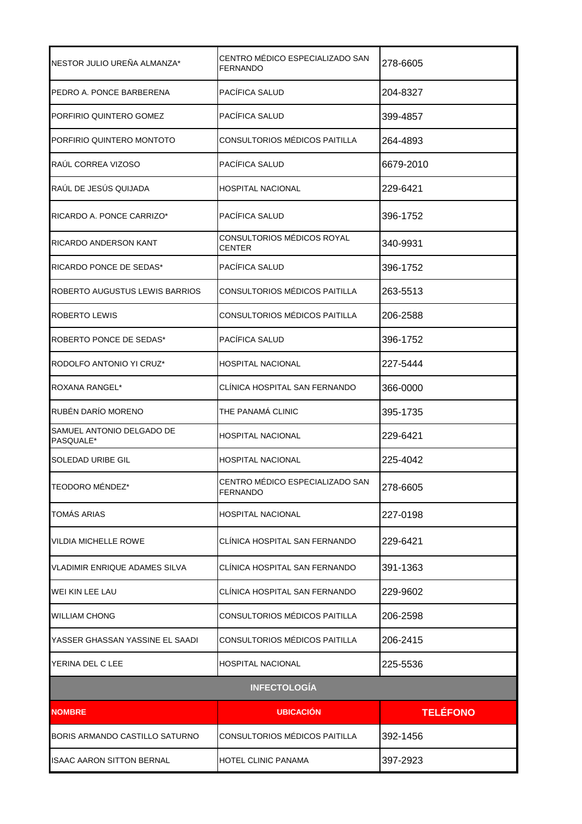| NESTOR JULIO UREÑA ALMANZA*            | CENTRO MÉDICO ESPECIALIZADO SAN<br>FERNANDO        | 278-6605        |
|----------------------------------------|----------------------------------------------------|-----------------|
| PEDRO A. PONCE BARBERENA               | PACÍFICA SALUD                                     | 204-8327        |
| PORFIRIO QUINTERO GOMEZ                | PACÍFICA SALUD                                     | 399-4857        |
| PORFIRIO QUINTERO MONTOTO              | CONSULTORIOS MÉDICOS PAITILLA                      | 264-4893        |
| RAÚL CORREA VIZOSO                     | PACÍFICA SALUD                                     | 6679-2010       |
| RAÚL DE JESÚS QUIJADA                  | HOSPITAL NACIONAL                                  | 229-6421        |
| RICARDO A. PONCE CARRIZO*              | PACÍFICA SALUD                                     | 396-1752        |
| <b>RICARDO ANDERSON KANT</b>           | CONSULTORIOS MÉDICOS ROYAL<br><b>CENTER</b>        | 340-9931        |
| RICARDO PONCE DE SEDAS*                | PACÍFICA SALUD                                     | 396-1752        |
| ROBERTO AUGUSTUS LEWIS BARRIOS         | CONSULTORIOS MÉDICOS PAITILLA                      | 263-5513        |
| <b>ROBERTO LEWIS</b>                   | CONSULTORIOS MÉDICOS PAITILLA                      | 206-2588        |
| ROBERTO PONCE DE SEDAS*                | PACÍFICA SALUD                                     | 396-1752        |
| RODOLFO ANTONIO YI CRUZ*               | HOSPITAL NACIONAL                                  | 227-5444        |
| ROXANA RANGEL*                         | CLÍNICA HOSPITAL SAN FERNANDO                      | 366-0000        |
| RUBÉN DARÍO MORENO                     | THE PANAMÁ CLINIC                                  | 395-1735        |
| SAMUEL ANTONIO DELGADO DE<br>PASQUALE* | HOSPITAL NACIONAL                                  | 229-6421        |
| <b>SOLEDAD URIBE GIL</b>               | HOSPITAL NACIONAL                                  | 225-4042        |
| TEODORO MÉNDEZ*                        | CENTRO MÉDICO ESPECIALIZADO SAN<br><b>FERNANDO</b> | 278-6605        |
| TOMÁS ARIAS                            | HOSPITAL NACIONAL                                  | 227-0198        |
| <b>VILDIA MICHELLE ROWE</b>            | CLÍNICA HOSPITAL SAN FERNANDO                      | 229-6421        |
| <b>VLADIMIR ENRIQUE ADAMES SILVA</b>   | CLÍNICA HOSPITAL SAN FERNANDO                      | 391-1363        |
| WEI KIN LEE LAU                        | CLÍNICA HOSPITAL SAN FERNANDO                      | 229-9602        |
| <b>WILLIAM CHONG</b>                   | CONSULTORIOS MÉDICOS PAITILLA                      | 206-2598        |
| lYASSER GHASSAN YASSINE EL SAADI       | CONSULTORIOS MÉDICOS PAITILLA                      | 206-2415        |
| YERINA DEL C LEE                       | HOSPITAL NACIONAL                                  | 225-5536        |
|                                        | <b>INFECTOLOGÍA</b>                                |                 |
| <b>NOMBRE</b>                          | <b>UBICACION</b>                                   | <b>TELÉFONO</b> |
| BORIS ARMANDO CASTILLO SATURNO         | CONSULTORIOS MÉDICOS PAITILLA                      | 392-1456        |
| <b>ISAAC AARON SITTON BERNAL</b>       | HOTEL CLINIC PANAMA                                | 397-2923        |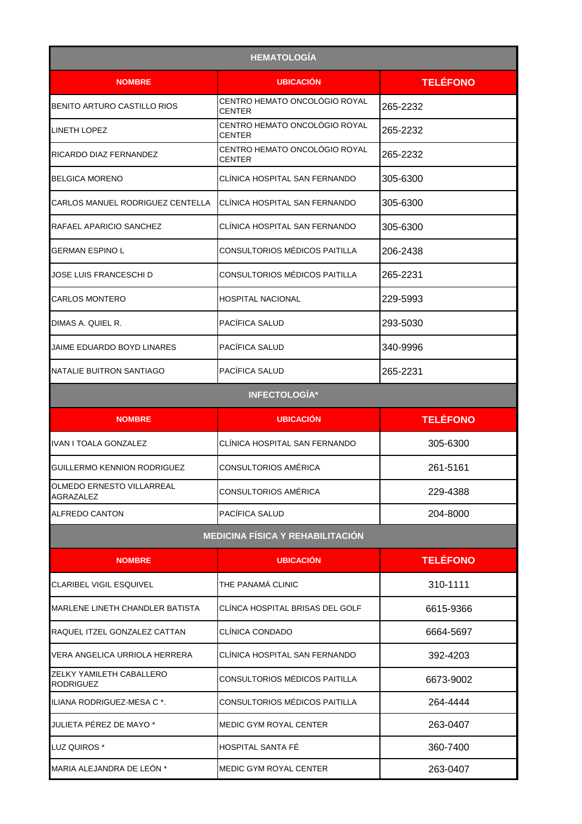| <b>HEMATOLOGÍA</b>                            |                                                |                 |
|-----------------------------------------------|------------------------------------------------|-----------------|
| <b>NOMBRE</b>                                 | <b>UBICACIÓN</b>                               | <b>TELÉFONO</b> |
| BENITO ARTURO CASTILLO RIOS                   | CENTRO HEMATO ONCOLÓGIO ROYAL<br><b>CENTER</b> | 265-2232        |
| <b>LINETH LOPEZ</b>                           | CENTRO HEMATO ONCOLÓGIO ROYAL<br><b>CENTER</b> | 265-2232        |
| RICARDO DIAZ FERNANDEZ                        | CENTRO HEMATO ONCOLÓGIO ROYAL<br><b>CENTER</b> | 265-2232        |
| <b>BELGICA MORENO</b>                         | CLÍNICA HOSPITAL SAN FERNANDO                  | 305-6300        |
| CARLOS MANUEL RODRIGUEZ CENTELLA              | CLÍNICA HOSPITAL SAN FERNANDO                  | 305-6300        |
| RAFAEL APARICIO SANCHEZ                       | CLÍNICA HOSPITAL SAN FERNANDO                  | 305-6300        |
| <b>GERMAN ESPINO L</b>                        | CONSULTORIOS MÉDICOS PAITILLA                  | 206-2438        |
| JOSE LUIS FRANCESCHI D                        | CONSULTORIOS MÉDICOS PAITILLA                  | 265-2231        |
| <b>CARLOS MONTERO</b>                         | <b>HOSPITAL NACIONAL</b>                       | 229-5993        |
| DIMAS A. QUIEL R.                             | PACÍFICA SALUD                                 | 293-5030        |
| JAIME EDUARDO BOYD LINARES                    | PACÍFICA SALUD                                 | 340-9996        |
| NATALIE BUITRON SANTIAGO                      | PACIFICA SALUD                                 | 265-2231        |
|                                               | <b>INFECTOLOGÍA*</b>                           |                 |
| <b>NOMBRE</b>                                 | <b>UBICACIÓN</b>                               | <b>TELÉFONO</b> |
| IVAN I TOALA GONZALEZ                         | CLÍNICA HOSPITAL SAN FERNANDO                  | 305-6300        |
| GUILLERMO KENNION RODRIGUEZ                   | CONSULTORIOS AMÉRICA                           | 261-5161        |
| OLMEDO ERNESTO VILLARREAL<br><b>AGRAZALEZ</b> | CONSULTORIOS AMÉRICA                           | 229-4388        |
| <b>ALFREDO CANTON</b>                         | PACÍFICA SALUD                                 | 204-8000        |
|                                               | <b>MEDICINA FÍSICA Y REHABILITACIÓN</b>        |                 |
| <b>NOMBRE</b>                                 | <b>UBICACIÓN</b>                               | <b>TELÉFONO</b> |
| <b>CLARIBEL VIGIL ESQUIVEL</b>                | THE PANAMÁ CLINIC                              | 310-1111        |
| <b>MARLENE LINETH CHANDLER BATISTA</b>        | CLÍNCA HOSPITAL BRISAS DEL GOLF                | 6615-9366       |
| RAQUEL ITZEL GONZALEZ CATTAN                  | CLÍNICA CONDADO                                | 6664-5697       |
| VERA ANGELICA URRIOLA HERRERA                 | CLÍNICA HOSPITAL SAN FERNANDO                  | 392-4203        |
| ZELKY YAMILETH CABALLERO<br><b>RODRIGUEZ</b>  | CONSULTORIOS MÉDICOS PAITILLA                  | 6673-9002       |
| ILIANA RODRIGUEZ-MESA C *.                    | CONSULTORIOS MÉDICOS PAITILLA                  | 264-4444        |
| JULIETA PÉREZ DE MAYO *                       | <b>MEDIC GYM ROYAL CENTER</b>                  | 263-0407        |
| LUZ QUIROS *                                  | HOSPITAL SANTA FÉ                              | 360-7400        |
| MARIA ALEJANDRA DE LEÓN *                     | MEDIC GYM ROYAL CENTER                         | 263-0407        |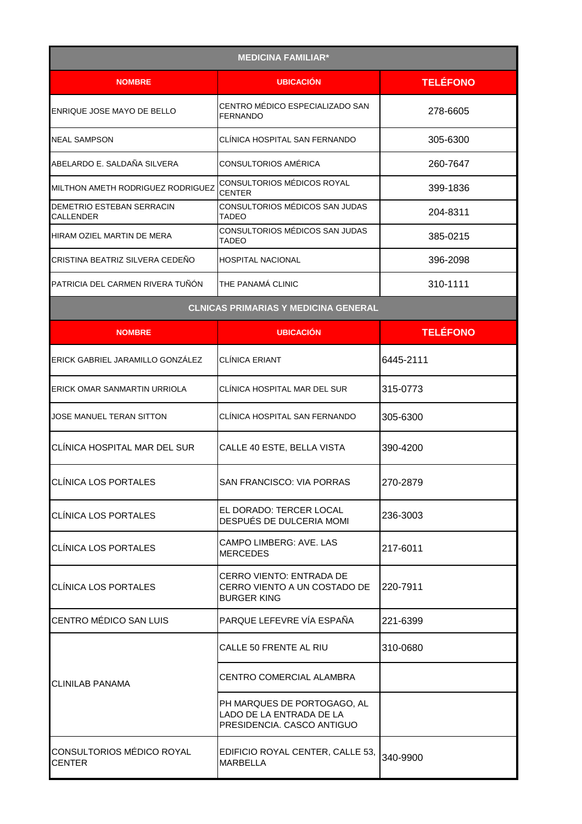| <b>MEDICINA FAMILIAR*</b>                     |                                                                                       |                 |
|-----------------------------------------------|---------------------------------------------------------------------------------------|-----------------|
| <b>NOMBRE</b>                                 | <b>UBICACIÓN</b>                                                                      | <b>TELÉFONO</b> |
| ENRIQUE JOSE MAYO DE BELLO                    | CENTRO MÉDICO ESPECIALIZADO SAN<br><b>FERNANDO</b>                                    | 278-6605        |
| <b>NEAL SAMPSON</b>                           | CLÍNICA HOSPITAL SAN FERNANDO                                                         | 305-6300        |
| ABELARDO E. SALDAÑA SILVERA                   | CONSULTORIOS AMÉRICA                                                                  | 260-7647        |
| MILTHON AMETH RODRIGUEZ RODRIGUEZ             | CONSULTORIOS MÉDICOS ROYAL<br><b>CENTER</b>                                           | 399-1836        |
| DEMETRIO ESTEBAN SERRACIN<br><b>CALLENDER</b> | CONSULTORIOS MÉDICOS SAN JUDAS<br><b>TADEO</b>                                        | 204-8311        |
| HIRAM OZIEL MARTIN DE MERA                    | CONSULTORIOS MÉDICOS SAN JUDAS<br>TADEO                                               | 385-0215        |
| CRISTINA BEATRIZ SILVERA CEDEÑO               | <b>HOSPITAL NACIONAL</b>                                                              | 396-2098        |
| PATRICIA DEL CARMEN RIVERA TUÑÓN              | THE PANAMÁ CLINIC                                                                     | 310-1111        |
|                                               | <b>CLNICAS PRIMARIAS Y MEDICINA GENERAL</b>                                           |                 |
| <b>NOMBRE</b>                                 | <b>UBICACIÓN</b>                                                                      | <b>TELÉFONO</b> |
| ERICK GABRIEL JARAMILLO GONZÁLEZ              | <b>CLINICA ERIANT</b>                                                                 | 6445-2111       |
| ERICK OMAR SANMARTIN URRIOLA                  | CLÍNICA HOSPITAL MAR DEL SUR                                                          | 315-0773        |
| JOSE MANUEL TERAN SITTON                      | CLÍNICA HOSPITAL SAN FERNANDO                                                         | 305-6300        |
| CLÍNICA HOSPITAL MAR DEL SUR                  | CALLE 40 ESTE, BELLA VISTA                                                            | 390-4200        |
| CLÍNICA LOS PORTALES                          | SAN FRANCISCO: VIA PORRAS                                                             | 270-2879        |
| <b>CLÍNICA LOS PORTALES</b>                   | EL DORADO: TERCER LOCAL<br>DESPUÉS DE DULCERIA MOMI                                   | 236-3003        |
| CLÍNICA LOS PORTALES                          | CAMPO LIMBERG: AVE. LAS<br><b>MERCEDES</b>                                            | 217-6011        |
| <b>CLÍNICA LOS PORTALES</b>                   | CERRO VIENTO: ENTRADA DE<br>CERRO VIENTO A UN COSTADO DE<br><b>BURGER KING</b>        | 220-7911        |
| <b>CENTRO MÉDICO SAN LUIS</b>                 | PARQUE LEFEVRE VÍA ESPAÑA                                                             | 221-6399        |
|                                               | CALLE 50 FRENTE AL RIU                                                                | 310-0680        |
| ICLINILAB PANAMA                              | CENTRO COMERCIAL ALAMBRA                                                              |                 |
|                                               | PH MARQUES DE PORTOGAGO, AL<br>LADO DE LA ENTRADA DE LA<br>PRESIDENCIA. CASCO ANTIGUO |                 |
| CONSULTORIOS MÉDICO ROYAL<br><b>CENTER</b>    | EDIFICIO ROYAL CENTER, CALLE 53,<br><b>MARBELLA</b>                                   | 340-9900        |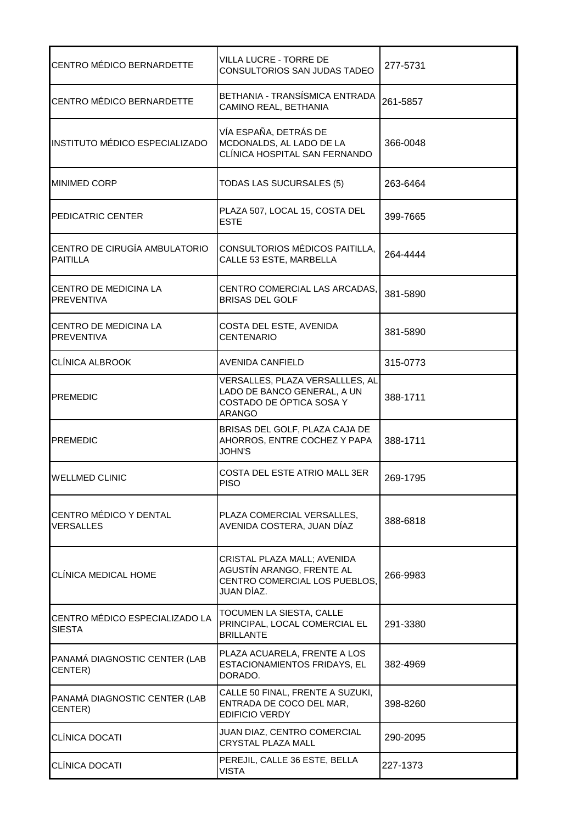| CENTRO MÉDICO BERNARDETTE                        | VILLA LUCRE - TORRE DE<br>CONSULTORIOS SAN JUDAS TADEO                                                      | 277-5731 |
|--------------------------------------------------|-------------------------------------------------------------------------------------------------------------|----------|
| <b>CENTRO MÉDICO BERNARDETTE</b>                 | BETHANIA - TRANSÍSMICA ENTRADA<br>CAMINO REAL, BETHANIA                                                     | 261-5857 |
| INSTITUTO MÉDICO ESPECIALIZADO                   | VÍA ESPAÑA, DETRÁS DE<br>MCDONALDS, AL LADO DE LA<br>CLÍNICA HOSPITAL SAN FERNANDO                          | 366-0048 |
| <b>MINIMED CORP</b>                              | TODAS LAS SUCURSALES (5)                                                                                    | 263-6464 |
| PEDICATRIC CENTER                                | PLAZA 507, LOCAL 15, COSTA DEL<br><b>ESTE</b>                                                               | 399-7665 |
| CENTRO DE CIRUGÍA AMBULATORIO<br><b>PAITILLA</b> | CONSULTORIOS MÉDICOS PAITILLA,<br>CALLE 53 ESTE, MARBELLA                                                   | 264-4444 |
| CENTRO DE MEDICINA LA<br><b>PREVENTIVA</b>       | CENTRO COMERCIAL LAS ARCADAS,<br><b>BRISAS DEL GOLF</b>                                                     | 381-5890 |
| CENTRO DE MEDICINA LA<br><b>PREVENTIVA</b>       | COSTA DEL ESTE, AVENIDA<br><b>CENTENARIO</b>                                                                | 381-5890 |
| CLÍNICA ALBROOK                                  | AVENIDA CANFIELD                                                                                            | 315-0773 |
| <b>PREMEDIC</b>                                  | VERSALLES, PLAZA VERSALLLES, AL<br>LADO DE BANCO GENERAL, A UN<br>COSTADO DE ÓPTICA SOSA Y<br><b>ARANGO</b> | 388-1711 |
| <b>PREMEDIC</b>                                  | BRISAS DEL GOLF, PLAZA CAJA DE<br>AHORROS, ENTRE COCHEZ Y PAPA<br><b>JOHN'S</b>                             | 388-1711 |
| <b>WELLMED CLINIC</b>                            | COSTA DEL ESTE ATRIO MALL 3ER<br><b>PISO</b>                                                                | 269-1795 |
| CENTRO MÉDICO Y DENTAL<br><b>VERSALLES</b>       | PLAZA COMERCIAL VERSALLES,<br>AVENIDA COSTERA, JUAN DÍAZ                                                    | 388-6818 |
| <b>CLÍNICA MEDICAL HOME</b>                      | CRISTAL PLAZA MALL; AVENIDA<br>AGUSTÍN ARANGO, FRENTE AL<br>CENTRO COMERCIAL LOS PUEBLOS.<br>JUAN DÍAZ.     | 266-9983 |
| CENTRO MÉDICO ESPECIALIZADO LA<br><b>SIESTA</b>  | TOCUMEN LA SIESTA, CALLE<br>PRINCIPAL, LOCAL COMERCIAL EL<br><b>BRILLANTE</b>                               | 291-3380 |
| PANAMÁ DIAGNOSTIC CENTER (LAB<br>CENTER)         | PLAZA ACUARELA, FRENTE A LOS<br>ESTACIONAMIENTOS FRIDAYS, EL<br>DORADO.                                     | 382-4969 |
| PANAMÁ DIAGNOSTIC CENTER (LAB<br>CENTER)         | CALLE 50 FINAL, FRENTE A SUZUKI,<br>ENTRADA DE COCO DEL MAR,<br><b>EDIFICIO VERDY</b>                       | 398-8260 |
| <b>CLÍNICA DOCATI</b>                            | JUAN DIAZ, CENTRO COMERCIAL<br>CRYSTAL PLAZA MALL                                                           | 290-2095 |
| <b>CLINICA DOCATI</b>                            | PEREJIL, CALLE 36 ESTE, BELLA<br><b>VISTA</b>                                                               | 227-1373 |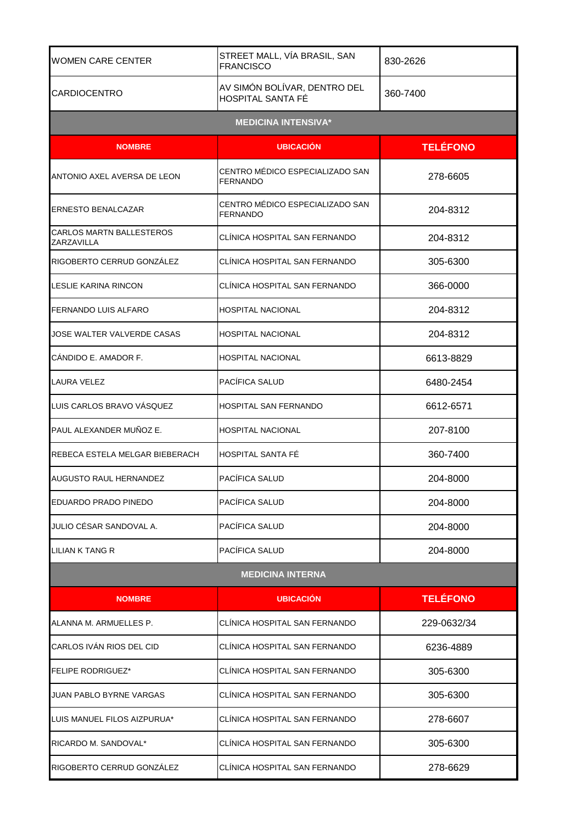| <b>WOMEN CARE CENTER</b>                      | STREET MALL, VÍA BRASIL, SAN<br><b>FRANCISCO</b>         | 830-2626        |
|-----------------------------------------------|----------------------------------------------------------|-----------------|
| <b>CARDIOCENTRO</b>                           | AV SIMÓN BOLÍVAR, DENTRO DEL<br><b>HOSPITAL SANTA FÉ</b> | 360-7400        |
|                                               | <b>MEDICINA INTENSIVA*</b>                               |                 |
| <b>NOMBRE</b>                                 | <b>UBICACIÓN</b>                                         | <b>TELÉFONO</b> |
| ANTONIO AXEL AVERSA DE LEON                   | CENTRO MÉDICO ESPECIALIZADO SAN<br><b>FERNANDO</b>       | 278-6605        |
| ERNESTO BENALCAZAR                            | CENTRO MÉDICO ESPECIALIZADO SAN<br><b>FERNANDO</b>       | 204-8312        |
| <b>CARLOS MARTN BALLESTEROS</b><br>ZARZAVILLA | CLÍNICA HOSPITAL SAN FERNANDO                            | 204-8312        |
| RIGOBERTO CERRUD GONZÁLEZ                     | CLÍNICA HOSPITAL SAN FERNANDO                            | 305-6300        |
| LESLIE KARINA RINCON                          | CLÍNICA HOSPITAL SAN FERNANDO                            | 366-0000        |
| <b>FERNANDO LUIS ALFARO</b>                   | <b>HOSPITAL NACIONAL</b>                                 | 204-8312        |
| JOSE WALTER VALVERDE CASAS                    | <b>HOSPITAL NACIONAL</b>                                 | 204-8312        |
| CÁNDIDO E. AMADOR F.                          | <b>HOSPITAL NACIONAL</b>                                 | 6613-8829       |
| <b>LAURA VELEZ</b>                            | PACÍFICA SALUD                                           | 6480-2454       |
| LUIS CARLOS BRAVO VÁSQUEZ                     | HOSPITAL SAN FERNANDO                                    | 6612-6571       |
| PAUL ALEXANDER MUÑOZ E.                       | <b>HOSPITAL NACIONAL</b>                                 | 207-8100        |
| REBECA ESTELA MELGAR BIEBERACH                | HOSPITAL SANTA FÉ                                        | 360-7400        |
| AUGUSTO RAUL HERNANDEZ                        | <b>PACÍFICA SALUD</b>                                    | 204-8000        |
| EDUARDO PRADO PINEDO                          | PACÍFICA SALUD                                           | 204-8000        |
| JULIO CÉSAR SANDOVAL A.                       | PACÍFICA SALUD                                           | 204-8000        |
| LILIAN K TANG R                               | PACÍFICA SALUD                                           | 204-8000        |
|                                               | <b>MEDICINA INTERNA</b>                                  |                 |
| <b>NOMBRE</b>                                 | <b>UBICACION</b>                                         | <b>TELÉFONO</b> |
| ALANNA M. ARMUELLES P.                        | CLÍNICA HOSPITAL SAN FERNANDO                            | 229-0632/34     |
| CARLOS IVÁN RIOS DEL CID                      | CLINICA HOSPITAL SAN FERNANDO                            | 6236-4889       |
| <b>FELIPE RODRIGUEZ*</b>                      | CLINICA HOSPITAL SAN FERNANDO                            | 305-6300        |
| JUAN PABLO BYRNE VARGAS                       | CLÍNICA HOSPITAL SAN FERNANDO                            | 305-6300        |
| LUIS MANUEL FILOS AIZPURUA*                   | CLÍNICA HOSPITAL SAN FERNANDO                            | 278-6607        |
| RICARDO M. SANDOVAL*                          | CLINICA HOSPITAL SAN FERNANDO                            | 305-6300        |
| RIGOBERTO CERRUD GONZÁLEZ                     | CLÍNICA HOSPITAL SAN FERNANDO                            | 278-6629        |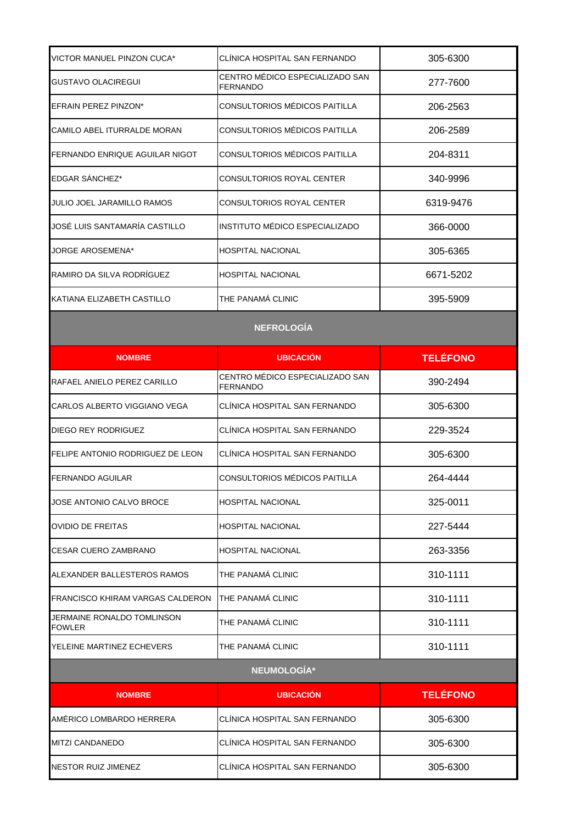| VICTOR MANUEL PINZON CUCA*                  | CLÍNICA HOSPITAL SAN FERNANDO                      | 305-6300        |  |
|---------------------------------------------|----------------------------------------------------|-----------------|--|
| GUSTAVO OLACIREGUI                          | CENTRO MÉDICO ESPECIALIZADO SAN<br><b>FERNANDO</b> | 277-7600        |  |
| EFRAIN PEREZ PINZON*                        | CONSULTORIOS MÉDICOS PAITILLA                      | 206-2563        |  |
| CAMILO ABEL ITURRALDE MORAN                 | CONSULTORIOS MÉDICOS PAITILLA                      | 206-2589        |  |
| FERNANDO ENRIQUE AGUILAR NIGOT              | CONSULTORIOS MÉDICOS PAITILLA                      | 204-8311        |  |
| EDGAR SÁNCHEZ*                              | <b>CONSULTORIOS ROYAL CENTER</b>                   | 340-9996        |  |
| JULIO JOEL JARAMILLO RAMOS                  | CONSULTORIOS ROYAL CENTER                          | 6319-9476       |  |
| JOSÉ LUIS SANTAMARÍA CASTILLO               | INSTITUTO MÉDICO ESPECIALIZADO                     | 366-0000        |  |
| JORGE AROSEMENA*                            | <b>HOSPITAL NACIONAL</b>                           | 305-6365        |  |
| RAMIRO DA SILVA RODRÍGUEZ                   | <b>HOSPITAL NACIONAL</b>                           | 6671-5202       |  |
| KATIANA ELIZABETH CASTILLO                  | THE PANAMÁ CLINIC                                  | 395-5909        |  |
| <b>NEFROLOGÍA</b>                           |                                                    |                 |  |
| <b>NOMBRE</b>                               | <b>UBICACIÓN</b>                                   | <b>TELÉFONO</b> |  |
| RAFAEL ANIELO PEREZ CARILLO                 | CENTRO MÉDICO ESPECIALIZADO SAN<br><b>FERNANDO</b> | 390-2494        |  |
| CARLOS ALBERTO VIGGIANO VEGA                | CLINICA HOSPITAL SAN FERNANDO                      | 305-6300        |  |
| DIEGO REY RODRIGUEZ                         | CLÍNICA HOSPITAL SAN FERNANDO                      | 229-3524        |  |
| FELIPE ANTONIO RODRIGUEZ DE LEON            | CLÍNICA HOSPITAL SAN FERNANDO                      | 305-6300        |  |
| <b>FERNANDO AGUILAR</b>                     | CONSULTORIOS MÉDICOS PAITILLA                      | 264-4444        |  |
| JOSE ANTONIO CALVO BROCE                    | <b>HOSPITAL NACIONAL</b>                           | 325-0011        |  |
| OVIDIO DE FREITAS                           | <b>HOSPITAL NACIONAL</b>                           | 227-5444        |  |
| CESAR CUERO ZAMBRANO                        | <b>HOSPITAL NACIONAL</b>                           | 263-3356        |  |
| ALEXANDER BALLESTEROS RAMOS                 | THE PANAMÁ CLINIC                                  | 310-1111        |  |
| FRANCISCO KHIRAM VARGAS CALDERON            | <b>THE PANAMÁ CLINIC</b>                           | 310-1111        |  |
| JERMAINE RONALDO TOMLINSON<br><b>FOWLER</b> | THE PANAMÁ CLINIC                                  | 310-1111        |  |
| YELEINE MARTINEZ ECHEVERS                   | THE PANAMÁ CLINIC                                  | 310-1111        |  |
|                                             | NEUMOLOGÍA*                                        |                 |  |
| <b>NOMBRE</b>                               | <b>UBICACIÓN</b>                                   | <b>TELÉFONO</b> |  |
| AMÉRICO LOMBARDO HERRERA                    | CLÍNICA HOSPITAL SAN FERNANDO                      | 305-6300        |  |
| MITZI CANDANEDO                             | CLÍNICA HOSPITAL SAN FERNANDO                      | 305-6300        |  |
| NESTOR RUIZ JIMENEZ                         | CLÍNICA HOSPITAL SAN FERNANDO                      | 305-6300        |  |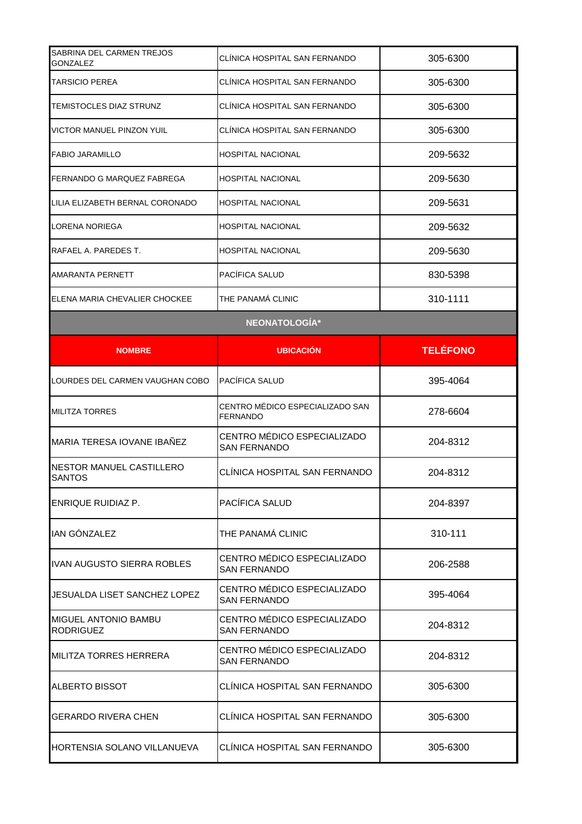| SABRINA DEL CARMEN TREJOS<br><b>GONZALEZ</b>    | CLÍNICA HOSPITAL SAN FERNANDO                      | 305-6300        |
|-------------------------------------------------|----------------------------------------------------|-----------------|
| TARSICIO PEREA                                  | CLINICA HOSPITAL SAN FERNANDO                      | 305-6300        |
| <b>TEMISTOCLES DIAZ STRUNZ</b>                  | CLINICA HOSPITAL SAN FERNANDO                      | 305-6300        |
| VICTOR MANUEL PINZON YUIL                       | CLÍNICA HOSPITAL SAN FERNANDO                      | 305-6300        |
| <b>FABIO JARAMILLO</b>                          | <b>HOSPITAL NACIONAL</b>                           | 209-5632        |
| FERNANDO G MARQUEZ FABREGA                      | HOSPITAL NACIONAL                                  | 209-5630        |
| LILIA ELIZABETH BERNAL CORONADO                 | <b>HOSPITAL NACIONAL</b>                           | 209-5631        |
| LORENA NORIEGA                                  | HOSPITAL NACIONAL                                  | 209-5632        |
| RAFAEL A. PAREDES T.                            | <b>HOSPITAL NACIONAL</b>                           | 209-5630        |
| AMARANTA PERNETT                                | PACÍFICA SALUD                                     | 830-5398        |
| ELENA MARIA CHEVALIER CHOCKEE                   | THE PANAMÁ CLINIC                                  | 310-1111        |
|                                                 | NEONATOLOGÍA*                                      |                 |
| <b>NOMBRE</b>                                   | <b>UBICACION</b>                                   | <b>TELÉFONO</b> |
| LOURDES DEL CARMEN VAUGHAN COBO                 | PACÍFICA SALUD                                     | 395-4064        |
| <b>MILITZA TORRES</b>                           | CENTRO MÉDICO ESPECIALIZADO SAN<br><b>FERNANDO</b> | 278-6604        |
| MARIA TERESA IOVANE IBAÑEZ                      | CENTRO MÉDICO ESPECIALIZADO<br><b>SAN FERNANDO</b> | 204-8312        |
| NESTOR MANUEL CASTILLERO<br><b>SANTOS</b>       | CLÍNICA HOSPITAL SAN FERNANDO                      | 204-8312        |
| ENRIQUE RUIDIAZ P.                              | PACÍFICA SALUD                                     | 204-8397        |
| IAN GÓNZALEZ                                    | THE PANAMÁ CLINIC                                  | 310-111         |
| <b>IVAN AUGUSTO SIERRA ROBLES</b>               | CENTRO MÉDICO ESPECIALIZADO<br><b>SAN FERNANDO</b> | 206-2588        |
| JESUALDA LISET SANCHEZ LOPEZ                    | CENTRO MÉDICO ESPECIALIZADO<br><b>SAN FERNANDO</b> | 395-4064        |
| <b>MIGUEL ANTONIO BAMBU</b><br><b>RODRIGUEZ</b> | CENTRO MÉDICO ESPECIALIZADO<br><b>SAN FERNANDO</b> | 204-8312        |
| <b>MILITZA TORRES HERRERA</b>                   | CENTRO MÉDICO ESPECIALIZADO<br><b>SAN FERNANDO</b> | 204-8312        |
| ALBERTO BISSOT                                  | CLÍNICA HOSPITAL SAN FERNANDO                      | 305-6300        |
| <b>GERARDO RIVERA CHEN</b>                      | CLÍNICA HOSPITAL SAN FERNANDO                      | 305-6300        |
| HORTENSIA SOLANO VILLANUEVA                     | CLÍNICA HOSPITAL SAN FERNANDO                      | 305-6300        |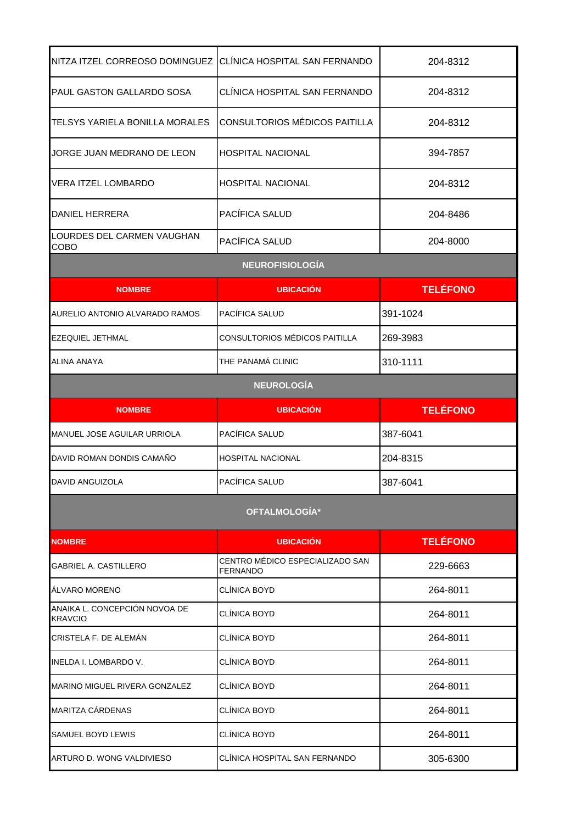| NITZA ITZEL CORREOSO DOMINGUEZ CLÍNICA HOSPITAL SAN FERNANDO |                                                    | 204-8312        |
|--------------------------------------------------------------|----------------------------------------------------|-----------------|
| PAUL GASTON GALLARDO SOSA                                    | CLÍNICA HOSPITAL SAN FERNANDO                      | 204-8312        |
| TELSYS YARIELA BONILLA MORALES                               | CONSULTORIOS MÉDICOS PAITILLA                      | 204-8312        |
| JORGE JUAN MEDRANO DE LEON                                   | <b>HOSPITAL NACIONAL</b>                           | 394-7857        |
| <b>VERA ITZEL LOMBARDO</b>                                   | <b>HOSPITAL NACIONAL</b>                           | 204-8312        |
| DANIEL HERRERA                                               | PACÍFICA SALUD                                     | 204-8486        |
| LOURDES DEL CARMEN VAUGHAN<br><b>COBO</b>                    | PACÍFICA SALUD                                     | 204-8000        |
|                                                              | <b>NEUROFISIOLOGÍA</b>                             |                 |
| <b>NOMBRE</b>                                                | <b>UBICACIÓN</b>                                   | <b>TELÉFONO</b> |
| AURELIO ANTONIO ALVARADO RAMOS                               | PACÍFICA SALUD                                     | 391-1024        |
| <b>EZEQUIEL JETHMAL</b>                                      | CONSULTORIOS MÉDICOS PAITILLA                      | 269-3983        |
| <b>ALINA ANAYA</b>                                           | THE PANAMÁ CLINIC                                  | 310-1111        |
|                                                              | <b>NEUROLOGÍA</b>                                  |                 |
| <b>NOMBRE</b>                                                | <b>UBICACIÓN</b>                                   | <b>TELÉFONO</b> |
| MANUEL JOSE AGUILAR URRIOLA                                  | PACÍFICA SALUD                                     | 387-6041        |
| DAVID ROMAN DONDIS CAMAÑO                                    | <b>HOSPITAL NACIONAL</b>                           | 204-8315        |
| DAVID ANGUIZOLA                                              | PACÍFICA SALUD                                     | 387-6041        |
|                                                              | OFTALMOLOGÍA*                                      |                 |
| <b>NOMBRE</b>                                                | <b>UBICACIÓN</b>                                   | <b>TELÉFONO</b> |
| <b>GABRIEL A. CASTILLERO</b>                                 | CENTRO MÉDICO ESPECIALIZADO SAN<br><b>FERNANDO</b> | 229-6663        |
| ÁLVARO MORENO                                                | <b>CLÍNICA BOYD</b>                                | 264-8011        |
| ANAIKA L. CONCEPCIÓN NOVOA DE<br><b>KRAVCIO</b>              | CLÍNICA BOYD                                       | 264-8011        |
| CRISTELA F. DE ALEMAN                                        | CLÍNICA BOYD                                       | 264-8011        |
| INELDA I. LOMBARDO V.                                        | <b>CLÍNICA BOYD</b>                                | 264-8011        |
| MARINO MIGUEL RIVERA GONZALEZ                                | <b>CLÍNICA BOYD</b>                                | 264-8011        |
| MARITZA CÁRDENAS                                             | CLÍNICA BOYD                                       | 264-8011        |
| SAMUEL BOYD LEWIS                                            | <b>CLÍNICA BOYD</b>                                | 264-8011        |
| ARTURO D. WONG VALDIVIESO                                    | CLÍNICA HOSPITAL SAN FERNANDO                      | 305-6300        |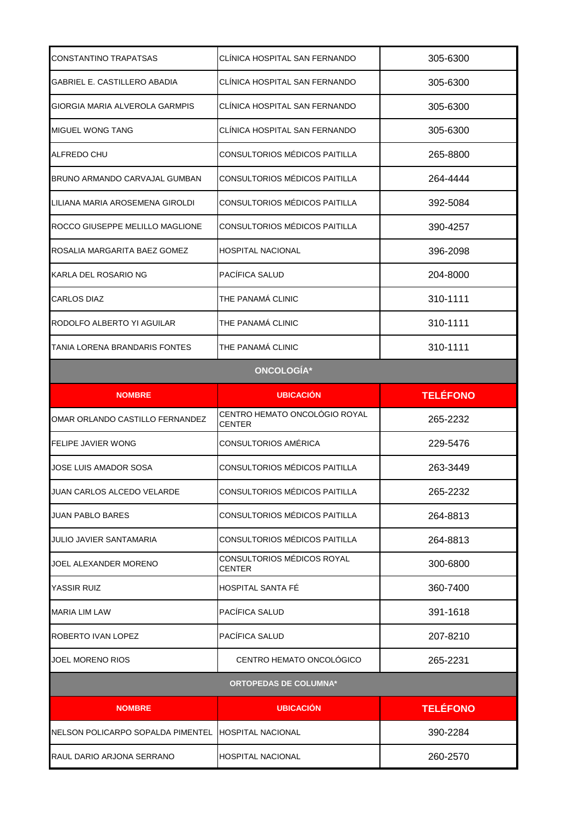| CONSTANTINO TRAPATSAS             | CLINICA HOSPITAL SAN FERNANDO        | 305-6300        |
|-----------------------------------|--------------------------------------|-----------------|
| GABRIEL E. CASTILLERO ABADIA      | CLÍNICA HOSPITAL SAN FERNANDO        | 305-6300        |
| GIORGIA MARIA ALVEROLA GARMPIS    | CLÍNICA HOSPITAL SAN FERNANDO        | 305-6300        |
| <b>MIGUEL WONG TANG</b>           | CLÍNICA HOSPITAL SAN FERNANDO        | 305-6300        |
| ALFREDO CHU                       | CONSULTORIOS MÉDICOS PAITILLA        | 265-8800        |
| BRUNO ARMANDO CARVAJAL GUMBAN     | CONSULTORIOS MÉDICOS PAITILLA        | 264-4444        |
| LILIANA MARIA AROSEMENA GIROLDI   | CONSULTORIOS MÉDICOS PAITILLA        | 392-5084        |
| ROCCO GIUSEPPE MELILLO MAGLIONE   | CONSULTORIOS MÉDICOS PAITILLA        | 390-4257        |
| ROSALIA MARGARITA BAEZ GOMEZ      | <b>HOSPITAL NACIONAL</b>             | 396-2098        |
| KARLA DEL ROSARIO NG              | PACÍFICA SALUD                       | 204-8000        |
| <b>CARLOS DIAZ</b>                | THE PANAMA CLINIC                    | 310-1111        |
| RODOLFO ALBERTO YI AGUILAR        | THE PANAMÁ CLINIC                    | 310-1111        |
| TANIA LORENA BRANDARIS FONTES     | THE PANAMÁ CLINIC                    | 310-1111        |
|                                   | <b>ONCOLOGÍA*</b>                    |                 |
| <b>NOMBRE</b>                     | <b>UBICACIÓN</b>                     | <b>TELÉFONO</b> |
|                                   | CENTRO HEMATO ONCOLÓGIO ROYAL        |                 |
| OMAR ORLANDO CASTILLO FERNANDEZ   | <b>CENTER</b>                        | 265-2232        |
| FELIPE JAVIER WONG                | CONSULTORIOS AMÉRICA                 | 229-5476        |
| JOSE LUIS AMADOR SOSA             | CONSULTORIOS MÉDICOS PAITILLA        | 263-3449        |
| JUAN CARLOS ALCEDO VELARDE        | CONSULTORIOS MÉDICOS PAITILLA        | 265-2232        |
| <b>JUAN PABLO BARES</b>           | CONSULTORIOS MÉDICOS PAITILLA        | 264-8813        |
| <b>JULIO JAVIER SANTAMARIA</b>    | CONSULTORIOS MÉDICOS PAITILLA        | 264-8813        |
| JOEL ALEXANDER MORENO             | CONSULTORIOS MÉDICOS ROYAL<br>CENTER | 300-6800        |
| YASSIR RUIZ                       | HOSPITAL SANTA FÉ                    | 360-7400        |
| MARIA LIM LAW                     | PACÍFICA SALUD                       | 391-1618        |
| ROBERTO IVAN LOPEZ                | PACÍFICA SALUD                       | 207-8210        |
| <b>JOEL MORENO RIOS</b>           | CENTRO HEMATO ONCOLÓGICO             | 265-2231        |
|                                   | <b>ORTOPEDAS DE COLUMNA*</b>         |                 |
| <b>NOMBRE</b>                     | <b>UBICACIÓN</b>                     | <b>TELÉFONO</b> |
| NELSON POLICARPO SOPALDA PIMENTEL | <b>HOSPITAL NACIONAL</b>             | 390-2284        |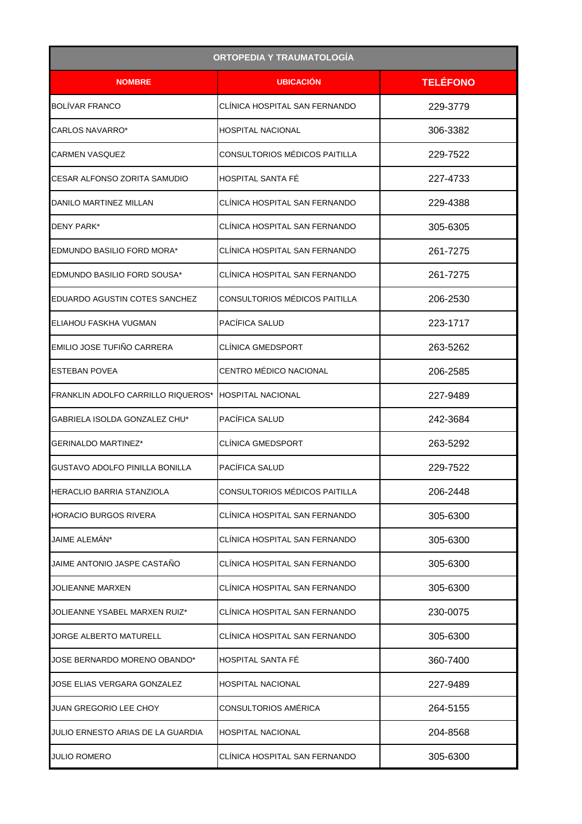|                                           | <b>ORTOPEDIA Y TRAUMATOLOGÍA</b> |                 |
|-------------------------------------------|----------------------------------|-----------------|
| <b>NOMBRE</b>                             | <b>UBICACIÓN</b>                 | <b>TELÉFONO</b> |
| <b>BOLIVAR FRANCO</b>                     | CLÍNICA HOSPITAL SAN FERNANDO    | 229-3779        |
| CARLOS NAVARRO*                           | <b>HOSPITAL NACIONAL</b>         | 306-3382        |
| <b>CARMEN VASQUEZ</b>                     | CONSULTORIOS MÉDICOS PAITILLA    | 229-7522        |
| CESAR ALFONSO ZORITA SAMUDIO              | HOSPITAL SANTA FÉ                | 227-4733        |
| DANILO MARTINEZ MILLAN                    | CLÍNICA HOSPITAL SAN FERNANDO    | 229-4388        |
| DENY PARK*                                | CLÍNICA HOSPITAL SAN FERNANDO    | 305-6305        |
| EDMUNDO BASILIO FORD MORA*                | CLÍNICA HOSPITAL SAN FERNANDO    | 261-7275        |
| EDMUNDO BASILIO FORD SOUSA*               | CLÍNICA HOSPITAL SAN FERNANDO    | 261-7275        |
| EDUARDO AGUSTIN COTES SANCHEZ             | CONSULTORIOS MÉDICOS PAITILLA    | 206-2530        |
| IELIAHOU FASKHA VUGMAN                    | PACÍFICA SALUD                   | 223-1717        |
| EMILIO JOSE TUFIÑO CARRERA                | <b>CLINICA GMEDSPORT</b>         | 263-5262        |
| <b>ESTEBAN POVEA</b>                      | CENTRO MÉDICO NACIONAL           | 206-2585        |
| <b>FRANKLIN ADOLFO CARRILLO RIQUEROS*</b> | <b>HOSPITAL NACIONAL</b>         | 227-9489        |
| GABRIELA ISOLDA GONZALEZ CHU*             | PACÍFICA SALUD                   | 242-3684        |
| <b>GERINALDO MARTINEZ*</b>                | <b>CLINICA GMEDSPORT</b>         | 263-5292        |
| GUSTAVO ADOLFO PINILLA BONILLA            | PACÍFICA SALUD                   | 229-7522        |
| <b>HERACLIO BARRIA STANZIOLA</b>          | CONSULTORIOS MÉDICOS PAITILLA    | 206-2448        |
| <b>HORACIO BURGOS RIVERA</b>              | CLÍNICA HOSPITAL SAN FERNANDO    | 305-6300        |
| JAIME ALEMÁN*                             | CLÍNICA HOSPITAL SAN FERNANDO    | 305-6300        |
| JAIME ANTONIO JASPE CASTAÑO               | CLÍNICA HOSPITAL SAN FERNANDO    | 305-6300        |
| <b>JOLIEANNE MARXEN</b>                   | CLÍNICA HOSPITAL SAN FERNANDO    | 305-6300        |
| JOLIEANNE YSABEL MARXEN RUIZ*             | CLÍNICA HOSPITAL SAN FERNANDO    | 230-0075        |
| <b>JORGE ALBERTO MATURELL</b>             | CLÍNICA HOSPITAL SAN FERNANDO    | 305-6300        |
| JOSE BERNARDO MORENO OBANDO*              | HOSPITAL SANTA FÉ                | 360-7400        |
| JOSE ELIAS VERGARA GONZALEZ               | <b>HOSPITAL NACIONAL</b>         | 227-9489        |
| <b>JUAN GREGORIO LEE CHOY</b>             | CONSULTORIOS AMÉRICA             | 264-5155        |
| JULIO ERNESTO ARIAS DE LA GUARDIA         | <b>HOSPITAL NACIONAL</b>         | 204-8568        |
| <b>JULIO ROMERO</b>                       | CLÍNICA HOSPITAL SAN FERNANDO    | 305-6300        |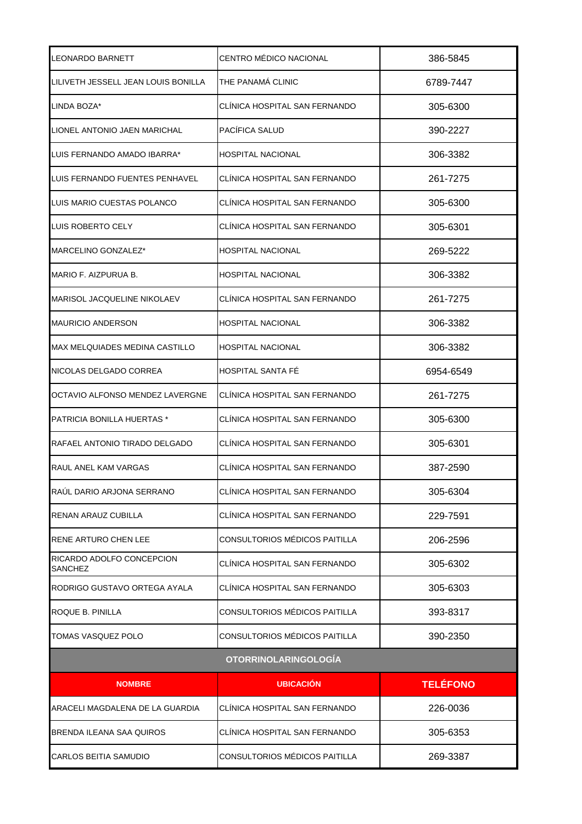| LEONARDO BARNETT                      | CENTRO MÉDICO NACIONAL        | 386-5845        |
|---------------------------------------|-------------------------------|-----------------|
| LILIVETH JESSELL JEAN LOUIS BONILLA   | THE PANAMA CLINIC             | 6789-7447       |
| LINDA BOZA*                           | CLINICA HOSPITAL SAN FERNANDO | 305-6300        |
| LIONEL ANTONIO JAEN MARICHAL          | PACÍFICA SALUD                | 390-2227        |
| LUIS FERNANDO AMADO IBARRA*           | <b>HOSPITAL NACIONAL</b>      | 306-3382        |
| LUIS FERNANDO FUENTES PENHAVEL        | CLÍNICA HOSPITAL SAN FERNANDO | 261-7275        |
| LUIS MARIO CUESTAS POLANCO            | CLÍNICA HOSPITAL SAN FERNANDO | 305-6300        |
| LUIS ROBERTO CELY                     | CLINICA HOSPITAL SAN FERNANDO | 305-6301        |
| MARCELINO GONZALEZ*                   | <b>HOSPITAL NACIONAL</b>      | 269-5222        |
| MARIO F. AIZPURUA B.                  | <b>HOSPITAL NACIONAL</b>      | 306-3382        |
| <b>MARISOL JACQUELINE NIKOLAEV</b>    | CLÍNICA HOSPITAL SAN FERNANDO | 261-7275        |
| <b>MAURICIO ANDERSON</b>              | <b>HOSPITAL NACIONAL</b>      | 306-3382        |
| <b>MAX MELQUIADES MEDINA CASTILLO</b> | <b>HOSPITAL NACIONAL</b>      | 306-3382        |
| NICOLAS DELGADO CORREA                | <b>HOSPITAL SANTA FE</b>      | 6954-6549       |
| OCTAVIO ALFONSO MENDEZ LAVERGNE       | CLÍNICA HOSPITAL SAN FERNANDO | 261-7275        |
| PATRICIA BONILLA HUERTAS *            | CLINICA HOSPITAL SAN FERNANDO | 305-6300        |
| RAFAEL ANTONIO TIRADO DELGADO         | CLÍNICA HOSPITAL SAN FERNANDO | 305-6301        |
| RAUL ANEL KAM VARGAS                  | CLINICA HOSPITAL SAN FERNANDO | 387-2590        |
| RAÚL DARIO ARJONA SERRANO             | CLÍNICA HOSPITAL SAN FERNANDO | 305-6304        |
| RENAN ARAUZ CUBILLA                   | CLÍNICA HOSPITAL SAN FERNANDO | 229-7591        |
| RENE ARTURO CHEN LEE                  | CONSULTORIOS MÉDICOS PAITILLA | 206-2596        |
| RICARDO ADOLFO CONCEPCION<br>SANCHEZ  | CLÍNICA HOSPITAL SAN FERNANDO | 305-6302        |
| RODRIGO GUSTAVO ORTEGA AYALA          | CLÍNICA HOSPITAL SAN FERNANDO | 305-6303        |
| ROQUE B. PINILLA                      | CONSULTORIOS MÉDICOS PAITILLA | 393-8317        |
| TOMAS VASQUEZ POLO                    | CONSULTORIOS MÉDICOS PAITILLA | 390-2350        |
|                                       | <b>OTORRINOLARINGOLOGÍA</b>   |                 |
| <b>NOMBRE</b>                         | <b>UBICACIÓN</b>              | <b>TELÉFONO</b> |
| ARACELI MAGDALENA DE LA GUARDIA       | CLÍNICA HOSPITAL SAN FERNANDO | 226-0036        |
| BRENDA ILEANA SAA QUIROS              | CLÍNICA HOSPITAL SAN FERNANDO | 305-6353        |
| CARLOS BEITIA SAMUDIO                 | CONSULTORIOS MÉDICOS PAITILLA | 269-3387        |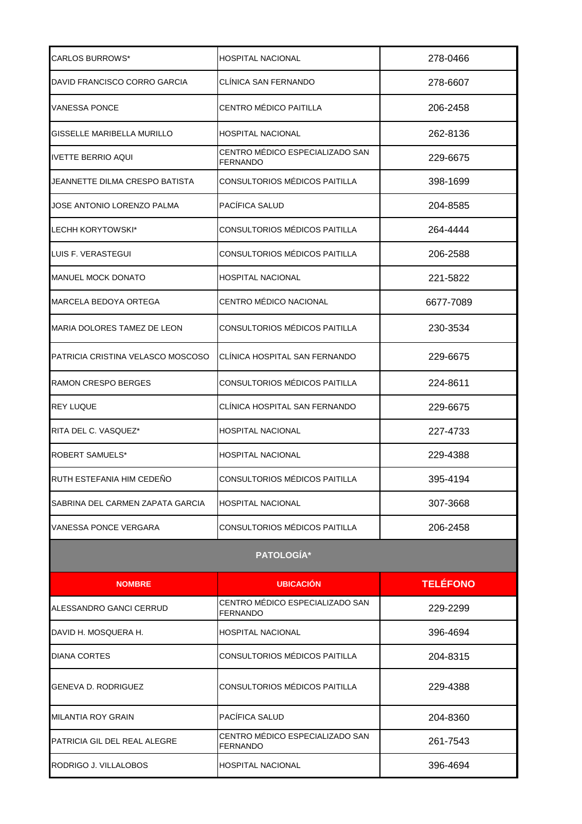| <b>CARLOS BURROWS*</b>            | <b>HOSPITAL NACIONAL</b>                           | 278-0466        |
|-----------------------------------|----------------------------------------------------|-----------------|
| DAVID FRANCISCO CORRO GARCIA      | CLÍNICA SAN FERNANDO                               | 278-6607        |
| <b>VANESSA PONCE</b>              | CENTRO MÉDICO PAITILLA                             | 206-2458        |
| GISSELLE MARIBELLA MURILLO        | <b>HOSPITAL NACIONAL</b>                           | 262-8136        |
| <b>IVETTE BERRIO AQUI</b>         | CENTRO MÉDICO ESPECIALIZADO SAN<br><b>FERNANDO</b> | 229-6675        |
| JEANNETTE DILMA CRESPO BATISTA    | CONSULTORIOS MÉDICOS PAITILLA                      | 398-1699        |
| JOSE ANTONIO LORENZO PALMA        | PACÍFICA SALUD                                     | 204-8585        |
| LECHH KORYTOWSKI*                 | CONSULTORIOS MÉDICOS PAITILLA                      | 264-4444        |
| LUIS F. VERASTEGUI                | CONSULTORIOS MÉDICOS PAITILLA                      | 206-2588        |
| <b>MANUEL MOCK DONATO</b>         | <b>HOSPITAL NACIONAL</b>                           | 221-5822        |
| MARCELA BEDOYA ORTEGA             | CENTRO MÉDICO NACIONAL                             | 6677-7089       |
| MARIA DOLORES TAMEZ DE LEON       | CONSULTORIOS MÉDICOS PAITILLA                      | 230-3534        |
| PATRICIA CRISTINA VELASCO MOSCOSO | CLÍNICA HOSPITAL SAN FERNANDO                      | 229-6675        |
| <b>RAMON CRESPO BERGES</b>        | CONSULTORIOS MÉDICOS PAITILLA                      | 224-8611        |
| <b>REY LUQUE</b>                  | CLÍNICA HOSPITAL SAN FERNANDO                      | 229-6675        |
| RITA DEL C. VASQUEZ*              | <b>HOSPITAL NACIONAL</b>                           | 227-4733        |
| <b>ROBERT SAMUELS*</b>            | <b>HOSPITAL NACIONAL</b>                           | 229-4388        |
| RUTH ESTEFANIA HIM CEDENO         | CONSULTORIOS MÉDICOS PAITILLA                      | 395-4194        |
| SABRINA DEL CARMEN ZAPATA GARCIA  | <b>HOSPITAL NACIONAL</b>                           | 307-3668        |
| VANESSA PONCE VERGARA             | CONSULTORIOS MÉDICOS PAITILLA                      | 206-2458        |
|                                   | PATOLOGÍA*                                         |                 |
| <b>NOMBRE</b>                     | <b>UBICACIÓN</b>                                   | <b>TELÉFONO</b> |
| ALESSANDRO GANCI CERRUD           | CENTRO MÉDICO ESPECIALIZADO SAN<br><b>FERNANDO</b> | 229-2299        |
| DAVID H. MOSQUERA H.              | <b>HOSPITAL NACIONAL</b>                           | 396-4694        |
| <b>DIANA CORTES</b>               | CONSULTORIOS MÉDICOS PAITILLA                      | 204-8315        |
| GENEVA D. RODRIGUEZ               | CONSULTORIOS MÉDICOS PAITILLA                      | 229-4388        |
| <b>MILANTIA ROY GRAIN</b>         | PACÍFICA SALUD                                     | 204-8360        |
| PATRICIA GIL DEL REAL ALEGRE      | CENTRO MÉDICO ESPECIALIZADO SAN<br><b>FERNANDO</b> | 261-7543        |
| RODRIGO J. VILLALOBOS             | <b>HOSPITAL NACIONAL</b>                           | 396-4694        |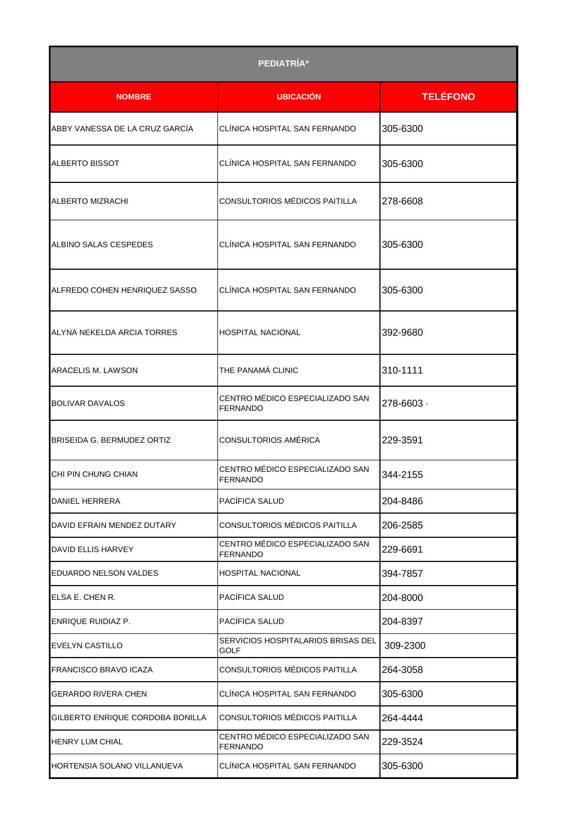|                                   | PEDIATRÍA*                                         |                 |
|-----------------------------------|----------------------------------------------------|-----------------|
| <b>NOMBRE</b>                     | <b>UBICACIÓN</b>                                   | <b>TELÉFONO</b> |
| ABBY VANESSA DE LA CRUZ GARCÍA    | CLÍNICA HOSPITAL SAN FERNANDO                      | 305-6300        |
| <b>ALBERTO BISSOT</b>             | CLÍNICA HOSPITAL SAN FERNANDO                      | 305-6300        |
| ALBERTO MIZRACHI                  | CONSULTORIOS MÉDICOS PAITILLA                      | 278-6608        |
| ALBINO SALAS CESPEDES             | CLÍNICA HOSPITAL SAN FERNANDO                      | 305-6300        |
| ALFREDO COHEN HENRIQUEZ SASSO     | CLÍNICA HOSPITAL SAN FERNANDO                      | 305-6300        |
| ALYNA NEKELDA ARCIA TORRES        | <b>HOSPITAL NACIONAL</b>                           | 392-9680        |
| ARACELIS M. LAWSON                | THE PANAMÁ CLINIC                                  | 310-1111        |
| <b>BOLIVAR DAVALOS</b>            | CENTRO MÉDICO ESPECIALIZADO SAN<br><b>FERNANDO</b> | $278 - 6603$    |
| <b>BRISEIDA G. BERMUDEZ ORTIZ</b> | CONSULTORIOS AMÉRICA                               | 229-3591        |
| CHI PIN CHUNG CHIAN               | CENTRO MÉDICO ESPECIALIZADO SAN<br><b>FERNANDO</b> | 344-2155        |
| <b>DANIEL HERRERA</b>             | PACIFICA SALUD                                     | 204-8486        |
| DAVID EFRAIN MENDEZ DUTARY        | CONSULTORIOS MÉDICOS PAITILLA                      | 206-2585        |
| DAVID ELLIS HARVEY                | CENTRO MÉDICO ESPECIALIZADO SAN<br><b>FERNANDO</b> | 229-6691        |
| <b>EDUARDO NELSON VALDES</b>      | <b>HOSPITAL NACIONAL</b>                           | 394-7857        |
| ELSA E. CHEN R.                   | PACÍFICA SALUD                                     | 204-8000        |
| ENRIQUE RUIDIAZ P.                | PACÍFICA SALUD                                     | 204-8397        |
| <b>EVELYN CASTILLO</b>            | SERVICIOS HOSPITALARIOS BRISAS DEL<br>GOLF         | 309-2300        |
| <b>FRANCISCO BRAVO ICAZA</b>      | CONSULTORIOS MÉDICOS PAITILLA                      | 264-3058        |
| <b>GERARDO RIVERA CHEN</b>        | CLÍNICA HOSPITAL SAN FERNANDO                      | 305-6300        |
| GILBERTO ENRIQUE CORDOBA BONILLA  | CONSULTORIOS MÉDICOS PAITILLA                      | 264-4444        |
| <b>HENRY LUM CHIAL</b>            | CENTRO MÉDICO ESPECIALIZADO SAN<br><b>FERNANDO</b> | 229-3524        |
| HORTENSIA SOLANO VILLANUEVA       | CLINICA HOSPITAL SAN FERNANDO                      | 305-6300        |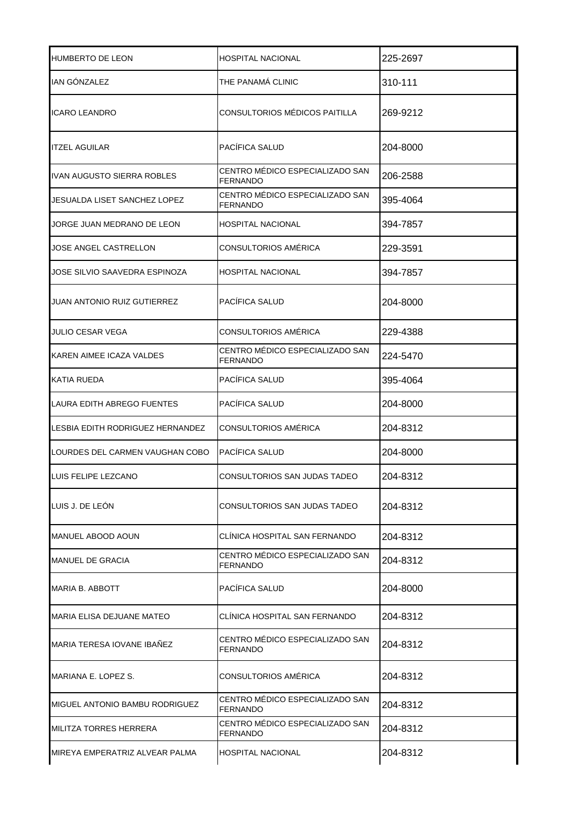| <b>HUMBERTO DE LEON</b>            | HOSPITAL NACIONAL                           | 225-2697 |
|------------------------------------|---------------------------------------------|----------|
| <b>IAN GONZALEZ</b>                | THE PANAMÁ CLINIC                           | 310-111  |
| <b>ICARO LEANDRO</b>               | CONSULTORIOS MÉDICOS PAITILLA               | 269-9212 |
| <b>ITZEL AGUILAR</b>               | PACÍFICA SALUD                              | 204-8000 |
| IVAN AUGUSTO SIERRA ROBLES         | CENTRO MÉDICO ESPECIALIZADO SAN<br>FERNANDO | 206-2588 |
| IJESUALDA LISET SANCHEZ LOPEZ      | CENTRO MÉDICO ESPECIALIZADO SAN<br>FERNANDO | 395-4064 |
| JORGE JUAN MEDRANO DE LEON         | HOSPITAL NACIONAL                           | 394-7857 |
| JOSE ANGEL CASTRELLON              | CONSULTORIOS AMÉRICA                        | 229-3591 |
| JOSE SILVIO SAAVEDRA ESPINOZA      | <b>HOSPITAL NACIONAL</b>                    | 394-7857 |
| <b>JUAN ANTONIO RUIZ GUTIERREZ</b> | PACÍFICA SALUD                              | 204-8000 |
| JULIO CESAR VEGA                   | CONSULTORIOS AMÉRICA                        | 229-4388 |
| KAREN AIMEE ICAZA VALDES           | CENTRO MÉDICO ESPECIALIZADO SAN<br>FERNANDO | 224-5470 |
| <b>KATIA RUEDA</b>                 | PACÍFICA SALUD                              | 395-4064 |
| LAURA EDITH ABREGO FUENTES         | PACÍFICA SALUD                              | 204-8000 |
| LESBIA EDITH RODRIGUEZ HERNANDEZ   | CONSULTORIOS AMÉRICA                        | 204-8312 |
| LOURDES DEL CARMEN VAUGHAN COBO    | PACÍFICA SALUD                              | 204-8000 |
| LUIS FELIPE LEZCANO                | CONSULTORIOS SAN JUDAS TADEO                | 204-8312 |
| LUIS J. DE LEON                    | CONSULTORIOS SAN JUDAS TADEO                | 204-8312 |
| MANUEL ABOOD AOUN                  | CLINICA HOSPITAL SAN FERNANDO               | 204-8312 |
| <b>MANUEL DE GRACIA</b>            | CENTRO MÉDICO ESPECIALIZADO SAN<br>FERNANDO | 204-8312 |
| <b>MARIA B. ABBOTT</b>             | PACÍFICA SALUD                              | 204-8000 |
| MARIA ELISA DEJUANE MATEO          | CLINICA HOSPITAL SAN FERNANDO               | 204-8312 |
| MARIA TERESA IOVANE IBAÑEZ         | CENTRO MEDICO ESPECIALIZADO SAN<br>FERNANDO | 204-8312 |
| MARIANA E. LOPEZ S.                | CONSULTORIOS AMÉRICA                        | 204-8312 |
| MIGUEL ANTONIO BAMBU RODRIGUEZ     | CENTRO MÉDICO ESPECIALIZADO SAN<br>FERNANDO | 204-8312 |
| MILITZA TORRES HERRERA             | CENTRO MEDICO ESPECIALIZADO SAN<br>FERNANDO | 204-8312 |
| MIREYA EMPERATRIZ ALVEAR PALMA     | HOSPITAL NACIONAL                           | 204-8312 |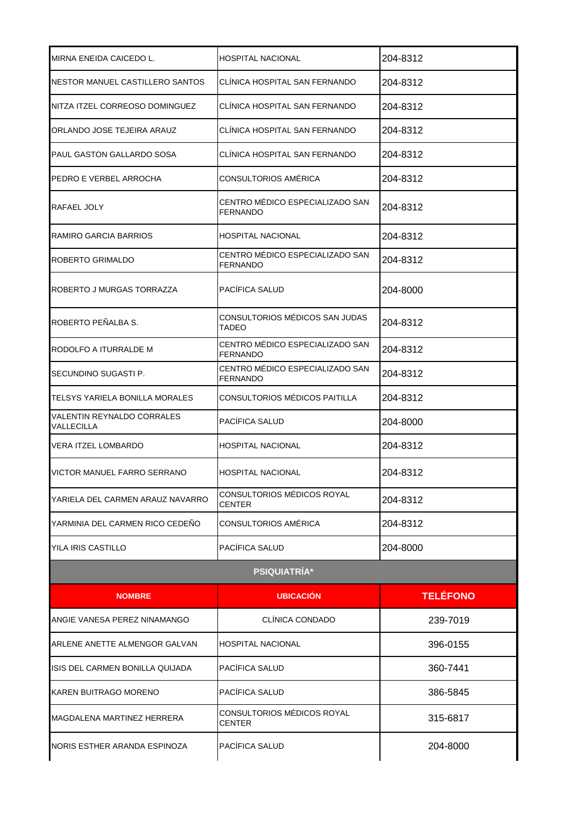| MIRNA ENEIDA CAICEDO L.                  | <b>HOSPITAL NACIONAL</b>                           | 204-8312        |
|------------------------------------------|----------------------------------------------------|-----------------|
| NESTOR MANUEL CASTILLERO SANTOS          | CLÍNICA HOSPITAL SAN FERNANDO                      | 204-8312        |
| NITZA ITZEL CORREOSO DOMINGUEZ           | CLÍNICA HOSPITAL SAN FERNANDO                      | 204-8312        |
| ORLANDO JOSE TEJEIRA ARAUZ               | CLÍNICA HOSPITAL SAN FERNANDO                      | 204-8312        |
| PAUL GASTON GALLARDO SOSA                | CLÍNICA HOSPITAL SAN FERNANDO                      | 204-8312        |
| PEDRO E VERBEL ARROCHA                   | CONSULTORIOS AMÉRICA                               | 204-8312        |
| RAFAEL JOLY                              | CENTRO MÉDICO ESPECIALIZADO SAN<br><b>FERNANDO</b> | 204-8312        |
| RAMIRO GARCIA BARRIOS                    | <b>HOSPITAL NACIONAL</b>                           | 204-8312        |
| ROBERTO GRIMALDO                         | CENTRO MÉDICO ESPECIALIZADO SAN<br><b>FERNANDO</b> | 204-8312        |
| ROBERTO J MURGAS TORRAZZA                | PACÍFICA SALUD                                     | 204-8000        |
| ROBERTO PEÑALBA S.                       | CONSULTORIOS MÉDICOS SAN JUDAS<br>TADEO            | 204-8312        |
| RODOLFO A ITURRALDE M                    | CENTRO MÉDICO ESPECIALIZADO SAN<br><b>FERNANDO</b> | 204-8312        |
| SECUNDINO SUGASTI P.                     | CENTRO MÉDICO ESPECIALIZADO SAN<br>FERNANDO        | 204-8312        |
| TELSYS YARIELA BONILLA MORALES           | CONSULTORIOS MÉDICOS PAITILLA                      | 204-8312        |
| VALENTIN REYNALDO CORRALES<br>VALLECILLA | PACÍFICA SALUD                                     | 204-8000        |
| VERA ITZEL LOMBARDO                      | HOSPITAL NACIONAL                                  | 204-8312        |
| VICTOR MANUEL FARRO SERRANO              | <b>HOSPITAL NACIONAL</b>                           | 204-8312        |
| YARIELA DEL CARMEN ARAUZ NAVARRO         | CONSULTORIOS MÉDICOS ROYAL<br>CENTER               | 204-8312        |
| YARMINIA DEL CARMEN RICO CEDEÑO          | CONSULTORIOS AMÉRICA                               | 204-8312        |
| YILA IRIS CASTILLO                       | PACÍFICA SALUD                                     | 204-8000        |
|                                          | <b>PSIQUIATRÍA*</b>                                |                 |
| <b>NOMBRE</b>                            | <b>UBICACIÓN</b>                                   | <b>TELÉFONO</b> |
| ANGIE VANESA PEREZ NINAMANGO             | CLÍNICA CONDADO                                    | 239-7019        |
| ARLENE ANETTE ALMENGOR GALVAN            | <b>HOSPITAL NACIONAL</b>                           | 396-0155        |
| ISIS DEL CARMEN BONILLA QUIJADA          | PACÍFICA SALUD                                     | 360-7441        |
| KAREN BUITRAGO MORENO                    | PACÍFICA SALUD                                     | 386-5845        |
| MAGDALENA MARTINEZ HERRERA               | CONSULTORIOS MÉDICOS ROYAL<br>CENTER               | 315-6817        |
| NORIS ESTHER ARANDA ESPINOZA             | PACÍFICA SALUD                                     | 204-8000        |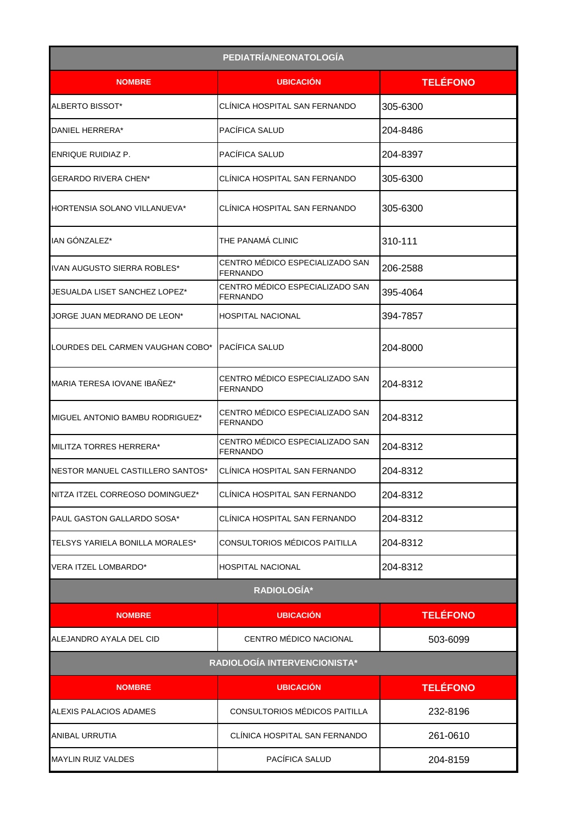|                                        | PEDIATRÍA/NEONATOLOGÍA                      |                 |
|----------------------------------------|---------------------------------------------|-----------------|
| <b>NOMBRE</b>                          | <b>UBICACION</b>                            | <b>TELÉFONO</b> |
| ALBERTO BISSOT*                        | CLÍNICA HOSPITAL SAN FERNANDO               | 305-6300        |
| DANIEL HERRERA*                        | PACÍFICA SALUD                              | 204-8486        |
| ENRIQUE RUIDIAZ P.                     | PACÍFICA SALUD                              | 204-8397        |
| <b>GERARDO RIVERA CHEN*</b>            | CLÍNICA HOSPITAL SAN FERNANDO               | 305-6300        |
| HORTENSIA SOLANO VILLANUEVA*           | CLÍNICA HOSPITAL SAN FERNANDO               | 305-6300        |
| IAN GÓNZALEZ*                          | THE PANAMÁ CLINIC                           | 310-111         |
| IIVAN AUGUSTO SIERRA ROBLES*           | CENTRO MÉDICO ESPECIALIZADO SAN<br>FERNANDO | 206-2588        |
| JESUALDA LISET SANCHEZ LOPEZ*          | CENTRO MÉDICO ESPECIALIZADO SAN<br>FERNANDO | 395-4064        |
| JORGE JUAN MEDRANO DE LEON*            | HOSPITAL NACIONAL                           | 394-7857        |
| LOURDES DEL CARMEN VAUGHAN COBO*       | PACÍFICA SALUD                              | 204-8000        |
| MARIA TERESA IOVANE IBAÑEZ*            | CENTRO MÉDICO ESPECIALIZADO SAN<br>FERNANDO | 204-8312        |
| MIGUEL ANTONIO BAMBU RODRIGUEZ*        | CENTRO MÉDICO ESPECIALIZADO SAN<br>FERNANDO | 204-8312        |
| MILITZA TORRES HERRERA*                | CENTRO MÉDICO ESPECIALIZADO SAN<br>FERNANDO | 204-8312        |
| NESTOR MANUEL CASTILLERO SANTOS*       | CLÍNICA HOSPITAL SAN FERNANDO               | 204-8312        |
| NITZA ITZEL CORREOSO DOMINGUEZ*        | CLÍNICA HOSPITAL SAN FERNANDO               | 204-8312        |
| PAUL GASTON GALLARDO SOSA*             | CLÍNICA HOSPITAL SAN FERNANDO               | 204-8312        |
| <b>TELSYS YARIELA BONILLA MORALES*</b> | CONSULTORIOS MÉDICOS PAITILLA               | 204-8312        |
| VERA ITZEL LOMBARDO*                   | HOSPITAL NACIONAL                           | 204-8312        |
|                                        | RADIOLOGÍA*                                 |                 |
| <b>NOMBRE</b>                          | <b>UBICACIÓN</b>                            | <b>TELÉFONO</b> |
| ALEJANDRO AYALA DEL CID                | CENTRO MÉDICO NACIONAL                      | 503-6099        |
|                                        | RADIOLOGÍA INTERVENCIONISTA*                |                 |
| <b>NOMBRE</b>                          | <b>UBICACIÓN</b>                            | <b>TELÉFONO</b> |
| ALEXIS PALACIOS ADAMES                 | CONSULTORIOS MÉDICOS PAITILLA               | 232-8196        |
| ANIBAL URRUTIA                         | CLÍNICA HOSPITAL SAN FERNANDO               | 261-0610        |
| <b>MAYLIN RUIZ VALDES</b>              | PACÍFICA SALUD                              | 204-8159        |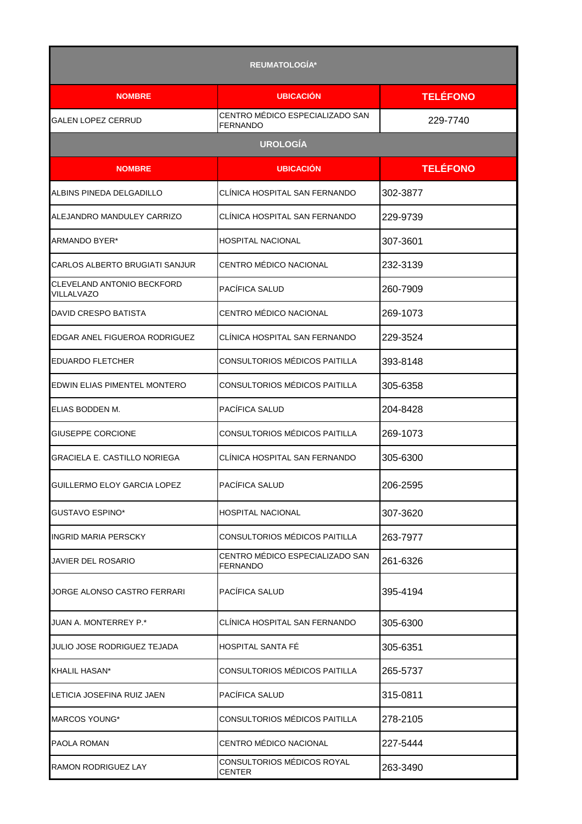|                                          | <b>REUMATOLOGÍA*</b>                               |                 |
|------------------------------------------|----------------------------------------------------|-----------------|
| <b>NOMBRE</b>                            | <b>UBICACIÓN</b>                                   | <b>TELÉFONO</b> |
| <b>GALEN LOPEZ CERRUD</b>                | CENTRO MÉDICO ESPECIALIZADO SAN<br>FERNANDO        | 229-7740        |
|                                          | <b>UROLOGÍA</b>                                    |                 |
| <b>NOMBRE</b>                            | <b>UBICACIÓN</b>                                   | <b>TELÉFONO</b> |
| ALBINS PINEDA DELGADILLO                 | CLINICA HOSPITAL SAN FERNANDO                      | 302-3877        |
| ALEJANDRO MANDULEY CARRIZO               | CLINICA HOSPITAL SAN FERNANDO                      | 229-9739        |
| ARMANDO BYER*                            | <b>HOSPITAL NACIONAL</b>                           | 307-3601        |
| CARLOS ALBERTO BRUGIATI SANJUR           | CENTRO MÉDICO NACIONAL                             | 232-3139        |
| CLEVELAND ANTONIO BECKFORD<br>VILLALVAZO | PACÍFICA SALUD                                     | 260-7909        |
| <b>DAVID CRESPO BATISTA</b>              | CENTRO MÉDICO NACIONAL                             | 269-1073        |
| EDGAR ANEL FIGUEROA RODRIGUEZ            | CLÍNICA HOSPITAL SAN FERNANDO                      | 229-3524        |
| <b>EDUARDO FLETCHER</b>                  | CONSULTORIOS MÉDICOS PAITILLA                      | 393-8148        |
| EDWIN ELIAS PIMENTEL MONTERO             | CONSULTORIOS MÉDICOS PAITILLA                      | 305-6358        |
| ELIAS BODDEN M.                          | PACÍFICA SALUD                                     | 204-8428        |
| <b>GIUSEPPE CORCIONE</b>                 | CONSULTORIOS MÉDICOS PAITILLA                      | 269-1073        |
| GRACIELA E. CASTILLO NORIEGA             | CLÍNICA HOSPITAL SAN FERNANDO                      | 305-6300        |
| GUILLERMO ELOY GARCIA LOPEZ              | PACÍFICA SALUD                                     | 206-2595        |
| <b>GUSTAVO ESPINO*</b>                   | <b>HOSPITAL NACIONAL</b>                           | 307-3620        |
| <b>INGRID MARIA PERSCKY</b>              | CONSULTORIOS MÉDICOS PAITILLA                      | 263-7977        |
| JAVIER DEL ROSARIO                       | CENTRO MÉDICO ESPECIALIZADO SAN<br><b>FERNANDO</b> | 261-6326        |
| JORGE ALONSO CASTRO FERRARI              | PACÍFICA SALUD                                     | 395-4194        |
| <b>JUAN A. MONTERREY P.*</b>             | CLÍNICA HOSPITAL SAN FERNANDO                      | 305-6300        |
| JULIO JOSE RODRIGUEZ TEJADA              | HOSPITAL SANTA FÉ                                  | 305-6351        |
| KHALIL HASAN*                            | CONSULTORIOS MÉDICOS PAITILLA                      | 265-5737        |
| LETICIA JOSEFINA RUIZ JAEN               | PACÍFICA SALUD                                     | 315-0811        |
| <b>MARCOS YOUNG*</b>                     | CONSULTORIOS MÉDICOS PAITILLA                      | 278-2105        |
| PAOLA ROMAN                              | CENTRO MÉDICO NACIONAL                             | 227-5444        |
| RAMON RODRIGUEZ LAY                      | CONSULTORIOS MÉDICOS ROYAL<br><b>CENTER</b>        | 263-3490        |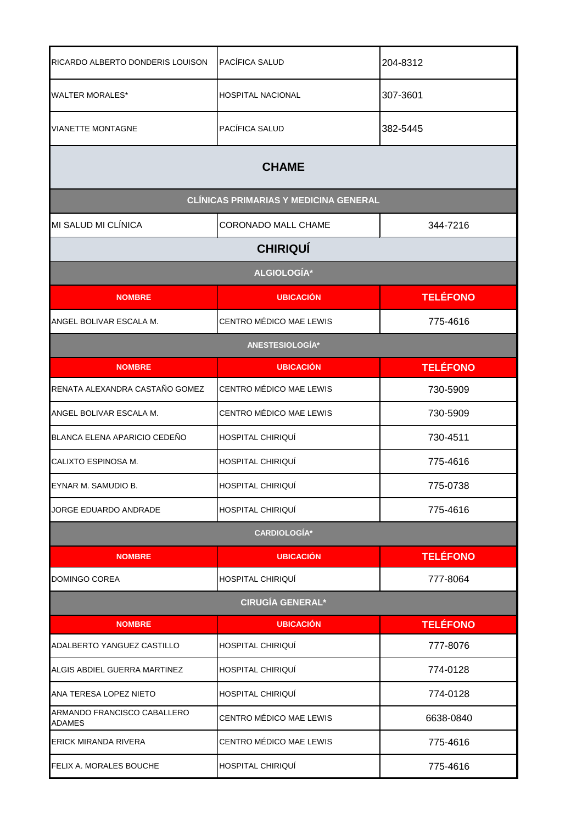| RICARDO ALBERTO DONDERIS LOUISON             | PACÍFICA SALUD                               | 204-8312        |
|----------------------------------------------|----------------------------------------------|-----------------|
| <b>WALTER MORALES*</b>                       | HOSPITAL NACIONAL                            | 307-3601        |
| <b>VIANETTE MONTAGNE</b>                     | PACÍFICA SALUD                               | 382-5445        |
|                                              | <b>CHAME</b>                                 |                 |
|                                              | <b>CLÍNICAS PRIMARIAS Y MEDICINA GENERAL</b> |                 |
| MI SALUD MI CLÍNICA                          | CORONADO MALL CHAME                          | 344-7216        |
|                                              | <b>CHIRIQUÍ</b>                              |                 |
|                                              | <b>ALGIOLOGÍA*</b>                           |                 |
| <b>NOMBRE</b>                                | <b>UBICACIÓN</b>                             | <b>TELÉFONO</b> |
| ANGEL BOLIVAR ESCALA M.                      | CENTRO MÉDICO MAE LEWIS                      | 775-4616        |
|                                              | ANESTESIOLOGÍA*                              |                 |
| <b>NOMBRE</b>                                | <b>UBICACIÓN</b>                             | <b>TELÉFONO</b> |
| RENATA ALEXANDRA CASTAÑO GOMEZ               | CENTRO MÉDICO MAE LEWIS                      | 730-5909        |
| ANGEL BOLIVAR ESCALA M.                      | CENTRO MÉDICO MAE LEWIS                      | 730-5909        |
| BLANCA ELENA APARICIO CEDEÑO                 | HOSPITAL CHIRIQUÍ                            | 730-4511        |
| CALIXTO ESPINOSA M.                          | HOSPITAL CHIRIQUÍ                            | 775-4616        |
| EYNAR M. SAMUDIO B.                          | HOSPITAL CHIRIQUÍ                            | 775-0738        |
| JORGE EDUARDO ANDRADE                        | HOSPITAL CHIRIQUÍ                            | 775-4616        |
|                                              | <b>CARDIOLOGÍA*</b>                          |                 |
| <b>NOMBRE</b>                                | <b>UBICACIÓN</b>                             | <b>TELÉFONO</b> |
| DOMINGO COREA                                | HOSPITAL CHIRIQUÍ                            | 777-8064        |
|                                              | <b>CIRUGÍA GENERAL*</b>                      |                 |
| <b>NOMBRE</b>                                | <b>UBICACIÓN</b>                             | <b>TELÉFONO</b> |
| ADALBERTO YANGUEZ CASTILLO                   | HOSPITAL CHIRIQUÍ                            | 777-8076        |
| ALGIS ABDIEL GUERRA MARTINEZ                 | HOSPITAL CHIRIQUI                            | 774-0128        |
| ANA TERESA LOPEZ NIETO                       | HOSPITAL CHIRIQUÍ                            | 774-0128        |
| ARMANDO FRANCISCO CABALLERO<br><b>ADAMES</b> | CENTRO MÉDICO MAE LEWIS                      | 6638-0840       |
| ERICK MIRANDA RIVERA                         | CENTRO MÉDICO MAE LEWIS                      | 775-4616        |
| FELIX A. MORALES BOUCHE                      | HOSPITAL CHIRIQUÍ                            | 775-4616        |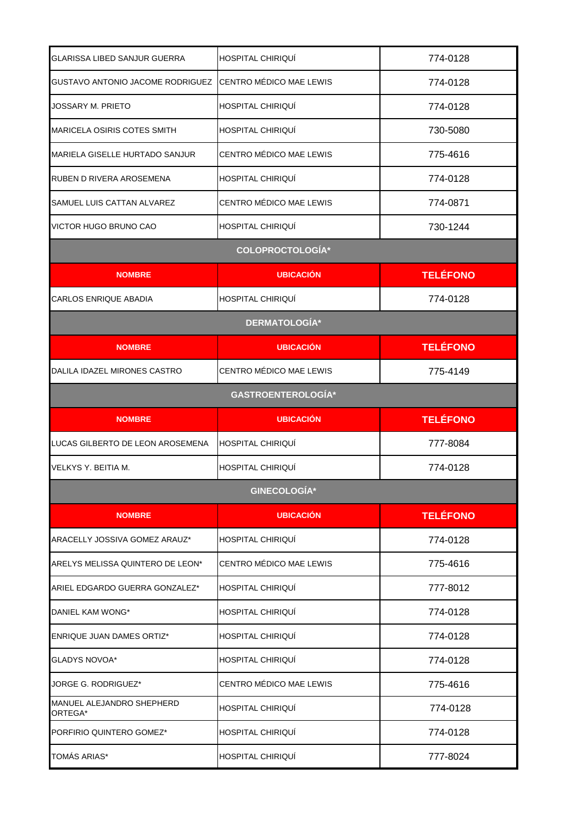| GLARISSA LIBED SANJUR GUERRA          | HOSPITAL CHIRIQUI         | 774-0128        |  |  |
|---------------------------------------|---------------------------|-----------------|--|--|
| GUSTAVO ANTONIO JACOME RODRIGUEZ      | CENTRO MÉDICO MAE LEWIS   | 774-0128        |  |  |
| JOSSARY M. PRIETO                     | HOSPITAL CHIRIQUÍ         | 774-0128        |  |  |
| MARICELA OSIRIS COTES SMITH           | HOSPITAL CHIRIQUI         | 730-5080        |  |  |
| <b>MARIELA GISELLE HURTADO SANJUR</b> | CENTRO MÉDICO MAE LEWIS   | 775-4616        |  |  |
| RUBEN D RIVERA AROSEMENA              | HOSPITAL CHIRIQUÍ         | 774-0128        |  |  |
| ISAMUEL LUIS CATTAN ALVAREZ           | CENTRO MÉDICO MAE LEWIS   | 774-0871        |  |  |
| VICTOR HUGO BRUNO CAO                 | HOSPITAL CHIRIQUI         | 730-1244        |  |  |
|                                       | <b>COLOPROCTOLOGÍA*</b>   |                 |  |  |
| <b>NOMBRE</b>                         | <b>UBICACIÓN</b>          | <b>TELÉFONO</b> |  |  |
| <b>CARLOS ENRIQUE ABADIA</b>          | HOSPITAL CHIRIQUI         | 774-0128        |  |  |
|                                       | <b>DERMATOLOGÍA*</b>      |                 |  |  |
| <b>NOMBRE</b>                         | <b>UBICACIÓN</b>          | <b>TELÉFONO</b> |  |  |
| DALILA IDAZEL MIRONES CASTRO          | CENTRO MÉDICO MAE LEWIS   | 775-4149        |  |  |
|                                       | <b>GASTROENTEROLOGÍA*</b> |                 |  |  |
| <b>NOMBRE</b>                         | <b>UBICACIÓN</b>          | <b>TELÉFONO</b> |  |  |
|                                       |                           |                 |  |  |
| LUCAS GILBERTO DE LEON AROSEMENA      | HOSPITAL CHIRIQUÍ         | 777-8084        |  |  |
| VELKYS Y. BEITIA M.                   | <b>HOSPITAL CHIRIQUÍ</b>  | 774-0128        |  |  |
|                                       | <b>GINECOLOGÍA*</b>       |                 |  |  |
| <b>NOMBRE</b>                         | <b>UBICACIÓN</b>          | <b>TELÉFONO</b> |  |  |
| ARACELLY JOSSIVA GOMEZ ARAUZ*         | HOSPITAL CHIRIQUI         | 774-0128        |  |  |
| ARELYS MELISSA QUINTERO DE LEON*      | CENTRO MÉDICO MAE LEWIS   | 775-4616        |  |  |
| ARIEL EDGARDO GUERRA GONZALEZ*        | HOSPITAL CHIRIQUI         | 777-8012        |  |  |
| DANIEL KAM WONG*                      | HOSPITAL CHIRIQUI         | 774-0128        |  |  |
| <b>ENRIQUE JUAN DAMES ORTIZ*</b>      | HOSPITAL CHIRIQUÍ         | 774-0128        |  |  |
| GLADYS NOVOA*                         | HOSPITAL CHIRIQUI         | 774-0128        |  |  |
| JORGE G. RODRIGUEZ*                   | CENTRO MÉDICO MAE LEWIS   | 775-4616        |  |  |
| MANUEL ALEJANDRO SHEPHERD<br>ORTEGA*  | HOSPITAL CHIRIQUÍ         | 774-0128        |  |  |
| PORFIRIO QUINTERO GOMEZ*              | HOSPITAL CHIRIQUÍ         | 774-0128        |  |  |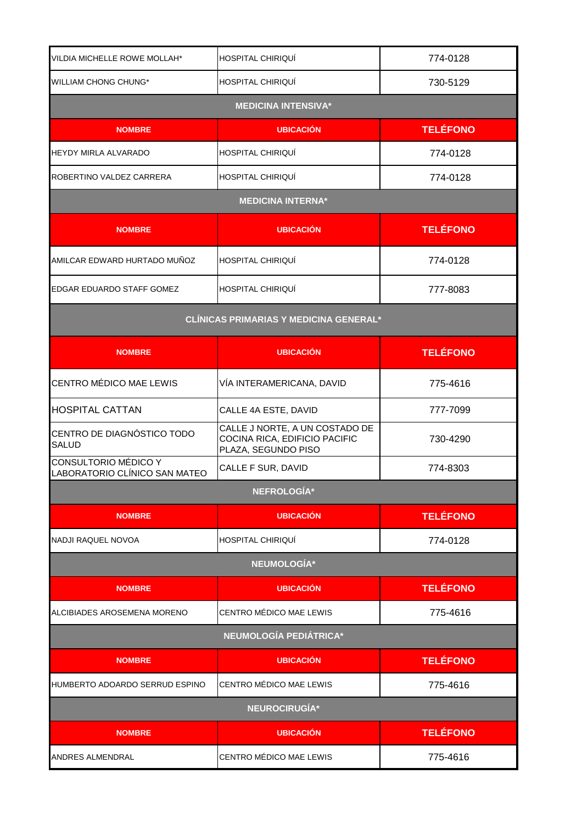| VILDIA MICHELLE ROWE MOLLAH*                          | HOSPITAL CHIRIQUÍ                                                                      | 774-0128        |
|-------------------------------------------------------|----------------------------------------------------------------------------------------|-----------------|
| <b>WILLIAM CHONG CHUNG*</b>                           | HOSPITAL CHIRIQUÍ                                                                      | 730-5129        |
|                                                       | <b>MEDICINA INTENSIVA*</b>                                                             |                 |
| <b>NOMBRE</b>                                         | <b>UBICACIÓN</b>                                                                       | <b>TELÉFONO</b> |
| HEYDY MIRLA ALVARADO                                  | HOSPITAL CHIRIQUÍ                                                                      | 774-0128        |
| ROBERTINO VALDEZ CARRERA                              | HOSPITAL CHIRIQUI                                                                      | 774-0128        |
|                                                       | <b>MEDICINA INTERNA*</b>                                                               |                 |
| <b>NOMBRE</b>                                         | <b>UBICACIÓN</b>                                                                       | <b>TELÉFONO</b> |
| AMILCAR EDWARD HURTADO MUÑOZ                          | HOSPITAL CHIRIQUÍ                                                                      | 774-0128        |
| EDGAR EDUARDO STAFF GOMEZ                             | HOSPITAL CHIRIQUÍ                                                                      | 777-8083        |
| <b>CLÍNICAS PRIMARIAS Y MEDICINA GENERAL*</b>         |                                                                                        |                 |
| <b>NOMBRE</b>                                         | <b>UBICACIÓN</b>                                                                       | <b>TELÉFONO</b> |
| CENTRO MÉDICO MAE LEWIS                               | VÍA INTERAMERICANA, DAVID                                                              | 775-4616        |
| <b>HOSPITAL CATTAN</b>                                | CALLE 4A ESTE, DAVID                                                                   | 777-7099        |
| CENTRO DE DIAGNÓSTICO TODO<br><b>SALUD</b>            | CALLE J NORTE, A UN COSTADO DE<br>COCINA RICA, EDIFICIO PACIFIC<br>PLAZA, SEGUNDO PISO | 730-4290        |
| CONSULTORIO MÉDICO Y<br>LABORATORIO CLÍNICO SAN MATEO | CALLE F SUR, DAVID                                                                     | 774-8303        |
|                                                       | <b>NEFROLOGÍA*</b>                                                                     |                 |
| <b>NOMBRE</b>                                         | <b>UBICACIÓN</b>                                                                       | <b>TELÉFONO</b> |
| NADJI RAQUEL NOVOA                                    | HOSPITAL CHIRIQUÍ                                                                      | 774-0128        |
|                                                       | NEUMOLOGÍA*                                                                            |                 |
| <b>NOMBRE</b>                                         | <b>UBICACIÓN</b>                                                                       | <b>TELÉFONO</b> |
| ALCIBIADES AROSEMENA MORENO                           | CENTRO MÉDICO MAE LEWIS                                                                | 775-4616        |
| <b>NEUMOLOGÍA PEDIÁTRICA*</b>                         |                                                                                        |                 |
| <b>NOMBRE</b>                                         | <b>UBICACIÓN</b>                                                                       | <b>TELÉFONO</b> |
| HUMBERTO ADOARDO SERRUD ESPINO                        | CENTRO MÉDICO MAE LEWIS                                                                | 775-4616        |
| NEUROCIRUGÍA*                                         |                                                                                        |                 |
| <b>NOMBRE</b>                                         | <b>UBICACIÓN</b>                                                                       | <b>TELÉFONO</b> |
| ANDRES ALMENDRAL                                      | CENTRO MÉDICO MAE LEWIS                                                                | 775-4616        |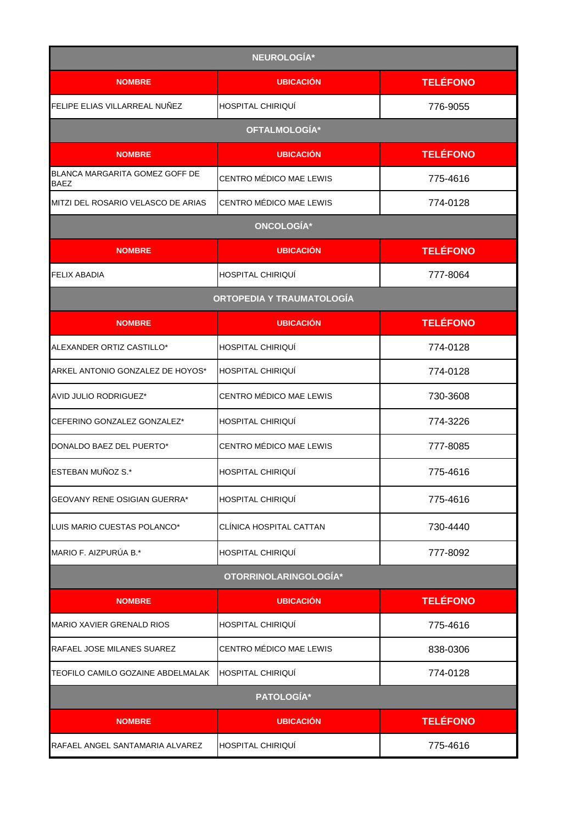| NEUROLOGÍA*                                   |                          |                 |
|-----------------------------------------------|--------------------------|-----------------|
| <b>NOMBRE</b>                                 | <b>UBICACIÓN</b>         | <b>TELÉFONO</b> |
| FELIPE ELIAS VILLARREAL NUÑEZ                 | <b>HOSPITAL CHIRIQUÍ</b> | 776-9055        |
|                                               | OFTALMOLOGÍA*            |                 |
| <b>NOMBRE</b>                                 | <b>UBICACIÓN</b>         | <b>TELÉFONO</b> |
| BLANCA MARGARITA GOMEZ GOFF DE<br><b>BAEZ</b> | CENTRO MÉDICO MAE LEWIS  | 775-4616        |
| MITZI DEL ROSARIO VELASCO DE ARIAS            | CENTRO MÉDICO MAE LEWIS  | 774-0128        |
|                                               | <b>ONCOLOGÍA*</b>        |                 |
| <b>NOMBRE</b>                                 | <b>UBICACIÓN</b>         | <b>TELÉFONO</b> |
| FELIX ABADIA                                  | <b>HOSPITAL CHIRIQUI</b> | 777-8064        |
| ORTOPEDIA Y TRAUMATOLOGÍA                     |                          |                 |
| <b>NOMBRE</b>                                 | <b>UBICACIÓN</b>         | <b>TELÉFONO</b> |
| ALEXANDER ORTIZ CASTILLO*                     | <b>HOSPITAL CHIRIQUÍ</b> | 774-0128        |
| ARKEL ANTONIO GONZALEZ DE HOYOS*              | HOSPITAL CHIRIQUÍ        | 774-0128        |
| <b>AVID JULIO RODRIGUEZ*</b>                  | CENTRO MÉDICO MAE LEWIS  | 730-3608        |
| CEFERINO GONZALEZ GONZALEZ*                   | <b>HOSPITAL CHIRIQUI</b> | 774-3226        |
| DONALDO BAEZ DEL PUERTO*                      | CENTRO MÉDICO MAE LEWIS  | 777-8085        |
| ESTEBAN MUÑOZ S.*                             | <b>HOSPITAL CHIRIQUÍ</b> | 775-4616        |
| GEOVANY RENE OSIGIAN GUERRA*                  | <b>HOSPITAL CHIRIQUI</b> | 775-4616        |
| LUIS MARIO CUESTAS POLANCO*                   | CLÍNICA HOSPITAL CATTAN  | 730-4440        |
| MARIO F. AIZPURÚA B.*                         | HOSPITAL CHIRIQUÍ        | 777-8092        |
|                                               | OTORRINOLARINGOLOGÍA*    |                 |
| <b>NOMBRE</b>                                 | <b>UBICACIÓN</b>         | <b>TELÉFONO</b> |
| <b>MARIO XAVIER GRENALD RIOS</b>              | <b>HOSPITAL CHIRIQUI</b> | 775-4616        |
| RAFAEL JOSE MILANES SUAREZ                    | CENTRO MÉDICO MAE LEWIS  | 838-0306        |
| TEOFILO CAMILO GOZAINE ABDELMALAK             | <b>HOSPITAL CHIRIQUÍ</b> | 774-0128        |
| PATOLOGÍA*                                    |                          |                 |
| <b>NOMBRE</b>                                 | <b>UBICACIÓN</b>         | <b>TELÉFONO</b> |
| RAFAEL ANGEL SANTAMARIA ALVAREZ               | <b>HOSPITAL CHIRIQUI</b> | 775-4616        |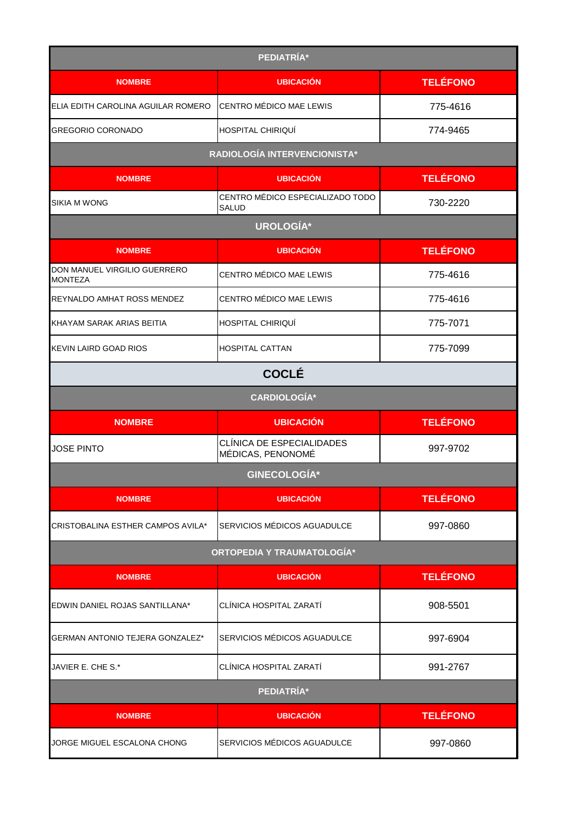| PEDIATRÍA*                                     |                                                  |                 |
|------------------------------------------------|--------------------------------------------------|-----------------|
| <b>NOMBRE</b>                                  | <b>UBICACIÓN</b>                                 | <b>TELÉFONO</b> |
| ELIA EDITH CAROLINA AGUILAR ROMERO             | CENTRO MÉDICO MAE LEWIS                          | 775-4616        |
| GREGORIO CORONADO                              | HOSPITAL CHIRIQUÍ                                | 774-9465        |
|                                                | RADIOLOGÍA INTERVENCIONISTA*                     |                 |
| <b>NOMBRE</b>                                  | <b>UBICACIÓN</b>                                 | <b>TELÉFONO</b> |
| <b>SIKIA M WONG</b>                            | CENTRO MÉDICO ESPECIALIZADO TODO<br><b>SALUD</b> | 730-2220        |
|                                                | UROLOGÍA*                                        |                 |
| <b>NOMBRE</b>                                  | <b>UBICACIÓN</b>                                 | <b>TELÉFONO</b> |
| DON MANUEL VIRGILIO GUERRERO<br><b>MONTEZA</b> | CENTRO MÉDICO MAE LEWIS                          | 775-4616        |
| REYNALDO AMHAT ROSS MENDEZ                     | CENTRO MÉDICO MAE LEWIS                          | 775-4616        |
| KHAYAM SARAK ARIAS BEITIA                      | <b>HOSPITAL CHIRIQUÍ</b>                         | 775-7071        |
| KEVIN LAIRD GOAD RIOS                          | <b>HOSPITAL CATTAN</b>                           | 775-7099        |
| <b>COCLÉ</b>                                   |                                                  |                 |
|                                                | <b>CARDIOLOGÍA*</b>                              |                 |
| <b>NOMBRE</b>                                  | <b>UBICACIÓN</b>                                 | <b>TELÉFONO</b> |
| <b>JOSE PINTO</b>                              | CLÍNICA DE ESPECIALIDADES<br>MÉDICAS, PENONOMÉ   | 997-9702        |
|                                                | <b>GINECOLOGÍA*</b>                              |                 |
| <b>NOMBRE</b>                                  | <b>UBICACIÓN</b>                                 | <b>TELÉFONO</b> |
| CRISTOBALINA ESTHER CAMPOS AVILA*              | SERVICIOS MÉDICOS AGUADULCE                      | 997-0860        |
|                                                | ORTOPEDIA Y TRAUMATOLOGÍA*                       |                 |
| <b>NOMBRE</b>                                  | <b>UBICACIÓN</b>                                 | <b>TELÉFONO</b> |
| EDWIN DANIEL ROJAS SANTILLANA*                 | CLÍNICA HOSPITAL ZARATÍ                          | 908-5501        |
| GERMAN ANTONIO TEJERA GONZALEZ*                | SERVICIOS MÉDICOS AGUADULCE                      | 997-6904        |
| JAVIER E. CHE S.*                              | CLÍNICA HOSPITAL ZARATÍ                          | 991-2767        |
| PEDIATRÍA*                                     |                                                  |                 |
| <b>NOMBRE</b>                                  | <b>UBICACIÓN</b>                                 | <b>TELÉFONO</b> |
| JORGE MIGUEL ESCALONA CHONG                    | SERVICIOS MÉDICOS AGUADULCE                      | 997-0860        |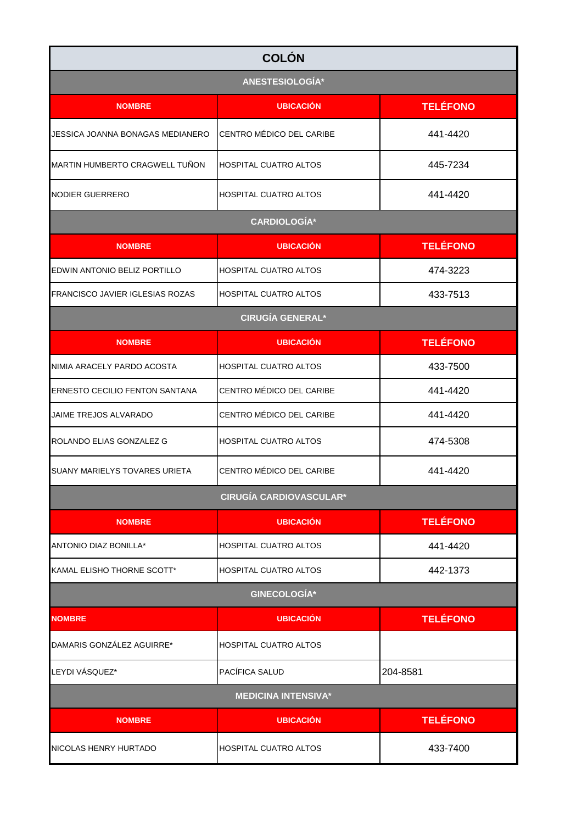| <b>COLÓN</b>                         |                                |                 |  |
|--------------------------------------|--------------------------------|-----------------|--|
| ANESTESIOLOGÍA*                      |                                |                 |  |
| <b>NOMBRE</b>                        | <b>UBICACIÓN</b>               | <b>TELÉFONO</b> |  |
| JESSICA JOANNA BONAGAS MEDIANERO     | CENTRO MÉDICO DEL CARIBE       | 441-4420        |  |
| MARTIN HUMBERTO CRAGWELL TUÑON       | <b>HOSPITAL CUATRO ALTOS</b>   | 445-7234        |  |
| INODIER GUERRERO                     | <b>HOSPITAL CUATRO ALTOS</b>   | 441-4420        |  |
|                                      | <b>CARDIOLOGÍA*</b>            |                 |  |
| <b>NOMBRE</b>                        | <b>UBICACIÓN</b>               | <b>TELÉFONO</b> |  |
| EDWIN ANTONIO BELIZ PORTILLO         | <b>HOSPITAL CUATRO ALTOS</b>   | 474-3223        |  |
| FRANCISCO JAVIER IGLESIAS ROZAS      | <b>HOSPITAL CUATRO ALTOS</b>   | 433-7513        |  |
|                                      | <b>CIRUGÍA GENERAL*</b>        |                 |  |
| <b>NOMBRE</b>                        | <b>UBICACIÓN</b>               | <b>TELÉFONO</b> |  |
| NIMIA ARACELY PARDO ACOSTA           | <b>HOSPITAL CUATRO ALTOS</b>   | 433-7500        |  |
| ERNESTO CECILIO FENTON SANTANA       | CENTRO MÉDICO DEL CARIBE       | 441-4420        |  |
| JAIME TREJOS ALVARADO                | CENTRO MÉDICO DEL CARIBE       | 441-4420        |  |
| ROLANDO ELIAS GONZALEZ G             | <b>HOSPITAL CUATRO ALTOS</b>   | 474-5308        |  |
| <b>SUANY MARIELYS TOVARES URIETA</b> | CENTRO MÉDICO DEL CARIBE       | 441-4420        |  |
|                                      | <b>CIRUGÍA CARDIOVASCULAR*</b> |                 |  |
| <b>NOMBRE</b>                        | <b>UBICACIÓN</b>               | <b>TELÉFONO</b> |  |
| ANTONIO DIAZ BONILLA*                | <b>HOSPITAL CUATRO ALTOS</b>   | 441-4420        |  |
| KAMAL ELISHO THORNE SCOTT*           | <b>HOSPITAL CUATRO ALTOS</b>   | 442-1373        |  |
|                                      | <b>GINECOLOGÍA*</b>            |                 |  |
| <b>NOMBRE</b>                        | <b>UBICACIÓN</b>               | <b>TELÉFONO</b> |  |
| DAMARIS GONZÁLEZ AGUIRRE*            | <b>HOSPITAL CUATRO ALTOS</b>   |                 |  |
| LEYDI VÁSQUEZ*                       | PACÍFICA SALUD                 | 204-8581        |  |
| <b>MEDICINA INTENSIVA*</b>           |                                |                 |  |
| <b>NOMBRE</b>                        | <b>UBICACIÓN</b>               | <b>TELÉFONO</b> |  |
| NICOLAS HENRY HURTADO                | <b>HOSPITAL CUATRO ALTOS</b>   | 433-7400        |  |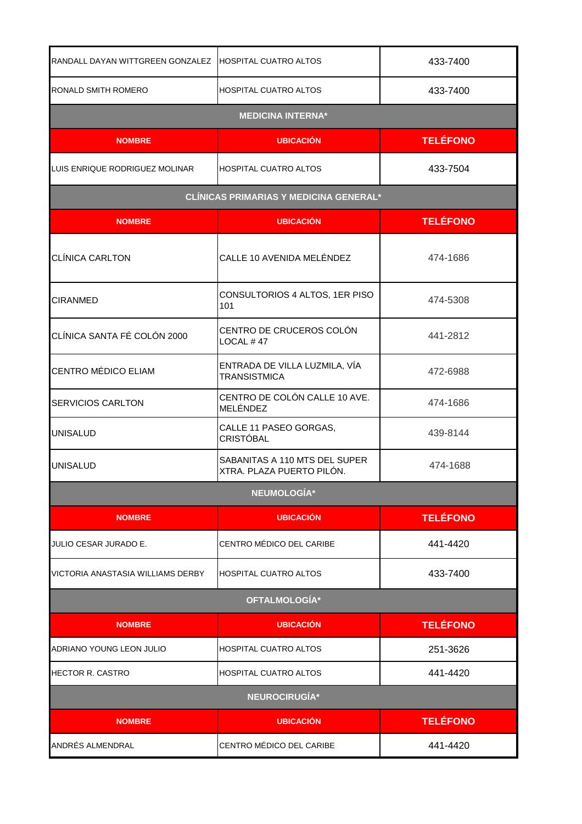| RANDALL DAYAN WITTGREEN GONZALEZ   HOSPITAL CUATRO ALTOS |                                                            | 433-7400        |
|----------------------------------------------------------|------------------------------------------------------------|-----------------|
| RONALD SMITH ROMERO                                      | <b>HOSPITAL CUATRO ALTOS</b>                               | 433-7400        |
|                                                          | <b>MEDICINA INTERNA*</b>                                   |                 |
| <b>NOMBRE</b>                                            | <b>UBICACIÓN</b>                                           | <b>TELÉFONO</b> |
| LUIS ENRIQUE RODRIGUEZ MOLINAR                           | <b>HOSPITAL CUATRO ALTOS</b>                               | 433-7504        |
|                                                          | <b>CLÍNICAS PRIMARIAS Y MEDICINA GENERAL*</b>              |                 |
| <b>NOMBRE</b>                                            | <b>UBICACIÓN</b>                                           | <b>TELÉFONO</b> |
| <b>CLÍNICA CARLTON</b>                                   | CALLE 10 AVENIDA MELÉNDEZ                                  | 474-1686        |
| <b>CIRANMED</b>                                          | CONSULTORIOS 4 ALTOS, 1ER PISO<br>101                      | 474-5308        |
| CLÍNICA SANTA FÉ COLÓN 2000                              | CENTRO DE CRUCEROS COLÓN<br>LOCAL $#47$                    | 441-2812        |
| <b>CENTRO MÉDICO ELIAM</b>                               | ENTRADA DE VILLA LUZMILA, VÍA<br><b>TRANSISTMICA</b>       | 472-6988        |
| <b>SERVICIOS CARLTON</b>                                 | CENTRO DE COLÓN CALLE 10 AVE.<br>MELÉNDEZ                  | 474-1686        |
| <b>UNISALUD</b>                                          | CALLE 11 PASEO GORGAS,<br><b>CRISTÓBAL</b>                 | 439-8144        |
| <b>UNISALUD</b>                                          | SABANITAS A 110 MTS DEL SUPER<br>XTRA. PLAZA PUERTO PILÓN. | 474-1688        |
|                                                          | NEUMOLOGÍA*                                                |                 |
| <b>NOMBRE</b>                                            | <b>UBICACIÓN</b>                                           | <b>TELÉFONO</b> |
| <b>JULIO CESAR JURADO E.</b>                             | CENTRO MÉDICO DEL CARIBE                                   | 441-4420        |
| VICTORIA ANASTASIA WILLIAMS DERBY                        | <b>HOSPITAL CUATRO ALTOS</b>                               | 433-7400        |
|                                                          | OFTALMOLOGÍA*                                              |                 |
| <b>NOMBRE</b>                                            | <b>UBICACION</b>                                           | <b>TELÉFONO</b> |
| ADRIANO YOUNG LEON JULIO                                 | <b>HOSPITAL CUATRO ALTOS</b>                               | 251-3626        |
| <b>HECTOR R. CASTRO</b>                                  | <b>HOSPITAL CUATRO ALTOS</b>                               | 441-4420        |
| NEUROCIRUGÍA*                                            |                                                            |                 |
| <b>NOMBRE</b>                                            | <b>UBICACIÓN</b>                                           | <b>TELÉFONO</b> |
| ANDRÉS ALMENDRAL                                         | CENTRO MÉDICO DEL CARIBE                                   | 441-4420        |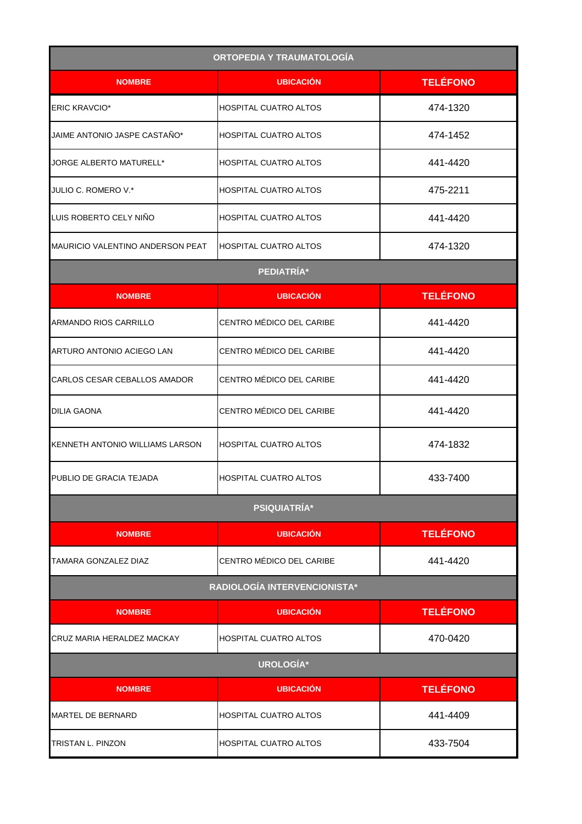| <b>ORTOPEDIA Y TRAUMATOLOGÍA</b> |                              |                 |
|----------------------------------|------------------------------|-----------------|
| <b>NOMBRE</b>                    | <b>UBICACIÓN</b>             | <b>TELÉFONO</b> |
| <b>ERIC KRAVCIO*</b>             | <b>HOSPITAL CUATRO ALTOS</b> | 474-1320        |
| JAIME ANTONIO JASPE CASTAÑO*     | <b>HOSPITAL CUATRO ALTOS</b> | 474-1452        |
| JORGE ALBERTO MATURELL*          | <b>HOSPITAL CUATRO ALTOS</b> | 441-4420        |
| JULIO C. ROMERO V.*              | <b>HOSPITAL CUATRO ALTOS</b> | 475-2211        |
| LUIS ROBERTO CELY NIÑO           | <b>HOSPITAL CUATRO ALTOS</b> | 441-4420        |
| MAURICIO VALENTINO ANDERSON PEAT | IHOSPITAL CUATRO ALTOS       | 474-1320        |
|                                  | PEDIATRÍA*                   |                 |
| <b>NOMBRE</b>                    | <b>UBICACIÓN</b>             | <b>TELÉFONO</b> |
| ARMANDO RIOS CARRILLO            | CENTRO MÉDICO DEL CARIBE     | 441-4420        |
| ARTURO ANTONIO ACIEGO LAN        | CENTRO MÉDICO DEL CARIBE     | 441-4420        |
| CARLOS CESAR CEBALLOS AMADOR     | CENTRO MÉDICO DEL CARIBE     | 441-4420        |
| <b>DILIA GAONA</b>               | CENTRO MÉDICO DEL CARIBE     | 441-4420        |
| KENNETH ANTONIO WILLIAMS LARSON  | <b>HOSPITAL CUATRO ALTOS</b> | 474-1832        |
| PUBLIO DE GRACIA TEJADA          | <b>HOSPITAL CUATRO ALTOS</b> | 433-7400        |
|                                  | <b>PSIQUIATRÍA*</b>          |                 |
| <b>NOMBRE</b>                    | <b>UBICACIÓN</b>             | <b>TELÉFONO</b> |
| TAMARA GONZALEZ DIAZ             | CENTRO MÉDICO DEL CARIBE     | 441-4420        |
|                                  | RADIOLOGÍA INTERVENCIONISTA* |                 |
| <b>NOMBRE</b>                    | <b>UBICACIÓN</b>             | <b>TELÉFONO</b> |
| CRUZ MARIA HERALDEZ MACKAY       | HOSPITAL CUATRO ALTOS        | 470-0420        |
|                                  | UROLOGÍA*                    |                 |
| <b>NOMBRE</b>                    | <b>UBICACIÓN</b>             | <b>TELÉFONO</b> |
| <b>MARTEL DE BERNARD</b>         | <b>HOSPITAL CUATRO ALTOS</b> | 441-4409        |
| <b>TRISTAN L. PINZON</b>         | <b>HOSPITAL CUATRO ALTOS</b> | 433-7504        |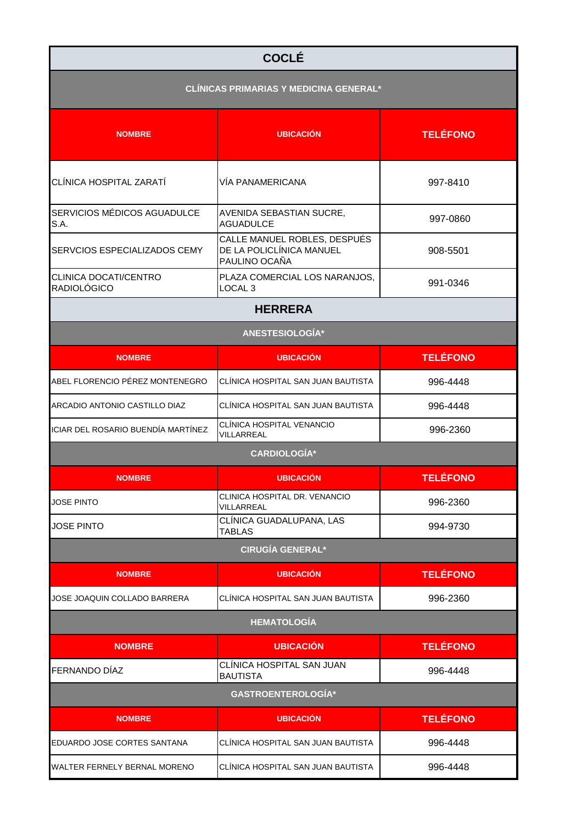| <b>COCLÉ</b>                                  |                                                                           |                 |
|-----------------------------------------------|---------------------------------------------------------------------------|-----------------|
| <b>CLÍNICAS PRIMARIAS Y MEDICINA GENERAL*</b> |                                                                           |                 |
| <b>NOMBRE</b>                                 | <b>UBICACIÓN</b>                                                          | <b>TELÉFONO</b> |
| CLÍNICA HOSPITAL ZARATÍ                       | VÍA PANAMERICANA                                                          | 997-8410        |
| SERVICIOS MÉDICOS AGUADULCE<br>S.A.           | AVENIDA SEBASTIAN SUCRE,<br><b>AGUADULCE</b>                              | 997-0860        |
| SERVCIOS ESPECIALIZADOS CEMY                  | CALLE MANUEL ROBLES, DESPUÉS<br>DE LA POLICLÍNICA MANUEL<br>PAULINO OCAÑA | 908-5501        |
| CLINICA DOCATI/CENTRO<br><b>RADIOLÓGICO</b>   | PLAZA COMERCIAL LOS NARANJOS,<br>LOCAL <sub>3</sub>                       | 991-0346        |
|                                               | <b>HERRERA</b>                                                            |                 |
| ANESTESIOLOGÍA*                               |                                                                           |                 |
| <b>NOMBRE</b>                                 | <b>UBICACIÓN</b>                                                          | <b>TELÉFONO</b> |
| ABEL FLORENCIO PÉREZ MONTENEGRO               | CLÍNICA HOSPITAL SAN JUAN BAUTISTA                                        | 996-4448        |
| ARCADIO ANTONIO CASTILLO DIAZ                 | CLÍNICA HOSPITAL SAN JUAN BAUTISTA                                        | 996-4448        |
| ICIAR DEL ROSARIO BUENDÍA MARTÍNEZ            | CLÍNICA HOSPITAL VENANCIO<br>VILLARREAL                                   | 996-2360        |
|                                               | <b>CARDIOLOGÍA*</b>                                                       |                 |
| <b>NOMBRE</b>                                 | <b>UBICACIÓN</b>                                                          | <b>TELÉFONO</b> |
| <b>JOSE PINTO</b>                             | CLINICA HOSPITAL DR. VENANCIO<br>VILLARREAL                               | 996-2360        |
| JOSE PINTO                                    | CLÍNICA GUADALUPANA, LAS<br><b>TABLAS</b>                                 | 994-9730        |
|                                               | <b>CIRUGÍA GENERAL*</b>                                                   |                 |
| <b>NOMBRE</b>                                 | <b>UBICACIÓN</b>                                                          | <b>TELÉFONO</b> |
| JOSE JOAQUIN COLLADO BARRERA                  | CLÍNICA HOSPITAL SAN JUAN BAUTISTA                                        | 996-2360        |
|                                               | <b>HEMATOLOGÍA</b>                                                        |                 |
| <b>NOMBRE</b>                                 | <b>UBICACIÓN</b>                                                          | <b>TELÉFONO</b> |
| <b>FERNANDO DÍAZ</b>                          | CLÍNICA HOSPITAL SAN JUAN<br><b>BAUTISTA</b>                              | 996-4448        |
|                                               | <b>GASTROENTEROLOGÍA*</b>                                                 |                 |
| <b>NOMBRE</b>                                 | <b>UBICACIÓN</b>                                                          | <b>TELÉFONO</b> |
| EDUARDO JOSE CORTES SANTANA                   | CLÍNICA HOSPITAL SAN JUAN BAUTISTA                                        | 996-4448        |
| WALTER FERNELY BERNAL MORENO                  | CLÍNICA HOSPITAL SAN JUAN BAUTISTA                                        | 996-4448        |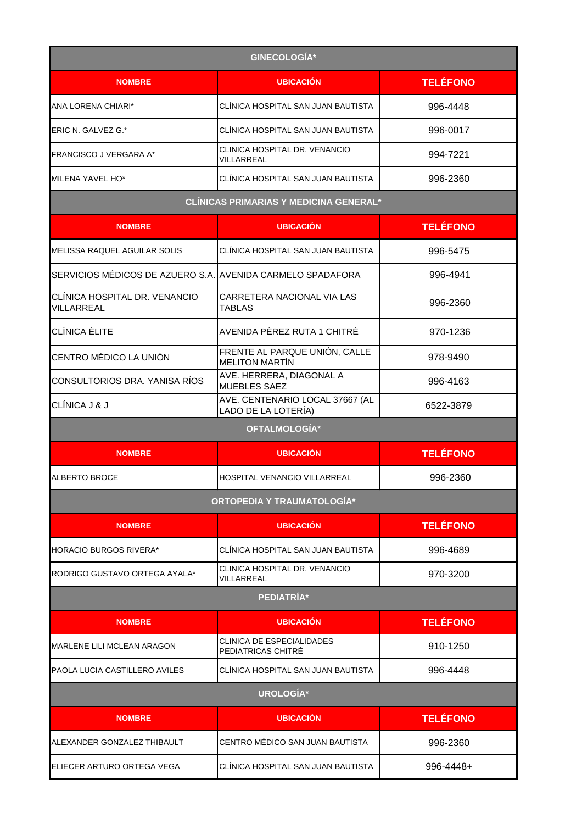| <b>GINECOLOGÍA*</b>                                        |                                                        |                 |
|------------------------------------------------------------|--------------------------------------------------------|-----------------|
| <b>NOMBRE</b>                                              | <b>UBICACIÓN</b>                                       | <b>TELÉFONO</b> |
| ANA LORENA CHIARI*                                         | CLÍNICA HOSPITAL SAN JUAN BAUTISTA                     | 996-4448        |
| ERIC N. GALVEZ G.*                                         | CLÍNICA HOSPITAL SAN JUAN BAUTISTA                     | 996-0017        |
| FRANCISCO J VERGARA A*                                     | CLINICA HOSPITAL DR. VENANCIO<br>VILLARREAL            | 994-7221        |
| MILENA YAVEL HO*                                           | CLÍNICA HOSPITAL SAN JUAN BAUTISTA                     | 996-2360        |
|                                                            | <b>CLÍNICAS PRIMARIAS Y MEDICINA GENERAL*</b>          |                 |
| <b>NOMBRE</b>                                              | <b>UBICACIÓN</b>                                       | <b>TELÉFONO</b> |
| MELISSA RAQUEL AGUILAR SOLIS                               | CLÍNICA HOSPITAL SAN JUAN BAUTISTA                     | 996-5475        |
| SERVICIOS MÉDICOS DE AZUERO S.A. AVENIDA CARMELO SPADAFORA |                                                        | 996-4941        |
| CLÍNICA HOSPITAL DR. VENANCIO<br>VILLARREAL                | CARRETERA NACIONAL VIA LAS<br><b>TABLAS</b>            | 996-2360        |
| CLÍNICA ÉLITE                                              | AVENIDA PÉREZ RUTA 1 CHITRÉ                            | 970-1236        |
| CENTRO MÉDICO LA UNIÓN                                     | FRENTE AL PARQUE UNIÓN, CALLE<br><b>MELITON MARTÍN</b> | 978-9490        |
| CONSULTORIOS DRA. YANISA RÍOS                              | AVE. HERRERA, DIAGONAL A<br>MUEBLES SAEZ               | 996-4163        |
| CLÍNICA J & J                                              | AVE. CENTENARIO LOCAL 37667 (AL<br>LADO DE LA LOTERÍA) | 6522-3879       |
|                                                            | OFTALMOLOGÍA*                                          |                 |
| <b>NOMBRE</b>                                              | <b>UBICACIÓN</b>                                       | <b>TELÉFONO</b> |
| ALBERTO BROCE                                              | HOSPITAL VENANCIO VILLARREAL                           | 996-2360        |
|                                                            | <b>ORTOPEDIA Y TRAUMATOLOGÍA*</b>                      |                 |
| <b>NOMBRE</b>                                              | <b>UBICACIÓN</b>                                       | <b>TELÉFONO</b> |
| <b>HORACIO BURGOS RIVERA*</b>                              | CLÍNICA HOSPITAL SAN JUAN BAUTISTA                     | 996-4689        |
| RODRIGO GUSTAVO ORTEGA AYALA*                              | CLINICA HOSPITAL DR. VENANCIO<br>VILLARREAL            | 970-3200        |
|                                                            | PEDIATRÍA*                                             |                 |
| <b>NOMBRE</b>                                              | <b>UBICACIÓN</b>                                       | <b>TELÉFONO</b> |
| <b>MARLENE LILI MCLEAN ARAGON</b>                          | CLINICA DE ESPECIALIDADES<br>PEDIATRICAS CHITRÉ        | 910-1250        |
| PAOLA LUCIA CASTILLERO AVILES                              | CLÍNICA HOSPITAL SAN JUAN BAUTISTA                     | 996-4448        |
| UROLOGÍA*                                                  |                                                        |                 |
| <b>NOMBRE</b>                                              | <b>UBICACION</b>                                       | <b>TELÉFONO</b> |
| ALEXANDER GONZALEZ THIBAULT                                | CENTRO MÉDICO SAN JUAN BAUTISTA                        | 996-2360        |
| ELIECER ARTURO ORTEGA VEGA                                 | CLÍNICA HOSPITAL SAN JUAN BAUTISTA                     | 996-4448+       |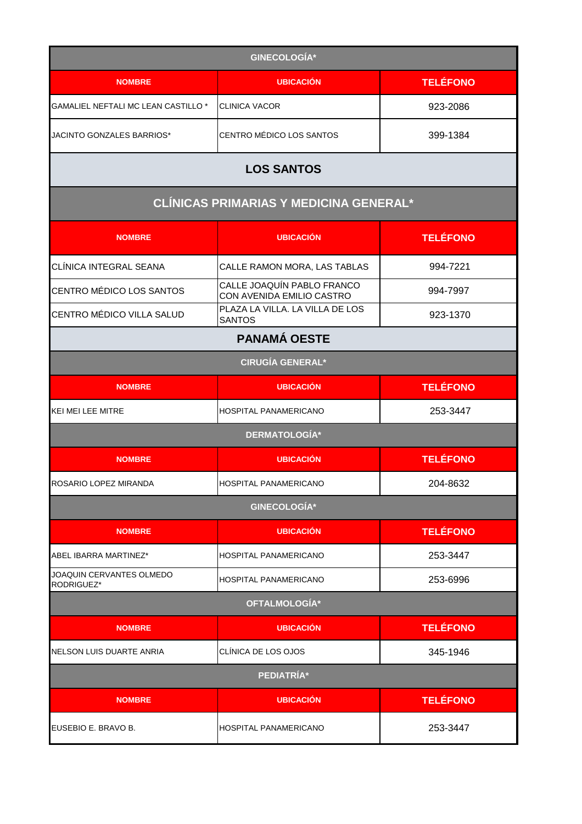| <b>GINECOLOGÍA*</b>                       |                                                         |                 |
|-------------------------------------------|---------------------------------------------------------|-----------------|
| <b>NOMBRE</b>                             | <b>UBICACIÓN</b>                                        | <b>TELÉFONO</b> |
| <b>GAMALIEL NEFTALI MC LEAN CASTILLO*</b> | <b>CLINICA VACOR</b>                                    | 923-2086        |
| JACINTO GONZALES BARRIOS*                 | CENTRO MÉDICO LOS SANTOS                                | 399-1384        |
|                                           | <b>LOS SANTOS</b>                                       |                 |
|                                           | CLÍNICAS PRIMARIAS Y MEDICINA GENERAL*                  |                 |
| <b>NOMBRE</b>                             | <b>UBICACIÓN</b>                                        | <b>TELÉFONO</b> |
| CLÍNICA INTEGRAL SEANA                    | CALLE RAMON MORA, LAS TABLAS                            | 994-7221        |
| CENTRO MÉDICO LOS SANTOS                  | CALLE JOAQUÍN PABLO FRANCO<br>CON AVENIDA EMILIO CASTRO | 994-7997        |
| CENTRO MÉDICO VILLA SALUD                 | PLAZA LA VILLA. LA VILLA DE LOS<br><b>SANTOS</b>        | 923-1370        |
| <b>PANAMÁ OESTE</b>                       |                                                         |                 |
|                                           | <b>CIRUGÍA GENERAL*</b>                                 |                 |
| <b>NOMBRE</b>                             | <b>UBICACIÓN</b>                                        | <b>TELÉFONO</b> |
| KEI MEI LEE MITRE                         | HOSPITAL PANAMERICANO                                   | 253-3447        |
|                                           | <b>DERMATOLOGÍA*</b>                                    |                 |
| <b>NOMBRE</b>                             | <b>UBICACIÓN</b>                                        | <b>TELÉFONO</b> |
| ROSARIO LOPEZ MIRANDA                     | HOSPITAL PANAMERICANO                                   | 204-8632        |
|                                           | <b>GINECOLOGÍA*</b>                                     |                 |
| <b>NOMBRE</b>                             | <b>UBICACIÓN</b>                                        | <b>TELÉFONO</b> |
| ABEL IBARRA MARTINEZ*                     | <b>HOSPITAL PANAMERICANO</b>                            | 253-3447        |
| JOAQUIN CERVANTES OLMEDO<br>RODRIGUEZ*    | <b>HOSPITAL PANAMERICANO</b>                            | 253-6996        |
| OFTALMOLOGÍA*                             |                                                         |                 |
| <b>NOMBRE</b>                             | <b>UBICACIÓN</b>                                        | <b>TELÉFONO</b> |
| NELSON LUIS DUARTE ANRIA                  | CLÍNICA DE LOS OJOS                                     | 345-1946        |
| PEDIATRÍA*                                |                                                         |                 |
| <b>NOMBRE</b>                             | <b>UBICACIÓN</b>                                        | <b>TELÉFONO</b> |
| EUSEBIO E. BRAVO B.                       | <b>HOSPITAL PANAMERICANO</b>                            | 253-3447        |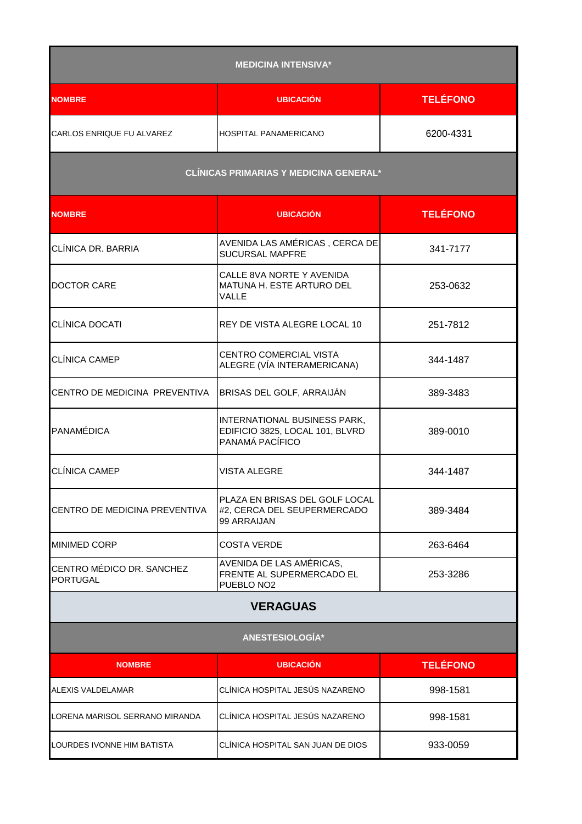| <b>MEDICINA INTENSIVA*</b>                    |                                                                                    |                 |
|-----------------------------------------------|------------------------------------------------------------------------------------|-----------------|
| <b>NOMBRE</b>                                 | <b>UBICACIÓN</b>                                                                   | <b>TELÉFONO</b> |
| CARLOS ENRIQUE FU ALVAREZ                     | HOSPITAL PANAMERICANO                                                              | 6200-4331       |
| <b>CLÍNICAS PRIMARIAS Y MEDICINA GENERAL*</b> |                                                                                    |                 |
| <b>NOMBRE</b>                                 | <b>UBICACIÓN</b>                                                                   | <b>TELÉFONO</b> |
| CLÍNICA DR. BARRIA                            | AVENIDA LAS AMÉRICAS, CERCA DE<br><b>SUCURSAL MAPFRE</b>                           | 341-7177        |
| <b>DOCTOR CARE</b>                            | CALLE 8VA NORTE Y AVENIDA<br>MATUNA H. ESTE ARTURO DEL<br>VALLE                    | 253-0632        |
| <b>CLÍNICA DOCATI</b>                         | REY DE VISTA ALEGRE LOCAL 10                                                       | 251-7812        |
| <b>CLÍNICA CAMEP</b>                          | <b>CENTRO COMERCIAL VISTA</b><br>ALEGRE (VÍA INTERAMERICANA)                       | 344-1487        |
| CENTRO DE MEDICINA PREVENTIVA                 | BRISAS DEL GOLF, ARRAIJÁN                                                          | 389-3483        |
| <b>PANAMÉDICA</b>                             | INTERNATIONAL BUSINESS PARK,<br>EDIFICIO 3825, LOCAL 101, BLVRD<br>PANAMÁ PACÍFICO | 389-0010        |
| <b>CLÍNICA CAMEP</b>                          | <b>VISTA ALEGRE</b>                                                                | 344-1487        |
| CENTRO DE MEDICINA PREVENTIVA                 | PLAZA EN BRISAS DEL GOLF LOCAL<br>#2, CERCA DEL SEUPERMERCADO<br>99 ARRAIJAN       | 389-3484        |
| <b>MINIMED CORP</b>                           | <b>COSTA VERDE</b>                                                                 | 263-6464        |
| CENTRO MÉDICO DR. SANCHEZ<br><b>PORTUGAL</b>  | AVENIDA DE LAS AMÉRICAS,<br>FRENTE AL SUPERMERCADO EL<br>PUEBLO NO <sub>2</sub>    | 253-3286        |
| <b>VERAGUAS</b>                               |                                                                                    |                 |
| ANESTESIOLOGÍA*                               |                                                                                    |                 |
| <b>NOMBRE</b>                                 | <b>UBICACIÓN</b>                                                                   | <b>TELÉFONO</b> |
| <b>ALEXIS VALDELAMAR</b>                      | CLÍNICA HOSPITAL JESÚS NAZARENO                                                    | 998-1581        |
| LORENA MARISOL SERRANO MIRANDA                | CLÍNICA HOSPITAL JESÚS NAZARENO                                                    | 998-1581        |
| LOURDES IVONNE HIM BATISTA                    | CLÍNICA HOSPITAL SAN JUAN DE DIOS                                                  | 933-0059        |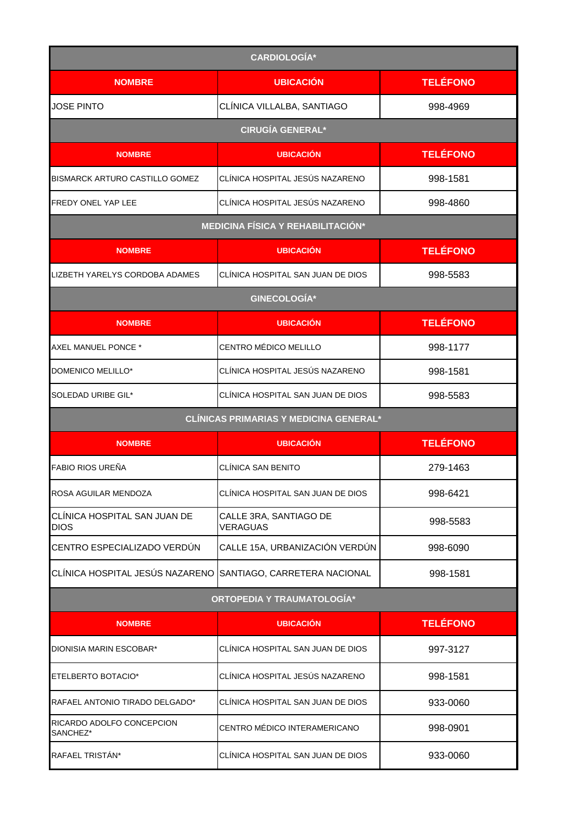| <b>CARDIOLOGÍA*</b>                                          |                                               |                 |
|--------------------------------------------------------------|-----------------------------------------------|-----------------|
| <b>NOMBRE</b>                                                | <b>UBICACIÓN</b>                              | <b>TELÉFONO</b> |
| <b>JOSE PINTO</b>                                            | CLÍNICA VILLALBA, SANTIAGO                    | 998-4969        |
|                                                              | <b>CIRUGÍA GENERAL*</b>                       |                 |
| <b>NOMBRE</b>                                                | <b>UBICACIÓN</b>                              | <b>TELÉFONO</b> |
| BISMARCK ARTURO CASTILLO GOMEZ                               | CLÍNICA HOSPITAL JESÚS NAZARENO               | 998-1581        |
| FREDY ONEL YAP LEE                                           | CLÍNICA HOSPITAL JESÚS NAZARENO               | 998-4860        |
|                                                              | <b>MEDICINA FÍSICA Y REHABILITACIÓN*</b>      |                 |
| <b>NOMBRE</b>                                                | <b>UBICACIÓN</b>                              | <b>TELÉFONO</b> |
| LIZBETH YARELYS CORDOBA ADAMES                               | CLÍNICA HOSPITAL SAN JUAN DE DIOS             | 998-5583        |
|                                                              | GINECOLOGÍA*                                  |                 |
| <b>NOMBRE</b>                                                | <b>UBICACIÓN</b>                              | <b>TELÉFONO</b> |
| AXEL MANUEL PONCE *                                          | CENTRO MÉDICO MELILLO                         | 998-1177        |
| DOMENICO MELILLO*                                            | CLÍNICA HOSPITAL JESÚS NAZARENO               | 998-1581        |
| SOLEDAD URIBE GIL*                                           | CLINICA HOSPITAL SAN JUAN DE DIOS             | 998-5583        |
|                                                              | <b>CLÍNICAS PRIMARIAS Y MEDICINA GENERAL*</b> |                 |
| <b>NOMBRE</b>                                                | <b>UBICACIÓN</b>                              | <b>TELÉFONO</b> |
| FABIO RIOS UREÑA                                             | <b>CLINICA SAN BENITO</b>                     | 279-1463        |
| ROSA AGUILAR MENDOZA                                         | CLÍNICA HOSPITAL SAN JUAN DE DIOS             | 998-6421        |
| CLÍNICA HOSPITAL SAN JUAN DE<br><b>DIOS</b>                  | CALLE 3RA, SANTIAGO DE<br><b>VERAGUAS</b>     | 998-5583        |
| CENTRO ESPECIALIZADO VERDÚN                                  | CALLE 15A, URBANIZACIÓN VERDÚN                | 998-6090        |
| CLÍNICA HOSPITAL JESÚS NAZARENO SANTIAGO, CARRETERA NACIONAL |                                               | 998-1581        |
|                                                              | <b>ORTOPEDIA Y TRAUMATOLOGÍA*</b>             |                 |
| <b>NOMBRE</b>                                                | <b>UBICACIÓN</b>                              | <b>TELÉFONO</b> |
| DIONISIA MARIN ESCOBAR*                                      | CLÍNICA HOSPITAL SAN JUAN DE DIOS             | 997-3127        |
| ETELBERTO BOTACIO*                                           | CLÍNICA HOSPITAL JESÚS NAZARENO               | 998-1581        |
| RAFAEL ANTONIO TIRADO DELGADO*                               | CLÍNICA HOSPITAL SAN JUAN DE DIOS             | 933-0060        |
| RICARDO ADOLFO CONCEPCION<br>SANCHEZ*                        | CENTRO MÉDICO INTERAMERICANO                  | 998-0901        |
| RAFAEL TRISTÁN*                                              | CLÍNICA HOSPITAL SAN JUAN DE DIOS             | 933-0060        |